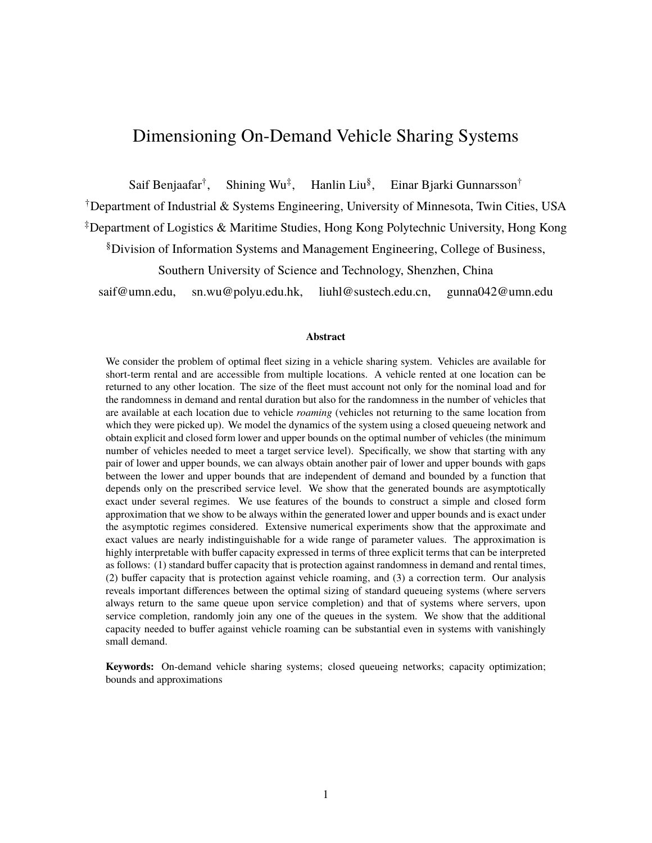## <span id="page-0-0"></span>Dimensioning On-Demand Vehicle Sharing Systems

Saif Benjaafar<sup>†</sup>, , Shining Wu‡ , Hanlin Liu§ , Einar Bjarki Gunnarsson†

†Department of Industrial & Systems Engineering, University of Minnesota, Twin Cities, USA

‡Department of Logistics & Maritime Studies, Hong Kong Polytechnic University, Hong Kong

§Division of Information Systems and Management Engineering, College of Business,

Southern University of Science and Technology, Shenzhen, China

saif@umn.edu, sn.wu@polyu.edu.hk, liuhl@sustech.edu.cn, gunna042@umn.edu

#### **Abstract**

We consider the problem of optimal fleet sizing in a vehicle sharing system. Vehicles are available for short-term rental and are accessible from multiple locations. A vehicle rented at one location can be returned to any other location. The size of the fleet must account not only for the nominal load and for the randomness in demand and rental duration but also for the randomness in the number of vehicles that are available at each location due to vehicle *roaming* (vehicles not returning to the same location from which they were picked up). We model the dynamics of the system using a closed queueing network and obtain explicit and closed form lower and upper bounds on the optimal number of vehicles (the minimum number of vehicles needed to meet a target service level). Specifically, we show that starting with any pair of lower and upper bounds, we can always obtain another pair of lower and upper bounds with gaps between the lower and upper bounds that are independent of demand and bounded by a function that depends only on the prescribed service level. We show that the generated bounds are asymptotically exact under several regimes. We use features of the bounds to construct a simple and closed form approximation that we show to be always within the generated lower and upper bounds and is exact under the asymptotic regimes considered. Extensive numerical experiments show that the approximate and exact values are nearly indistinguishable for a wide range of parameter values. The approximation is highly interpretable with buffer capacity expressed in terms of three explicit terms that can be interpreted as follows: (1) standard buffer capacity that is protection against randomness in demand and rental times, (2) buffer capacity that is protection against vehicle roaming, and (3) a correction term. Our analysis reveals important differences between the optimal sizing of standard queueing systems (where servers always return to the same queue upon service completion) and that of systems where servers, upon service completion, randomly join any one of the queues in the system. We show that the additional capacity needed to buffer against vehicle roaming can be substantial even in systems with vanishingly small demand.

**Keywords:** On-demand vehicle sharing systems; closed queueing networks; capacity optimization; bounds and approximations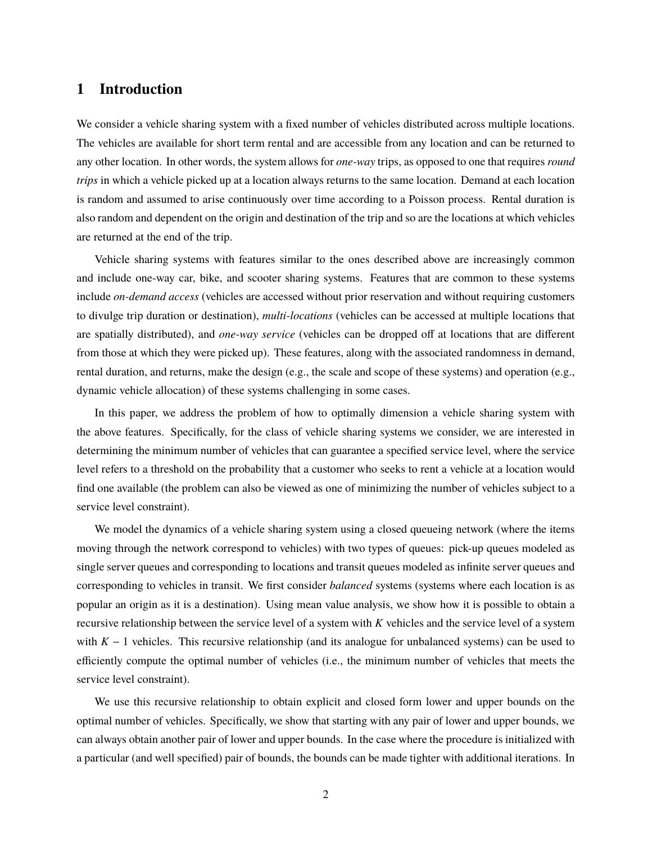### **1 Introduction**

We consider a vehicle sharing system with a fixed number of vehicles distributed across multiple locations. The vehicles are available for short term rental and are accessible from any location and can be returned to any other location. In other words, the system allows for *one-way* trips, as opposed to one that requires *round trips* in which a vehicle picked up at a location always returns to the same location. Demand at each location is random and assumed to arise continuously over time according to a Poisson process. Rental duration is also random and dependent on the origin and destination of the trip and so are the locations at which vehicles are returned at the end of the trip.

Vehicle sharing systems with features similar to the ones described above are increasingly common and include one-way car, bike, and scooter sharing systems. Features that are common to these systems include *on-demand access* (vehicles are accessed without prior reservation and without requiring customers to divulge trip duration or destination), *multi-locations* (vehicles can be accessed at multiple locations that are spatially distributed), and *one-way service* (vehicles can be dropped off at locations that are different from those at which they were picked up). These features, along with the associated randomness in demand, rental duration, and returns, make the design (e.g., the scale and scope of these systems) and operation (e.g., dynamic vehicle allocation) of these systems challenging in some cases.

In this paper, we address the problem of how to optimally dimension a vehicle sharing system with the above features. Specifically, for the class of vehicle sharing systems we consider, we are interested in determining the minimum number of vehicles that can guarantee a specified service level, where the service level refers to a threshold on the probability that a customer who seeks to rent a vehicle at a location would find one available (the problem can also be viewed as one of minimizing the number of vehicles subject to a service level constraint).

We model the dynamics of a vehicle sharing system using a closed queueing network (where the items moving through the network correspond to vehicles) with two types of queues: pick-up queues modeled as single server queues and corresponding to locations and transit queues modeled as infinite server queues and corresponding to vehicles in transit. We first consider *balanced* systems (systems where each location is as popular an origin as it is a destination). Using mean value analysis, we show how it is possible to obtain a recursive relationship between the service level of a system with *K* vehicles and the service level of a system with  $K - 1$  vehicles. This recursive relationship (and its analogue for unbalanced systems) can be used to efficiently compute the optimal number of vehicles (i.e., the minimum number of vehicles that meets the service level constraint).

We use this recursive relationship to obtain explicit and closed form lower and upper bounds on the optimal number of vehicles. Specifically, we show that starting with any pair of lower and upper bounds, we can always obtain another pair of lower and upper bounds. In the case where the procedure is initialized with a particular (and well specified) pair of bounds, the bounds can be made tighter with additional iterations. In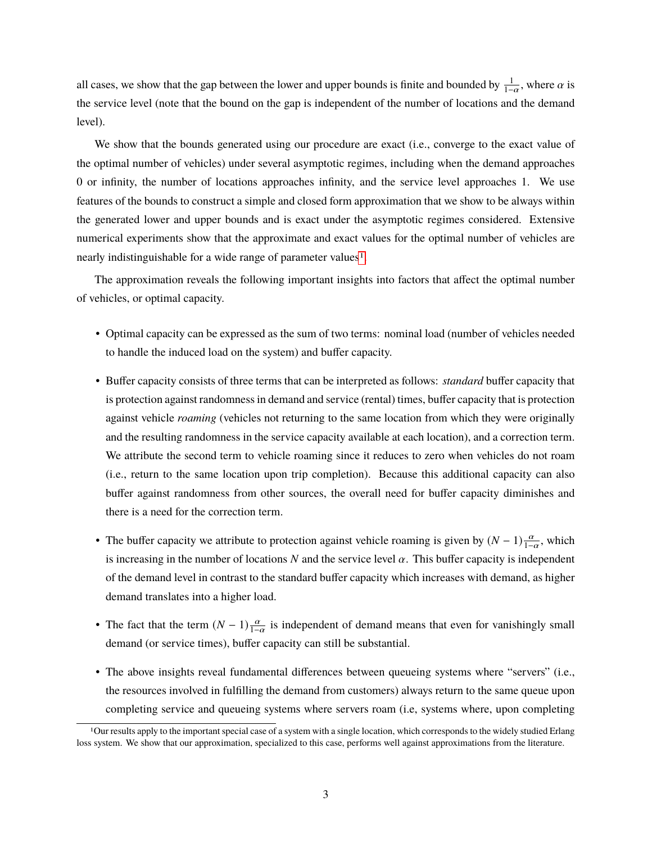all cases, we show that the gap between the lower and upper bounds is finite and bounded by  $\frac{1}{1-\alpha}$ , where  $\alpha$  is the service level (note that the bound on the gap is independent of the number of locations and the demand level).

We show that the bounds generated using our procedure are exact (i.e., converge to the exact value of the optimal number of vehicles) under several asymptotic regimes, including when the demand approaches 0 or infinity, the number of locations approaches infinity, and the service level approaches 1. We use features of the bounds to construct a simple and closed form approximation that we show to be always within the generated lower and upper bounds and is exact under the asymptotic regimes considered. Extensive numerical experiments show that the approximate and exact values for the optimal number of vehicles are nearly indistinguishable for a wide range of parameter values<sup>[1](#page-0-0)</sup>.

The approximation reveals the following important insights into factors that affect the optimal number of vehicles, or optimal capacity.

- Optimal capacity can be expressed as the sum of two terms: nominal load (number of vehicles needed to handle the induced load on the system) and buffer capacity.
- Buffer capacity consists of three terms that can be interpreted as follows: *standard* buffer capacity that is protection against randomness in demand and service (rental) times, buffer capacity that is protection against vehicle *roaming* (vehicles not returning to the same location from which they were originally and the resulting randomness in the service capacity available at each location), and a correction term. We attribute the second term to vehicle roaming since it reduces to zero when vehicles do not roam (i.e., return to the same location upon trip completion). Because this additional capacity can also buffer against randomness from other sources, the overall need for buffer capacity diminishes and there is a need for the correction term.
- The buffer capacity we attribute to protection against vehicle roaming is given by  $(N-1)\frac{\alpha}{1-\alpha}$ , which is increasing in the number of locations N and the service level  $\alpha$ . This buffer capacity is independent of the demand level in contrast to the standard buffer capacity which increases with demand, as higher demand translates into a higher load.
- The fact that the term  $(N-1)\frac{\alpha}{1-\alpha}$  is independent of demand means that even for vanishingly small demand (or service times), buffer capacity can still be substantial.
- The above insights reveal fundamental differences between queueing systems where "servers" (i.e., the resources involved in fulfilling the demand from customers) always return to the same queue upon completing service and queueing systems where servers roam (i.e, systems where, upon completing

<sup>1</sup>Our results apply to the important special case of a system with a single location, which corresponds to the widely studied Erlang loss system. We show that our approximation, specialized to this case, performs well against approximations from the literature.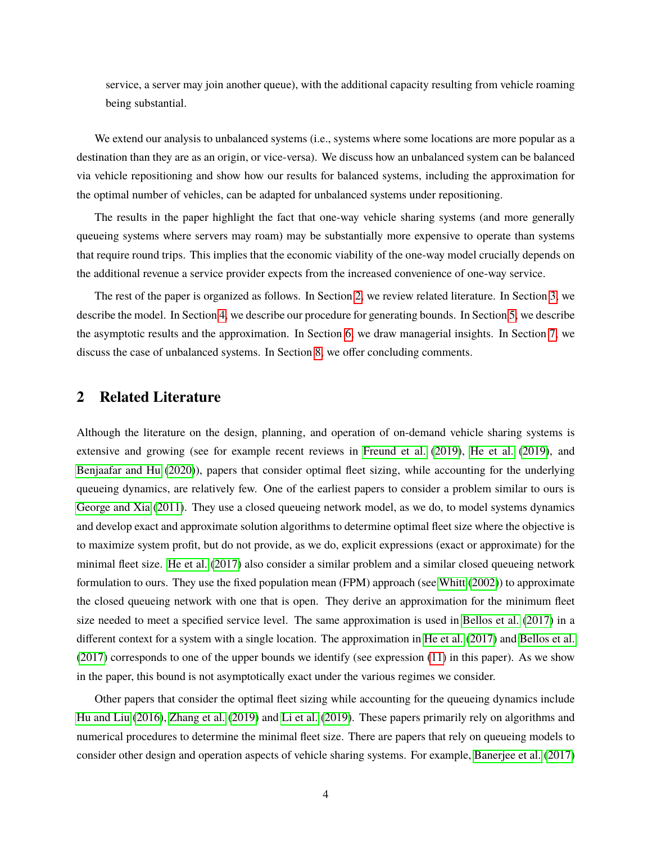service, a server may join another queue), with the additional capacity resulting from vehicle roaming being substantial.

We extend our analysis to unbalanced systems (i.e., systems where some locations are more popular as a destination than they are as an origin, or vice-versa). We discuss how an unbalanced system can be balanced via vehicle repositioning and show how our results for balanced systems, including the approximation for the optimal number of vehicles, can be adapted for unbalanced systems under repositioning.

The results in the paper highlight the fact that one-way vehicle sharing systems (and more generally queueing systems where servers may roam) may be substantially more expensive to operate than systems that require round trips. This implies that the economic viability of the one-way model crucially depends on the additional revenue a service provider expects from the increased convenience of one-way service.

The rest of the paper is organized as follows. In Section [2,](#page-3-0) we review related literature. In Section [3,](#page-5-0) we describe the model. In Section [4,](#page-9-0) we describe our procedure for generating bounds. In Section [5,](#page-12-0) we describe the asymptotic results and the approximation. In Section [6,](#page-17-0) we draw managerial insights. In Section [7,](#page-20-0) we discuss the case of unbalanced systems. In Section [8,](#page-22-0) we offer concluding comments.

#### <span id="page-3-0"></span>**2 Related Literature**

Although the literature on the design, planning, and operation of on-demand vehicle sharing systems is extensive and growing (see for example recent reviews in [Freund et al.](#page-24-0) [\(2019\)](#page-24-0), [He et al.](#page-24-1) [\(2019\)](#page-24-1), and [Benjaafar and Hu](#page-23-0) [\(2020\)](#page-23-0)), papers that consider optimal fleet sizing, while accounting for the underlying queueing dynamics, are relatively few. One of the earliest papers to consider a problem similar to ours is [George and Xia](#page-24-2) [\(2011\)](#page-24-2). They use a closed queueing network model, as we do, to model systems dynamics and develop exact and approximate solution algorithms to determine optimal fleet size where the objective is to maximize system profit, but do not provide, as we do, explicit expressions (exact or approximate) for the minimal fleet size. [He et al.](#page-24-3) [\(2017\)](#page-24-3) also consider a similar problem and a similar closed queueing network formulation to ours. They use the fixed population mean (FPM) approach (see [Whitt](#page-25-0) [\(2002\)](#page-25-0)) to approximate the closed queueing network with one that is open. They derive an approximation for the minimum fleet size needed to meet a specified service level. The same approximation is used in [Bellos et al.](#page-23-1) [\(2017\)](#page-23-1) in a different context for a system with a single location. The approximation in [He et al.](#page-24-3) [\(2017\)](#page-24-3) and [Bellos et al.](#page-23-1) [\(2017\)](#page-23-1) corresponds to one of the upper bounds we identify (see expression [\(11\)](#page-10-0) in this paper). As we show in the paper, this bound is not asymptotically exact under the various regimes we consider.

Other papers that consider the optimal fleet sizing while accounting for the queueing dynamics include [Hu and Liu](#page-24-4) [\(2016\)](#page-24-4), [Zhang et al.](#page-25-1) [\(2019\)](#page-25-1) and [Li et al.](#page-25-2) [\(2019\)](#page-25-2). These papers primarily rely on algorithms and numerical procedures to determine the minimal fleet size. There are papers that rely on queueing models to consider other design and operation aspects of vehicle sharing systems. For example, [Banerjee et al.](#page-23-2) [\(2017\)](#page-23-2)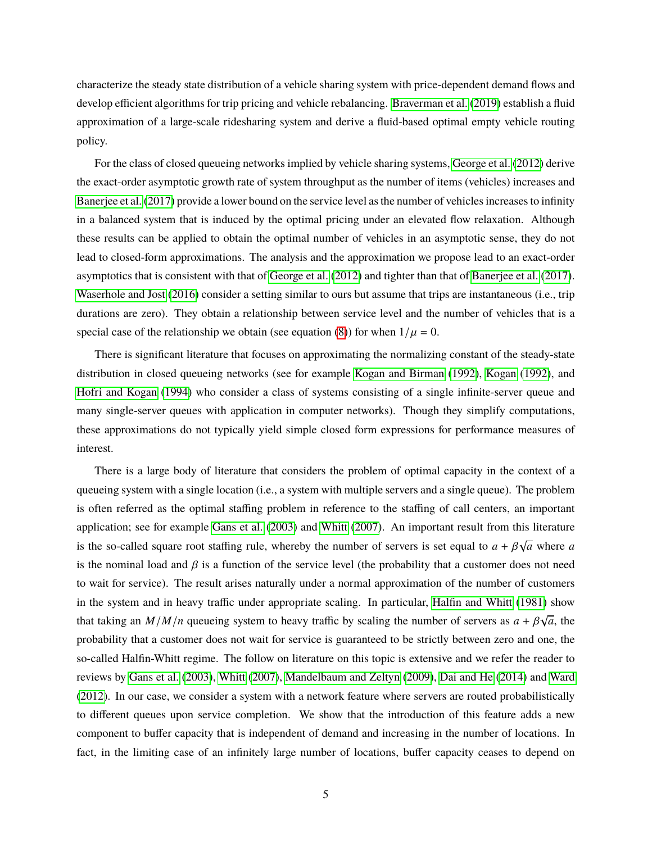characterize the steady state distribution of a vehicle sharing system with price-dependent demand flows and develop efficient algorithms for trip pricing and vehicle rebalancing. [Braverman et al.](#page-23-3) [\(2019\)](#page-23-3) establish a fluid approximation of a large-scale ridesharing system and derive a fluid-based optimal empty vehicle routing policy.

For the class of closed queueing networks implied by vehicle sharing systems, [George et al.](#page-24-5) [\(2012\)](#page-24-5) derive the exact-order asymptotic growth rate of system throughput as the number of items (vehicles) increases and [Banerjee et al.](#page-23-2) [\(2017\)](#page-23-2) provide a lower bound on the service level as the number of vehicles increases to infinity in a balanced system that is induced by the optimal pricing under an elevated flow relaxation. Although these results can be applied to obtain the optimal number of vehicles in an asymptotic sense, they do not lead to closed-form approximations. The analysis and the approximation we propose lead to an exact-order asymptotics that is consistent with that of [George et al.](#page-24-5) [\(2012\)](#page-24-5) and tighter than that of [Banerjee et al.](#page-23-2) [\(2017\)](#page-23-2). [Waserhole and Jost](#page-25-3) [\(2016\)](#page-25-3) consider a setting similar to ours but assume that trips are instantaneous (i.e., trip durations are zero). They obtain a relationship between service level and the number of vehicles that is a special case of the relationship we obtain (see equation [\(8\)](#page-9-1)) for when  $1/\mu = 0$ .

There is significant literature that focuses on approximating the normalizing constant of the steady-state distribution in closed queueing networks (see for example [Kogan and Birman](#page-25-4) [\(1992\)](#page-25-4), [Kogan](#page-25-5) [\(1992\)](#page-25-5), and [Hofri and Kogan](#page-24-6) [\(1994\)](#page-24-6) who consider a class of systems consisting of a single infinite-server queue and many single-server queues with application in computer networks). Though they simplify computations, these approximations do not typically yield simple closed form expressions for performance measures of interest.

There is a large body of literature that considers the problem of optimal capacity in the context of a queueing system with a single location (i.e., a system with multiple servers and a single queue). The problem is often referred as the optimal staffing problem in reference to the staffing of call centers, an important application; see for example [Gans et al.](#page-24-7) [\(2003\)](#page-24-7) and [Whitt](#page-25-6) [\(2007\)](#page-25-6). An important result from this literature is the so-called square root staffing rule, whereby the number of servers is set equal to  $a + \beta$ √ *a* where *a* is the nominal load and  $\beta$  is a function of the service level (the probability that a customer does not need to wait for service). The result arises naturally under a normal approximation of the number of customers in the system and in heavy traffic under appropriate scaling. In particular, [Halfin and Whitt](#page-24-8) [\(1981\)](#page-24-8) show that taking an  $M/M/n$  queueing system to heavy traffic by scaling the number of servers as  $a + \beta\sqrt{m}$ *a*, the probability that a customer does not wait for service is guaranteed to be strictly between zero and one, the so-called Halfin-Whitt regime. The follow on literature on this topic is extensive and we refer the reader to reviews by [Gans et al.](#page-24-7) [\(2003\)](#page-24-7), [Whitt](#page-25-6) [\(2007\)](#page-25-6), [Mandelbaum and Zeltyn](#page-25-7) [\(2009\)](#page-25-7), [Dai and He](#page-24-9) [\(2014\)](#page-24-9) and [Ward](#page-25-8) [\(2012\)](#page-25-8). In our case, we consider a system with a network feature where servers are routed probabilistically to different queues upon service completion. We show that the introduction of this feature adds a new component to buffer capacity that is independent of demand and increasing in the number of locations. In fact, in the limiting case of an infinitely large number of locations, buffer capacity ceases to depend on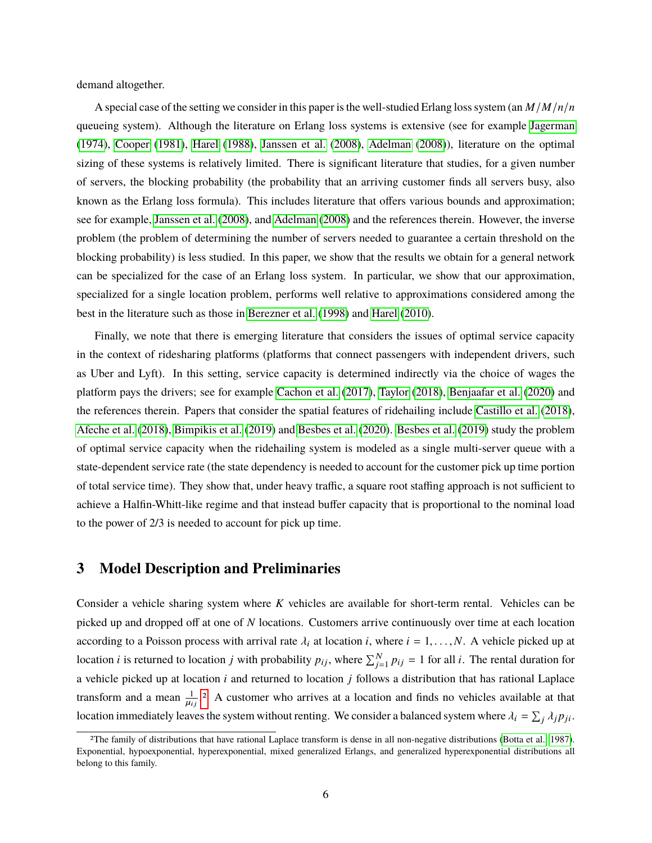demand altogether.

A special case of the setting we consider in this paper is the well-studied Erlang loss system (an *M*/*M*/*n*/*n* queueing system). Although the literature on Erlang loss systems is extensive (see for example [Jagerman](#page-25-9) [\(1974\)](#page-25-9), [Cooper](#page-24-10) [\(1981\)](#page-24-10), [Harel](#page-24-11) [\(1988\)](#page-24-11), [Janssen et al.](#page-25-10) [\(2008\)](#page-25-10), [Adelman](#page-23-4) [\(2008\)](#page-23-4)), literature on the optimal sizing of these systems is relatively limited. There is significant literature that studies, for a given number of servers, the blocking probability (the probability that an arriving customer finds all servers busy, also known as the Erlang loss formula). This includes literature that offers various bounds and approximation; see for example, [Janssen et al.](#page-25-10) [\(2008\)](#page-25-10), and [Adelman](#page-23-4) [\(2008\)](#page-23-4) and the references therein. However, the inverse problem (the problem of determining the number of servers needed to guarantee a certain threshold on the blocking probability) is less studied. In this paper, we show that the results we obtain for a general network can be specialized for the case of an Erlang loss system. In particular, we show that our approximation, specialized for a single location problem, performs well relative to approximations considered among the best in the literature such as those in [Berezner et al.](#page-23-5) [\(1998\)](#page-23-5) and [Harel](#page-24-12) [\(2010\)](#page-24-12).

Finally, we note that there is emerging literature that considers the issues of optimal service capacity in the context of ridesharing platforms (platforms that connect passengers with independent drivers, such as Uber and Lyft). In this setting, service capacity is determined indirectly via the choice of wages the platform pays the drivers; see for example [Cachon et al.](#page-23-6) [\(2017\)](#page-23-6), [Taylor](#page-25-11) [\(2018\)](#page-25-11), [Benjaafar et al.](#page-23-7) [\(2020\)](#page-23-7) and the references therein. Papers that consider the spatial features of ridehailing include [Castillo et al.](#page-24-13) [\(2018\)](#page-24-13), [Afeche et al.](#page-23-8) [\(2018\)](#page-23-8), [Bimpikis et al.](#page-23-9) [\(2019\)](#page-23-9) and [Besbes et al.](#page-23-10) [\(2020\)](#page-23-10). [Besbes et al.](#page-23-11) [\(2019\)](#page-23-11) study the problem of optimal service capacity when the ridehailing system is modeled as a single multi-server queue with a state-dependent service rate (the state dependency is needed to account for the customer pick up time portion of total service time). They show that, under heavy traffic, a square root staffing approach is not sufficient to achieve a Halfin-Whitt-like regime and that instead buffer capacity that is proportional to the nominal load to the power of 2/3 is needed to account for pick up time.

#### <span id="page-5-0"></span>**3 Model Description and Preliminaries**

Consider a vehicle sharing system where *K* vehicles are available for short-term rental. Vehicles can be picked up and dropped off at one of *N* locations. Customers arrive continuously over time at each location according to a Poisson process with arrival rate  $\lambda_i$  at location *i*, where  $i = 1, \ldots, N$ . A vehicle picked up at location *i* is returned to location *j* with probability  $p_{ij}$ , where  $\sum_{j=1}^{N} p_{ij} = 1$  for all *i*. The rental duration for a vehicle picked up at location *i* and returned to location *j* follows a distribution that has rational Laplace transform and a mean  $\frac{1}{11}$  $\mu_{ij}$ .[2](#page-0-0) A customer who arrives at a location and finds no vehicles available at that location immediately leaves the system without renting. We consider a balanced system where  $\lambda_i = \sum_j \lambda_j p_{ji}$ .

<sup>2</sup>The family of distributions that have rational Laplace transform is dense in all non-negative distributions [\(Botta et al., 1987\)](#page-23-12). Exponential, hypoexponential, hyperexponential, mixed generalized Erlangs, and generalized hyperexponential distributions all belong to this family.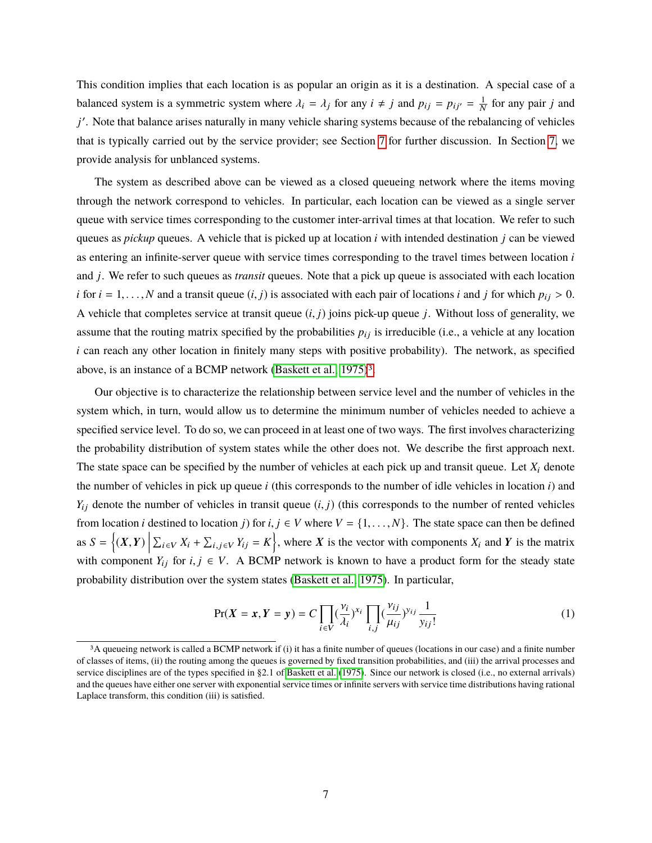This condition implies that each location is as popular an origin as it is a destination. A special case of a balanced system is a symmetric system where  $\lambda_i = \lambda_j$  for any  $i \neq j$  and  $p_{ij} = p_{ij'} = \frac{1}{N}$  for any pair *j* and *j*'. Note that balance arises naturally in many vehicle sharing systems because of the rebalancing of vehicles that is typically carried out by the service provider; see Section [7](#page-20-0) for further discussion. In Section [7,](#page-20-0) we provide analysis for unblanced systems.

The system as described above can be viewed as a closed queueing network where the items moving through the network correspond to vehicles. In particular, each location can be viewed as a single server queue with service times corresponding to the customer inter-arrival times at that location. We refer to such queues as *pickup* queues. A vehicle that is picked up at location *i* with intended destination *j* can be viewed as entering an infinite-server queue with service times corresponding to the travel times between location *i* and *j*. We refer to such queues as *transit* queues. Note that a pick up queue is associated with each location *i* for  $i = 1, ..., N$  and a transit queue  $(i, j)$  is associated with each pair of locations *i* and *j* for which  $p_{ij} > 0$ . A vehicle that completes service at transit queue (*i*, *<sup>j</sup>*) joins pick-up queue *<sup>j</sup>*. Without loss of generality, we assume that the routing matrix specified by the probabilities  $p_{ij}$  is irreducible (i.e., a vehicle at any location *i* can reach any other location in finitely many steps with positive probability). The network, as specified above, is an instance of a BCMP network [\(Baskett et al., 1975\)](#page-23-13)<sup>[3](#page-0-0)</sup>.

Our objective is to characterize the relationship between service level and the number of vehicles in the system which, in turn, would allow us to determine the minimum number of vehicles needed to achieve a specified service level. To do so, we can proceed in at least one of two ways. The first involves characterizing the probability distribution of system states while the other does not. We describe the first approach next. The state space can be specified by the number of vehicles at each pick up and transit queue. Let  $X_i$  denote the number of vehicles in pick up queue *i* (this corresponds to the number of idle vehicles in location *i*) and  $Y_{ij}$  denote the number of vehicles in transit queue  $(i, j)$  (this corresponds to the number of rented vehicles from location *i* destined to location *j*) for  $i, j \in V$  where  $V = \{1, \ldots, N\}$ . The state space can then be defined as  $S = \{(X, Y) \mid$  $\sum_{i \in V} X_i + \sum_{i,j \in V} Y_{ij} = K$ , where X is the vector with components  $X_i$  and Y is the matrix with component  $Y_{ij}$  for  $i, j \in V$ . A BCMP network is known to have a product form for the steady state probability distribution over the system states [\(Baskett et al., 1975\)](#page-23-13). In particular,

<span id="page-6-0"></span>
$$
\Pr(X = x, Y = y) = C \prod_{i \in V} \left(\frac{v_i}{\lambda_i}\right)^{x_i} \prod_{i,j} \left(\frac{v_{ij}}{\mu_{ij}}\right)^{y_{ij}} \frac{1}{y_{ij}!}
$$
(1)

<sup>3</sup>A queueing network is called a BCMP network if (i) it has a finite number of queues (locations in our case) and a finite number of classes of items, (ii) the routing among the queues is governed by fixed transition probabilities, and (iii) the arrival processes and service disciplines are of the types specified in §2.1 of [Baskett et al.](#page-23-13) [\(1975\)](#page-23-13). Since our network is closed (i.e., no external arrivals) and the queues have either one server with exponential service times or infinite servers with service time distributions having rational Laplace transform, this condition (iii) is satisfied.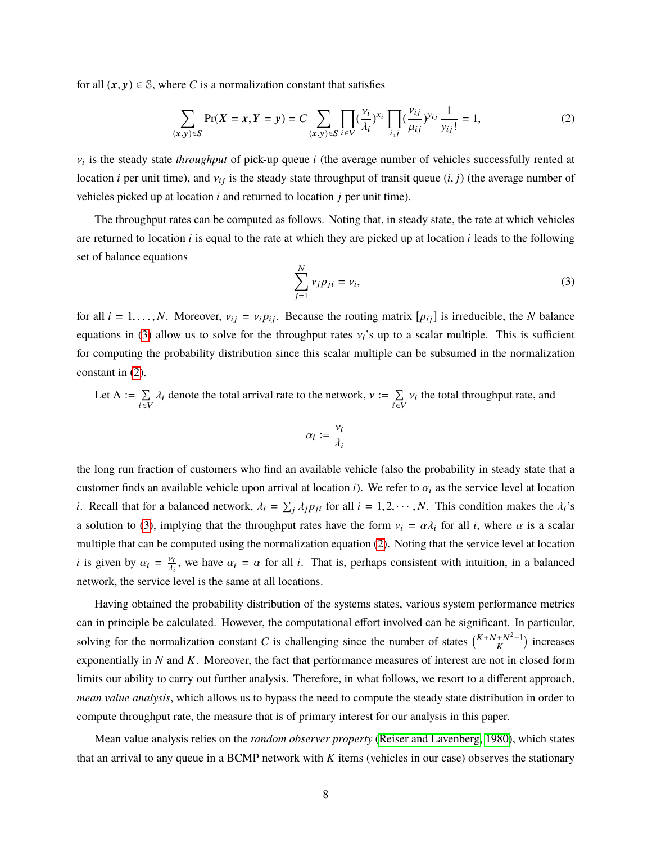for all  $(x, y) \in \mathbb{S}$ , where *C* is a normalization constant that satisfies

<span id="page-7-1"></span>
$$
\sum_{(\mathbf{x}, \mathbf{y}) \in S} \Pr(X = \mathbf{x}, Y = \mathbf{y}) = C \sum_{(\mathbf{x}, \mathbf{y}) \in S} \prod_{i \in V} \left(\frac{\nu_i}{\lambda_i}\right)^{x_i} \prod_{i,j} \left(\frac{\nu_{ij}}{\mu_{ij}}\right)^{y_{ij}} \frac{1}{y_{ij}!} = 1, \tag{2}
$$

 $v_i$  is the steady state *throughput* of pick-up queue *i* (the average number of vehicles successfully rented at location *i* per unit time), and  $v_{ij}$  is the steady state throughput of transit queue  $(i, j)$  (the average number of vehicles picked up at location *i* and returned to location *j* per unit time).

The throughput rates can be computed as follows. Noting that, in steady state, the rate at which vehicles are returned to location  $i$  is equal to the rate at which they are picked up at location  $i$  leads to the following set of balance equations

<span id="page-7-0"></span>
$$
\sum_{j=1}^{N} \nu_j p_{ji} = \nu_i,\tag{3}
$$

for all  $i = 1, \ldots, N$ . Moreover,  $v_{ij} = v_i p_{ij}$ . Because the routing matrix  $[p_{ij}]$  is irreducible, the *N* balance equations in [\(3\)](#page-7-0) allow us to solve for the throughput rates  $v_i$ 's up to a scalar multiple. This is sufficient for computing the probability distribution since this scalar multiple can be subsumed in the normalization constant in [\(2\)](#page-7-1).

Let 
$$
\Lambda := \sum_{i \in V} \lambda_i
$$
 denote the total arrival rate to the network,  $\nu := \sum_{i \in V} \nu_i$  the total throughput rate, and

$$
\alpha_i := \frac{v_i}{\lambda_i}
$$

the long run fraction of customers who find an available vehicle (also the probability in steady state that a customer finds an available vehicle upon arrival at location *i*). We refer to  $\alpha_i$  as the service level at location *i*. Recall that for a balanced network,  $\lambda_i = \sum_j \lambda_j p_{ji}$  for all  $i = 1, 2, \dots, N$ . This condition makes the  $\lambda_i$ 's a solution to [\(3\)](#page-7-0), implying that the throughput rates have the form  $v_i = \alpha \lambda_i$  for all *i*, where  $\alpha$  is a scalar multiple that can be computed using the normalization equation [\(2\)](#page-7-1). Noting that the service level at location *i* is given by  $\alpha_i = \frac{v_i}{\lambda_i}$  $\frac{\partial u_i}{\partial t}$ , we have  $\alpha_i = \alpha$  for all *i*. That is, perhaps consistent with intuition, in a balanced network, the service level is the same at all locations.

Having obtained the probability distribution of the systems states, various system performance metrics can in principle be calculated. However, the computational effort involved can be significant. In particular, solving for the normalization constant *C* is challenging since the number of states  $\binom{K+N+N^2-1}{K}$  increases exponentially in *N* and *K*. Moreover, the fact that performance measures of interest are not in closed form limits our ability to carry out further analysis. Therefore, in what follows, we resort to a different approach, *mean value analysis*, which allows us to bypass the need to compute the steady state distribution in order to compute throughput rate, the measure that is of primary interest for our analysis in this paper.

Mean value analysis relies on the *random observer property* [\(Reiser and Lavenberg, 1980\)](#page-25-12), which states that an arrival to any queue in a BCMP network with *K* items (vehicles in our case) observes the stationary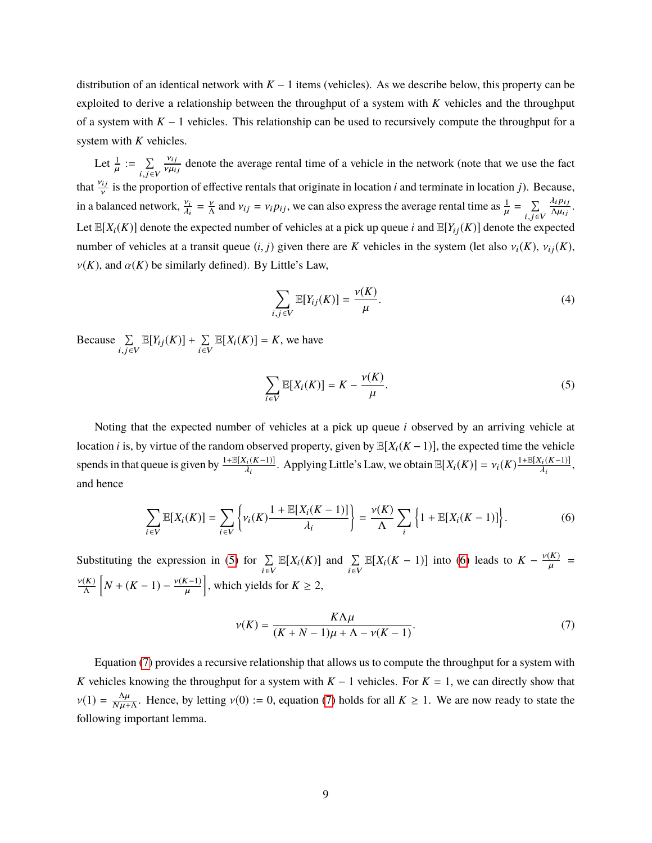distribution of an identical network with  $K - 1$  items (vehicles). As we describe below, this property can be exploited to derive a relationship between the throughput of a system with *K* vehicles and the throughput of a system with *K* − 1 vehicles. This relationship can be used to recursively compute the throughput for a system with *K* vehicles.

Let  $\frac{1}{\mu}$  $\mathbf{r}$  $:= \sum$  $i,j \in V$  $\frac{v_{ij}}{\cdots}$  $\nu \mu_{ij}$ denote the average rental time of a vehicle in the network (note that we use the fact that  $\frac{v_{ij}}{v}$  is the proportion of effective rentals that originate in location *i* and terminate in location *j*). Because, in a balanced network,  $\frac{v_i}{\lambda}$  $\lambda_i$  $=\frac{v}{\Lambda}$  and  $v_{ij} = v_i p_{ij}$ , we can also express the average rental time as  $\frac{1}{\mu}$  $=\sum \frac{\lambda_i p_{ij}}{\Delta u_{ij}}$ Let  $\mathbb{E}[X_i(K)]$  denote the expected number of vehicles at a pick up queue *i* and  $\mathbb{E}[Y_{ij}(K)]$  denote the expected  $\frac{\lambda_i p_{ij}}{\Delta \mu_{ij}}$ . number of vehicles at a transit queue  $(i, j)$  given there are *K* vehicles in the system (let also  $v_i(K)$ ,  $v_{ij}(K)$ ,  $\nu(K)$ , and  $\alpha(K)$  be similarly defined). By Little's Law,

<span id="page-8-3"></span>
$$
\sum_{i,j\in V} \mathbb{E}[Y_{ij}(K)] = \frac{\nu(K)}{\mu}.
$$
 (4)

Because  $\Sigma$  $i,j \in V$  $\mathbb{E}[Y_{ij}(K)] + \sum$  $\sum_{i \in V} \mathbb{E}[X_i(K)] = K$ , we have

<span id="page-8-0"></span>
$$
\sum_{i \in V} \mathbb{E}[X_i(K)] = K - \frac{\nu(K)}{\mu}.
$$
 (5)

Noting that the expected number of vehicles at a pick up queue *i* observed by an arriving vehicle at location *i* is, by virtue of the random observed property, given by  $\mathbb{E}[X_i(K-1)]$ , the expected time the vehicle spends in that queue is given by  $\frac{1+\mathbb{E}[X_i(K-1)]}{\lambda}$  $\mathbb{E}[X_i(K-1)]$ . Applying Little's Law, we obtain  $\mathbb{E}[X_i(K)] = v_i(K) \frac{1 + \mathbb{E}[X_i(K-1)]}{\lambda_i}$ λi , and hence

<span id="page-8-1"></span>
$$
\sum_{i\in V} \mathbb{E}[X_i(K)] = \sum_{i\in V} \left\{ v_i(K) \frac{1 + \mathbb{E}[X_i(K-1)]}{\lambda_i} \right\} = \frac{\nu(K)}{\Lambda} \sum_i \left\{ 1 + \mathbb{E}[X_i(K-1)] \right\}.
$$
 (6)

Substituting the expression in [\(5\)](#page-8-0) for  $\Sigma$  $\sum_{i\in V} \mathbb{E}[X_i(K)]$  and  $\sum_{i\in V} \mathbb{E}[X_i(K-1)]$  into [\(6\)](#page-8-1) leads to  $K - \frac{\nu(K)}{\mu}$  $\mathbf{r}$ =  $\frac{\nu(K)}{\Lambda}$   $\left[ N + (K - 1) - \frac{\nu(K-1)}{\mu} \right]$ , which yields for  $K \geq 2$ , µ

<span id="page-8-2"></span>
$$
\nu(K) = \frac{K\Lambda\mu}{(K+N-1)\mu + \Lambda - \nu(K-1)}.\tag{7}
$$

Equation [\(7\)](#page-8-2) provides a recursive relationship that allows us to compute the throughput for a system with *K* vehicles knowing the throughput for a system with *K* − 1 vehicles. For *K* = 1, we can directly show that  $v(1) = \frac{\Delta \mu}{N \mu + \Delta}$  $\frac{\Delta \mu}{N \mu + \Delta}$ . Hence, by letting  $v(0) := 0$ , equation [\(7\)](#page-8-2) holds for all  $K \ge 1$ . We are now ready to state the following important lemma.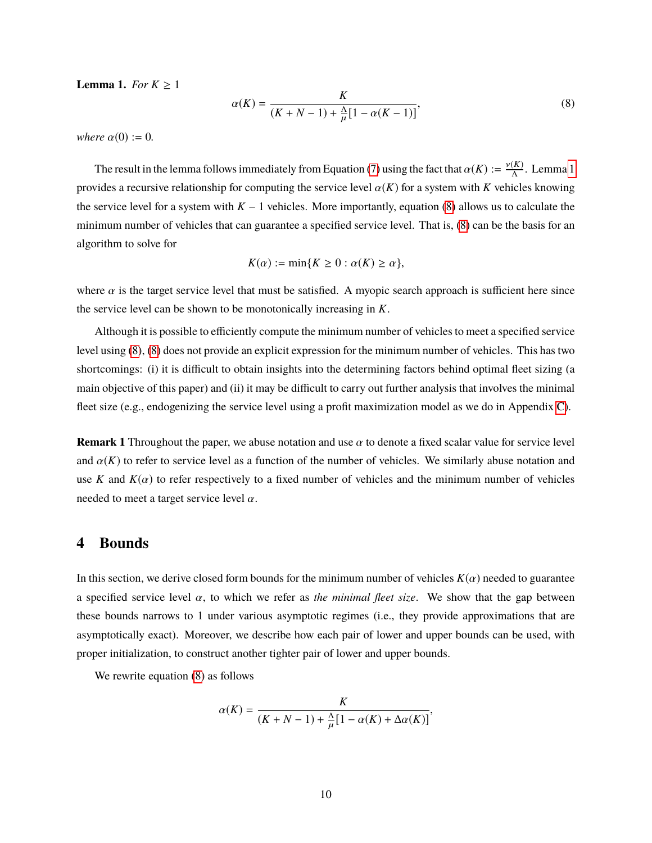<span id="page-9-2"></span>**Lemma 1.** *For*  $K \geq 1$ 

<span id="page-9-1"></span>
$$
\alpha(K) = \frac{K}{(K + N - 1) + \frac{\Delta}{\mu} [1 - \alpha(K - 1)]},
$$
\n(8)

*where*  $\alpha(0) := 0$ .

The result in the lemma follows immediately from Equation [\(7\)](#page-8-2) using the fact that  $\alpha(K) := \frac{v(K)}{\Lambda}$ . Lemma [1](#page-9-2) provides a recursive relationship for computing the service level  $\alpha(K)$  for a system with *K* vehicles knowing the service level for a system with *K* − 1 vehicles. More importantly, equation [\(8\)](#page-9-1) allows us to calculate the minimum number of vehicles that can guarantee a specified service level. That is, [\(8\)](#page-9-1) can be the basis for an algorithm to solve for

$$
K(\alpha) := \min\{K \ge 0 : \alpha(K) \ge \alpha\},\
$$

where  $\alpha$  is the target service level that must be satisfied. A myopic search approach is sufficient here since the service level can be shown to be monotonically increasing in *K*.

Although it is possible to efficiently compute the minimum number of vehicles to meet a specified service level using [\(8\)](#page-9-1), [\(8\)](#page-9-1) does not provide an explicit expression for the minimum number of vehicles. This has two shortcomings: (i) it is difficult to obtain insights into the determining factors behind optimal fleet sizing (a main objective of this paper) and (ii) it may be difficult to carry out further analysis that involves the minimal fleet size (e.g., endogenizing the service level using a profit maximization model as we do in Appendix [C\)](#page-44-0).

**Remark 1** Throughout the paper, we abuse notation and use  $\alpha$  to denote a fixed scalar value for service level and  $\alpha(K)$  to refer to service level as a function of the number of vehicles. We similarly abuse notation and use *K* and  $K(\alpha)$  to refer respectively to a fixed number of vehicles and the minimum number of vehicles needed to meet a target service level  $\alpha$ .

#### <span id="page-9-0"></span>**4 Bounds**

In this section, we derive closed form bounds for the minimum number of vehicles  $K(\alpha)$  needed to guarantee a specified service level  $\alpha$ , to which we refer as *the minimal fleet size*. We show that the gap between these bounds narrows to 1 under various asymptotic regimes (i.e., they provide approximations that are asymptotically exact). Moreover, we describe how each pair of lower and upper bounds can be used, with proper initialization, to construct another tighter pair of lower and upper bounds.

We rewrite equation [\(8\)](#page-9-1) as follows

$$
\alpha(K) = \frac{K}{(K+N-1) + \frac{\Delta}{\mu} [1 - \alpha(K) + \Delta \alpha(K)]},
$$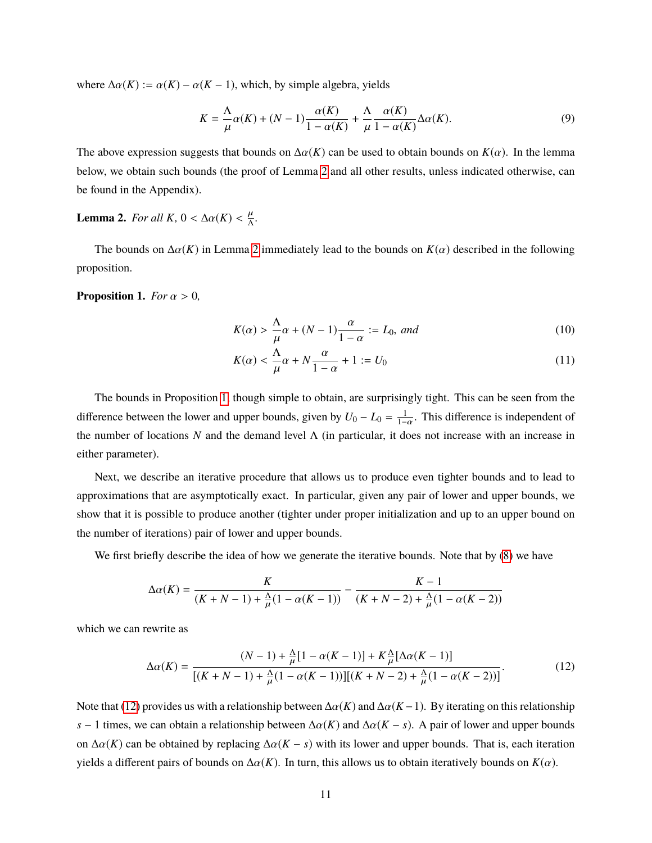where  $\Delta \alpha(K) := \alpha(K) - \alpha(K - 1)$ , which, by simple algebra, yields

<span id="page-10-4"></span>
$$
K = \frac{\Lambda}{\mu}\alpha(K) + (N-1)\frac{\alpha(K)}{1-\alpha(K)} + \frac{\Lambda}{\mu}\frac{\alpha(K)}{1-\alpha(K)}\Delta\alpha(K). \tag{9}
$$

The above expression suggests that bounds on  $\Delta \alpha(K)$  can be used to obtain bounds on  $K(\alpha)$ . In the lemma below, we obtain such bounds (the proof of Lemma [2](#page-10-1) and all other results, unless indicated otherwise, can be found in the Appendix).

# <span id="page-10-1"></span>**Lemma 2.** *For all*  $K$ ,  $0 < \Delta \alpha(K) < \frac{\mu}{\Lambda}$ .

The bounds on  $\Delta \alpha(K)$  in Lemma [2](#page-10-1) immediately lead to the bounds on  $K(\alpha)$  described in the following proposition.

<span id="page-10-2"></span>**Proposition 1.** *For*  $\alpha > 0$ *,* 

<span id="page-10-0"></span>
$$
K(\alpha) > \frac{\Lambda}{\mu}\alpha + (N-1)\frac{\alpha}{1-\alpha} := L_0, \text{ and}
$$
\n(10)

$$
K(\alpha) < \frac{\Lambda}{\mu}\alpha + N\frac{\alpha}{1-\alpha} + 1 := U_0 \tag{11}
$$

The bounds in Proposition [1,](#page-10-2) though simple to obtain, are surprisingly tight. This can be seen from the difference between the lower and upper bounds, given by  $U_0 - L_0 = \frac{1}{1-\alpha}$ . This difference is independent of the number of locations *N* and the demand level  $\Lambda$  (in particular, it does not increase with an increase in either parameter).

Next, we describe an iterative procedure that allows us to produce even tighter bounds and to lead to approximations that are asymptotically exact. In particular, given any pair of lower and upper bounds, we show that it is possible to produce another (tighter under proper initialization and up to an upper bound on the number of iterations) pair of lower and upper bounds.

We first briefly describe the idea of how we generate the iterative bounds. Note that by  $(8)$  we have

$$
\Delta \alpha(K) = \frac{K}{(K+N-1) + \frac{\Delta}{\mu}(1 - \alpha(K-1))} - \frac{K-1}{(K+N-2) + \frac{\Delta}{\mu}(1 - \alpha(K-2))}
$$

which we can rewrite as

<span id="page-10-3"></span>
$$
\Delta\alpha(K) = \frac{(N-1) + \frac{\Delta}{\mu}[1 - \alpha(K-1)] + K\frac{\Delta}{\mu}[\Delta\alpha(K-1)]}{[(K+N-1) + \frac{\Delta}{\mu}(1 - \alpha(K-1))][(K+N-2) + \frac{\Delta}{\mu}(1 - \alpha(K-2))]}.
$$
(12)

Note that [\(12\)](#page-10-3) provides us with a relationship between  $\Delta \alpha(K)$  and  $\Delta \alpha(K-1)$ . By iterating on this relationship *s* − 1 times, we can obtain a relationship between  $\Delta \alpha(K)$  and  $\Delta \alpha(K - s)$ . A pair of lower and upper bounds on  $\Delta \alpha(K)$  can be obtained by replacing  $\Delta \alpha(K - s)$  with its lower and upper bounds. That is, each iteration yields a different pairs of bounds on  $\Delta \alpha(K)$ . In turn, this allows us to obtain iteratively bounds on  $K(\alpha)$ .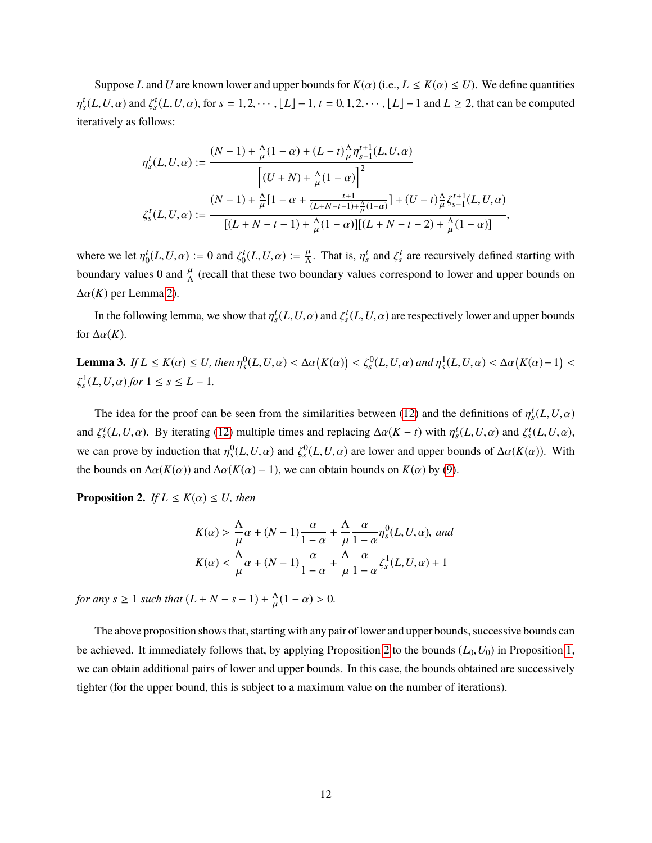Suppose *L* and *U* are known lower and upper bounds for  $K(\alpha)$  (i.e.,  $L \leq K(\alpha) \leq U$ ). We define quantities η  $t_s^t(L, U, \alpha)$  and  $\zeta_s^t(L, U, \alpha)$ , for  $s = 1, 2, \dots, \lfloor L \rfloor - 1$ ,  $t = 0, 1, 2, \dots, \lfloor L \rfloor - 1$  and  $L \ge 2$ , that can be computed iteratively as follows:

$$
\begin{split} \eta_s^t(L,U,\alpha):=\frac{(N-1)+\frac{\Lambda}{\mu}(1-\alpha)+(L-t)\frac{\Lambda}{\mu}\eta_{s-1}^{t+1}(L,U,\alpha)}{\left[(U+N)+\frac{\Lambda}{\mu}(1-\alpha)\right]^2}\\ \zeta_s^t(L,U,\alpha):=\frac{(N-1)+\frac{\Lambda}{\mu}[1-\alpha+\frac{t+1}{(L+N-t-1)+\frac{\Lambda}{\mu}(1-\alpha)}]+(U-t)\frac{\Lambda}{\mu}\zeta_{s-1}^{t+1}(L,U,\alpha)}{\left[(L+N-t-1)+\frac{\Lambda}{\mu}(1-\alpha)\right][(L+N-t-2)+\frac{\Lambda}{\mu}(1-\alpha)]}, \end{split}
$$

where we let  $\eta_0^t$  $\iota_0^t(L, U, \alpha) := 0$  and  $\zeta_0^t$  $C_0^t(L, U, \alpha) := \frac{\mu}{\Delta}$ . That is,  $\eta_s^t$  and  $\zeta_s^t$  are recursively defined starting with boundary values 0 and  $\frac{\mu}{\Lambda}$  (recall that these two boundary values correspond to lower and upper bounds on  $\Delta \alpha(K)$  per Lemma [2\)](#page-10-1).

In the following lemma, we show that  $\eta_s^t(L, U, \alpha)$  and  $\zeta_s^t(L, U, \alpha)$  are respectively lower and upper bounds for  $\Delta \alpha(K)$ .

<span id="page-11-1"></span>**Lemma 3.** *If*  $L \le K(\alpha) \le U$ , then  $\eta_s^0(L, U, \alpha) < \Delta \alpha(K(\alpha)) < \zeta_s^0(L, U, \alpha)$  and  $\eta_s^1(L, U, \alpha) < \Delta \alpha(K(\alpha) - 1)$ ζ  $\int_{s}^{1}(L, U, \alpha)$  *for*  $1 \leq s \leq L - 1$ *.* 

The idea for the proof can be seen from the similarities between [\(12\)](#page-10-3) and the definitions of  $\eta_s^t(L, U, \alpha)$ and  $\zeta_s^t(L, U, \alpha)$ . By iterating [\(12\)](#page-10-3) multiple times and replacing  $\Delta \alpha (K - t)$  with  $\eta_s^t(L, U, \alpha)$  and  $\zeta_s^t(L, U, \alpha)$ , we can prove by induction that  $\eta_s^0(L, U, \alpha)$  and  $\zeta_s^0(L, U, \alpha)$  are lower and upper bounds of  $\Delta \alpha(K(\alpha))$ . With the bounds on  $\Delta \alpha(K(\alpha))$  and  $\Delta \alpha(K(\alpha) - 1)$ , we can obtain bounds on  $K(\alpha)$  by [\(9\)](#page-10-4).

<span id="page-11-0"></span>**Proposition 2.** *If*  $L \leq K(\alpha) \leq U$ *, then* 

$$
K(\alpha) > \frac{\Lambda}{\mu}\alpha + (N-1)\frac{\alpha}{1-\alpha} + \frac{\Lambda}{\mu}\frac{\alpha}{1-\alpha}\eta_s^0(L, U, \alpha), \text{ and}
$$
  

$$
K(\alpha) < \frac{\Lambda}{\mu}\alpha + (N-1)\frac{\alpha}{1-\alpha} + \frac{\Lambda}{\mu}\frac{\alpha}{1-\alpha}\zeta_s^1(L, U, \alpha) + 1
$$

*for any*  $s \geq 1$  *such that*  $(L + N - s - 1) + \frac{\Delta}{\mu}$  $\frac{\Delta}{\mu}(1-\alpha) > 0.$ 

The above proposition shows that, starting with any pair of lower and upper bounds, successive bounds can be achieved. It immediately follows that, by applying Proposition [2](#page-11-0) to the bounds  $(L_0, U_0)$  in Proposition [1,](#page-10-2) we can obtain additional pairs of lower and upper bounds. In this case, the bounds obtained are successively tighter (for the upper bound, this is subject to a maximum value on the number of iterations).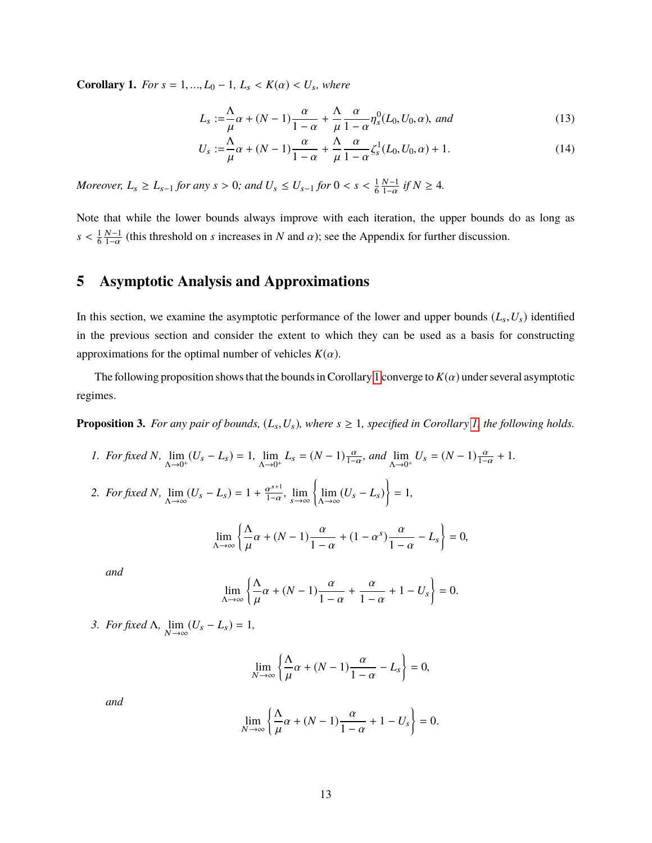<span id="page-12-1"></span>**Corollary 1.** *For*  $s = 1, ..., L_0 - 1$ ,  $L_s < K(\alpha) < U_s$ , where

<span id="page-12-4"></span><span id="page-12-3"></span>
$$
L_s := \frac{\Lambda}{\mu}\alpha + (N-1)\frac{\alpha}{1-\alpha} + \frac{\Lambda}{\mu}\frac{\alpha}{1-\alpha}\eta_s^0(L_0, U_0, \alpha), \text{ and}
$$
\n
$$
\Lambda \qquad (13)
$$

$$
U_s := \frac{\Lambda}{\mu} \alpha + (N - 1) \frac{\alpha}{1 - \alpha} + \frac{\Lambda}{\mu} \frac{\alpha}{1 - \alpha} \zeta_s^1(L_0, U_0, \alpha) + 1.
$$
 (14)

*Moreover,*  $L_s \ge L_{s-1}$  *for any*  $s > 0$ *; and*  $U_s \le U_{s-1}$  *for*  $0 < s < \frac{1}{6}$ 6  $N-1$  $\frac{N-1}{1-\alpha}$  *if*  $N \geq 4$ .

Note that while the lower bounds always improve with each iteration, the upper bounds do as long as  $s < \frac{1}{6}$ 6  $N-1$  $\frac{N-1}{1-\alpha}$  (this threshold on *s* increases in *N* and  $\alpha$ ); see the Appendix for further discussion.

### <span id="page-12-0"></span>**5 Asymptotic Analysis and Approximations**

In this section, we examine the asymptotic performance of the lower and upper bounds  $(L_s, U_s)$  identified in the previous section and consider the extent to which they can be used as a basis for constructing approximations for the optimal number of vehicles  $K(\alpha)$ .

The following proposition shows that the bounds in Corollary [1](#page-12-1) converge to  $K(\alpha)$  under several asymptotic regimes.

<span id="page-12-2"></span>**Proposition 3.** *For any pair of bounds,*  $(L_s, U_s)$ *, where*  $s \geq 1$ *, specified in Corollary [1,](#page-12-1) the following holds.* 

*1. For fixed N*,  $\lim_{\Delta \to 0^+} (U_s - L_s) = 1$ ,  $\lim_{\Delta \to 0^+} L_s = (N - 1) \frac{\alpha}{1 - \alpha}$ , and  $\lim_{\Delta \to 0^+} U_s = (N - 1) \frac{\alpha}{1 - \alpha} + 1$ .

2. *For fixed N*,  $\lim_{\Delta \to \infty} (U_s - L_s) = 1 + \frac{\alpha^{s+1}}{1-\alpha}$  $\frac{\alpha^{s+1}}{1-\alpha}$ ,  $\lim_{s \to \infty} \left\{ \lim_{\Delta \to \infty} (U_s - L_s) \right\} = 1,$ 

$$
\lim_{\Delta \to \infty} \left\{ \frac{\Delta}{\mu} \alpha + (N - 1) \frac{\alpha}{1 - \alpha} + (1 - \alpha^s) \frac{\alpha}{1 - \alpha} - L_s \right\} = 0,
$$

*and*

$$
\lim_{\Delta \to \infty} \left\{ \frac{\Delta}{\mu} \alpha + (N - 1) \frac{\alpha}{1 - \alpha} + \frac{\alpha}{1 - \alpha} + 1 - U_s \right\} = 0.
$$

*3. For fixed* Λ*,*  $\lim_{N \to \infty} (U_s - L_s) = 1$ *,* 

$$
\lim_{N \to \infty} \left\{ \frac{\Lambda}{\mu} \alpha + (N - 1) \frac{\alpha}{1 - \alpha} - L_s \right\} = 0,
$$

*and*

$$
\lim_{N \to \infty} \left\{ \frac{\Lambda}{\mu} \alpha + (N - 1) \frac{\alpha}{1 - \alpha} + 1 - U_s \right\} = 0.
$$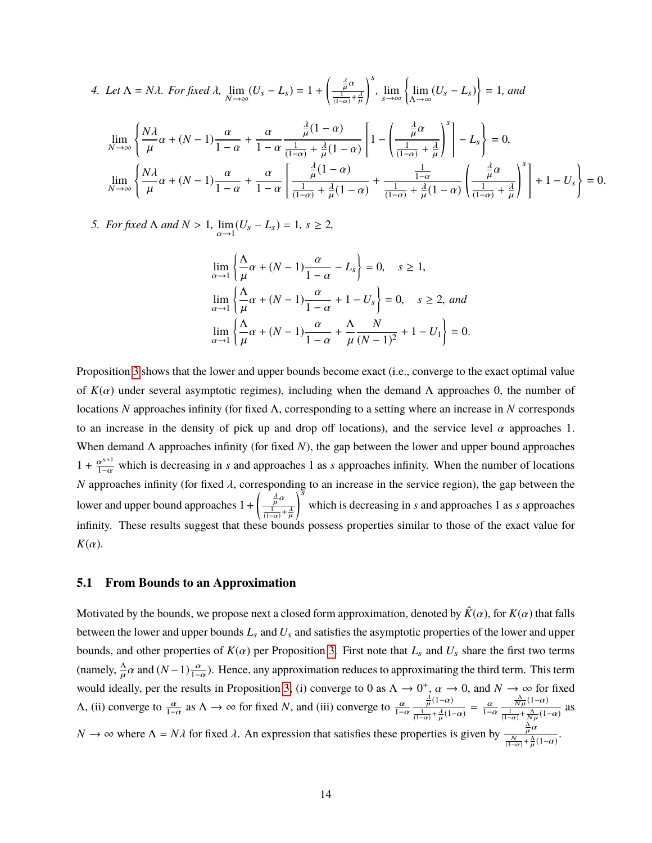4. Let 
$$
\Lambda = N\lambda
$$
. For fixed  $\lambda$ ,  $\lim_{N \to \infty} (U_s - L_s) = 1 + \left(\frac{\frac{\lambda}{\mu} \alpha}{\frac{1}{(1-\alpha)} + \frac{\lambda}{\mu}}\right)^s$ ,  $\lim_{s \to \infty} \left\{\lim_{\Lambda \to \infty} (U_s - L_s)\right\} = 1$ , and  
\n
$$
\lim_{N \to \infty} \left\{\frac{N\lambda}{\mu} \alpha + (N-1)\frac{\alpha}{1-\alpha} + \frac{\alpha}{1-\alpha} \frac{\frac{\lambda}{\mu}(1-\alpha)}{\frac{1}{(1-\alpha)} + \frac{\lambda}{\mu}(1-\alpha)} \left[1 - \left(\frac{\frac{\lambda}{\mu} \alpha}{\frac{1}{(1-\alpha)} + \frac{\lambda}{\mu}}\right)^s\right] - L_s\right\} = 0,
$$
\n
$$
\lim_{N \to \infty} \left\{\frac{N\lambda}{\mu} \alpha + (N-1)\frac{\alpha}{1-\alpha} + \frac{\alpha}{1-\alpha} \left[\frac{\frac{\lambda}{\mu}(1-\alpha)}{\frac{1}{(1-\alpha)} + \frac{\lambda}{\mu}(1-\alpha)} + \frac{\frac{1}{1-\alpha}}{\frac{1}{(1-\alpha)} + \frac{\lambda}{\mu}(1-\alpha)} \left(\frac{\frac{\lambda}{\mu} \alpha}{\frac{1}{(1-\alpha)} + \frac{\lambda}{\mu}}\right)^s\right] + 1 - U_s\right\} = 0.
$$

*5. For fixed*  $\Lambda$  *and*  $N > 1$ ,  $\lim_{\alpha \to 1}$  $(U_s - L_s) = 1, s ≥ 2,$ 

$$
\lim_{\alpha \to 1} \left\{ \frac{\Delta}{\mu} \alpha + (N - 1) \frac{\alpha}{1 - \alpha} - L_s \right\} = 0, \quad s \ge 1,
$$
  

$$
\lim_{\alpha \to 1} \left\{ \frac{\Delta}{\mu} \alpha + (N - 1) \frac{\alpha}{1 - \alpha} + 1 - U_s \right\} = 0, \quad s \ge 2, \text{ and}
$$
  

$$
\lim_{\alpha \to 1} \left\{ \frac{\Delta}{\mu} \alpha + (N - 1) \frac{\alpha}{1 - \alpha} + \frac{\Delta}{\mu} \frac{N}{(N - 1)^2} + 1 - U_1 \right\} = 0.
$$

Proposition [3](#page-12-2) shows that the lower and upper bounds become exact (i.e., converge to the exact optimal value of  $K(\alpha)$  under several asymptotic regimes), including when the demand  $\Lambda$  approaches 0, the number of locations *N* approaches infinity (for fixed Λ, corresponding to a setting where an increase in *N* corresponds to an increase in the density of pick up and drop off locations), and the service level  $\alpha$  approaches 1. When demand Λ approaches infinity (for fixed *N*), the gap between the lower and upper bound approaches  $1 + \frac{\alpha^{s+1}}{1-\alpha}$  which is decreasing in *s* and approaches 1 as *s* approaches infinity. When the number of locations *N* approaches infinity (for fixed  $\lambda$ , corresponding to an increase in the service region), the gap between the lower and upper bound approaches  $1+$  $\left(\frac{\frac{\lambda}{\mu}\alpha}{\frac{1}{(1-\alpha)}+\frac{\lambda}{\mu}}\right)$  $\sum$ which is decreasing in *s* and approaches 1 as *s* approaches infinity. These results suggest that these bounds possess properties similar to those of the exact value for  $K(\alpha)$ .

#### **5.1 From Bounds to an Approximation**

Motivated by the bounds, we propose next a closed form approximation, denoted by  $\hat{K}(\alpha)$ , for  $K(\alpha)$  that falls between the lower and upper bounds *L*<sup>s</sup> and *U*<sup>s</sup> and satisfies the asymptotic properties of the lower and upper bounds, and other properties of  $K(\alpha)$  per Proposition [3.](#page-12-2) First note that  $L_s$  and  $U_s$  share the first two terms (namely,  $\frac{\Delta}{\mu} \alpha$  and  $(N-1) \frac{\alpha}{1-\alpha}$ ). Hence, any approximation reduces to approximating the third term. This term  $\mu$  and  $(\lambda - 1)$   $\frac{1}{1-\alpha}$ would ideally, per the results in Proposition [3,](#page-12-2) (i) converge to 0 as  $\Lambda \to 0^+$ ,  $\alpha \to 0$ , and  $N \to \infty$  for fixed A, (ii) converge to  $\frac{\alpha}{1-\alpha}$  as  $\Lambda \to \infty$  for fixed *N*, and (iii) converge to  $\frac{\alpha}{1-\alpha}$  $rac{\frac{\lambda}{\mu}(1-\alpha)}{\frac{1}{(1-\alpha)}+\frac{\lambda}{\mu}(1-\alpha)} = \frac{\alpha}{1-\alpha}$ µ  $\frac{\frac{\Lambda}{N\mu}(1-\alpha)}{\frac{1}{(1-\alpha)}+\frac{\Lambda}{N\mu}(1-\alpha)}$  as *N*  $\rightarrow \infty$  where  $\Lambda = N\lambda$  for fixed  $\lambda$ . An expression that satisfies these properties is given by  $\frac{\frac{\Lambda}{N}}{(1-\alpha)^+}$  $\frac{\mu^{\alpha}}{(1-\alpha)} + \frac{\Lambda}{\mu}(1-\alpha)$ . µ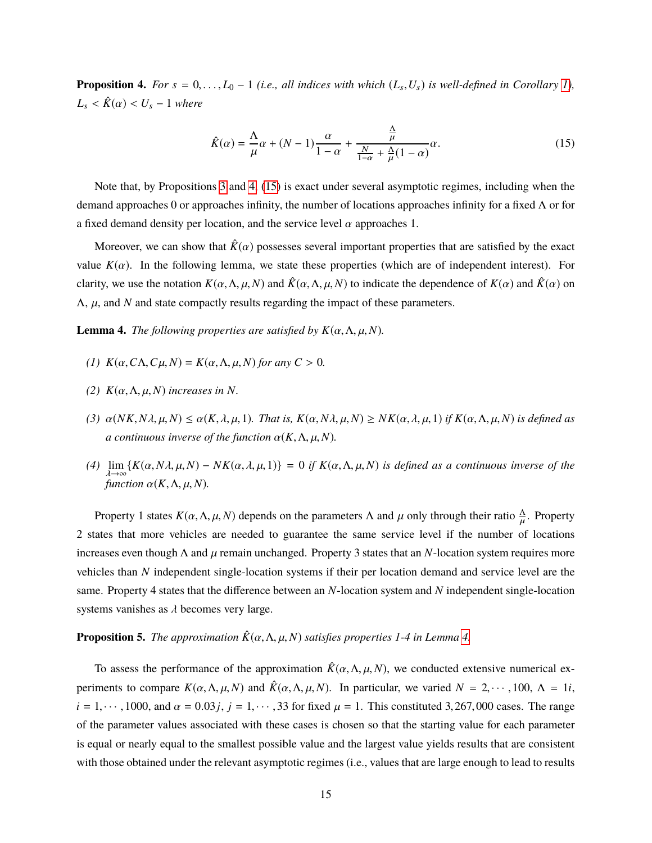<span id="page-14-0"></span>**Proposition 4.** For  $s = 0, \ldots, L_0 - 1$  (*i.e., all indices with which*  $(L_s, U_s)$  *is well-defined in Corollary [1\)](#page-12-1)*,  $L_s < \hat{K}(\alpha) < U_s - 1$  *where* 

<span id="page-14-1"></span>
$$
\hat{K}(\alpha) = \frac{\Lambda}{\mu}\alpha + (N-1)\frac{\alpha}{1-\alpha} + \frac{\frac{\Lambda}{\mu}}{\frac{N}{1-\alpha} + \frac{\Lambda}{\mu}(1-\alpha)}\alpha.
$$
\n(15)

Note that, by Propositions [3](#page-12-2) and [4,](#page-14-0) [\(15\)](#page-14-1) is exact under several asymptotic regimes, including when the demand approaches 0 or approaches infinity, the number of locations approaches infinity for a fixed Λ or for a fixed demand density per location, and the service level  $\alpha$  approaches 1.

Moreover, we can show that  $\hat{K}(\alpha)$  possesses several important properties that are satisfied by the exact value  $K(\alpha)$ . In the following lemma, we state these properties (which are of independent interest). For clarity, we use the notation  $K(\alpha, \Lambda, \mu, N)$  and  $\hat{K}(\alpha, \Lambda, \mu, N)$  to indicate the dependence of  $K(\alpha)$  and  $\hat{K}(\alpha)$  on  $\Lambda$ ,  $\mu$ , and *N* and state compactly results regarding the impact of these parameters.

<span id="page-14-2"></span>**Lemma 4.** *The following properties are satisfied by*  $K(\alpha, \Lambda, \mu, N)$ *.* 

- *(1)*  $K(\alpha, C\Lambda, C\mu, N) = K(\alpha, \Lambda, \mu, N)$  *for any*  $C > 0$ *.*
- *(2)*  $K(α, Λ, μ, N)$  *increases in N.*
- *(3)* α(*NK*,*N*λ, µ,*N*) ≤ α(*K*, λ, µ, <sup>1</sup>)*. That is, <sup>K</sup>*(α,*N*λ, µ,*N*) ≥ *NK*(α, λ, µ, <sup>1</sup>) *if <sup>K</sup>*(α,Λ, µ,*N*) *is defined as a continuous inverse of the function*  $\alpha(K, \Lambda, \mu, N)$ *.*
- *(4)* lim {*K*(α,*N*λ, µ,*N*) − *NK*(α, λ, µ, <sup>1</sup>)} <sup>=</sup> <sup>0</sup> *if <sup>K</sup>*(α,Λ, µ,*N*) *is defined as a continuous inverse of the* λ→∞<br>func *function*  $\alpha(K, \Lambda, \mu, N)$ .

Property 1 states  $K(\alpha, \Lambda, \mu, N)$  depends on the parameters  $\Lambda$  and  $\mu$  only through their ratio  $\frac{\Lambda}{\mu}$ . Property µ 2 states that more vehicles are needed to guarantee the same service level if the number of locations increases even though  $\Lambda$  and  $\mu$  remain unchanged. Property 3 states that an *N*-location system requires more vehicles than *N* independent single-location systems if their per location demand and service level are the same. Property 4 states that the difference between an *N*-location system and *N* independent single-location systems vanishes as  $\lambda$  becomes very large.

#### <span id="page-14-3"></span>**Proposition 5.** *The approximation*  $\hat{K}(\alpha, \Lambda, \mu, N)$  *satisfies properties* 1-4 *in Lemma* [4.](#page-14-2)

To assess the performance of the approximation  $\hat{K}(\alpha, \Lambda, \mu, N)$ , we conducted extensive numerical experiments to compare  $K(\alpha, \Lambda, \mu, N)$  and  $\hat{K}(\alpha, \Lambda, \mu, N)$ . In particular, we varied  $N = 2, \dots, 100, \Lambda = 1i$ ,  $i = 1, \dots, 1000$ , and  $\alpha = 0.03j$ ,  $j = 1, \dots, 33$  for fixed  $\mu = 1$ . This constituted 3, 267, 000 cases. The range of the parameter values associated with these cases is chosen so that the starting value for each parameter is equal or nearly equal to the smallest possible value and the largest value yields results that are consistent with those obtained under the relevant asymptotic regimes (i.e., values that are large enough to lead to results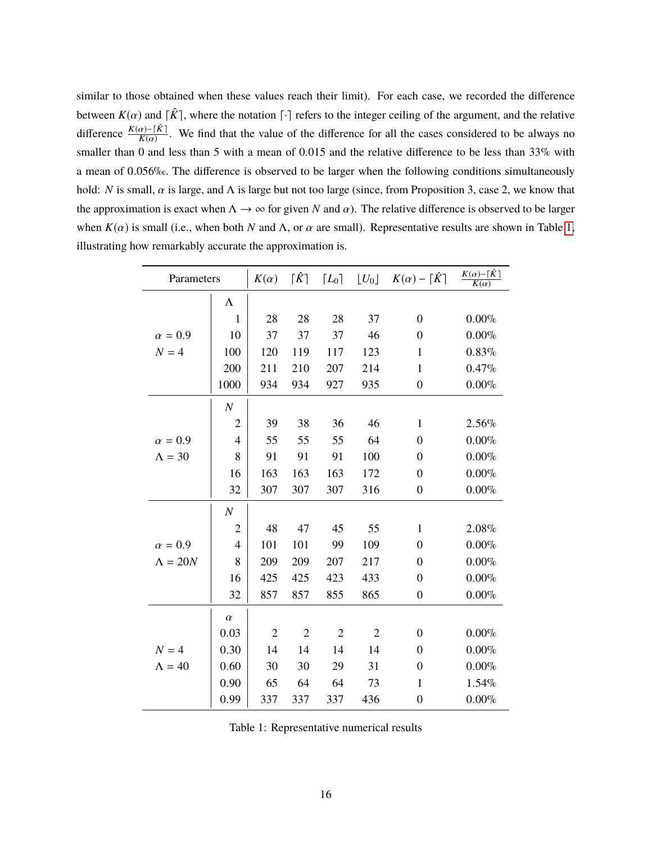similar to those obtained when these values reach their limit). For each case, we recorded the difference between  $K(\alpha)$  and  $\lceil \hat{K} \rceil$ , where the notation  $\lceil \cdot \rceil$  refers to the integer ceiling of the argument, and the relative difference  $\frac{K(\alpha)-\lceil \hat{K} \rceil}{K(\alpha)}$  $\frac{R(n-1)}{K(n)}$ . We find that the value of the difference for all the cases considered to be always no smaller than <sup>0</sup> and less than <sup>5</sup> with a mean of <sup>0</sup>.<sup>015</sup> and the relative difference to be less than 33% with a mean of <sup>0</sup>.056‰. The difference is observed to be larger when the following conditions simultaneously hold: *N* is small,  $\alpha$  is large, and  $\Lambda$  is large but not too large (since, from Proposition 3, case 2, we know that the approximation is exact when  $\Lambda \to \infty$  for given *N* and  $\alpha$ ). The relative difference is observed to be larger when  $K(\alpha)$  is small (i.e., when both *N* and  $\Lambda$ , or  $\alpha$  are small). Representative results are shown in Table [1,](#page-15-0) illustrating how remarkably accurate the approximation is.

<span id="page-15-0"></span>

| Parameters      |                  | $K(\alpha)$    | $\lceil \hat{K} \rceil$ | $\lceil L_0 \rceil$ | $\lfloor U_0 \rfloor$ | $K(\alpha) - \lceil \hat{K} \rceil$ | $\frac{K(\alpha)-\lceil \hat{K} \rceil}{K(\alpha)}$ |
|-----------------|------------------|----------------|-------------------------|---------------------|-----------------------|-------------------------------------|-----------------------------------------------------|
|                 | $\Lambda$        |                |                         |                     |                       |                                     |                                                     |
|                 | $\mathbf{1}$     | 28             | 28                      | 28                  | 37                    | $\overline{0}$                      | $0.00\%$                                            |
| $\alpha = 0.9$  | 10               | 37             | 37                      | 37                  | 46                    | $\theta$                            | $0.00\%$                                            |
| $N = 4$         | 100              | 120            | 119                     | 117                 | 123                   | $\mathbf{1}$                        | 0.83%                                               |
|                 | 200              | 211            | 210                     | 207                 | 214                   | $\mathbf{1}$                        | 0.47%                                               |
|                 | 1000             | 934            | 934                     | 927                 | 935                   | $\boldsymbol{0}$                    | $0.00\%$                                            |
|                 | $\cal N$         |                |                         |                     |                       |                                     |                                                     |
|                 | $\overline{2}$   | 39             | 38                      | 36                  | 46                    | $\mathbf{1}$                        | 2.56%                                               |
| $\alpha = 0.9$  | $\overline{4}$   | 55             | 55                      | 55                  | 64                    | $\overline{0}$                      | $0.00\%$                                            |
| $\Lambda = 30$  | 8                | 91             | 91                      | 91                  | 100                   | $\overline{0}$                      | $0.00\%$                                            |
|                 | 16               | 163            | 163                     | 163                 | 172                   | $\overline{0}$                      | $0.00\%$                                            |
|                 | 32               | 307            | 307                     | 307                 | 316                   | $\boldsymbol{0}$                    | $0.00\%$                                            |
|                 | $\boldsymbol{N}$ |                |                         |                     |                       |                                     |                                                     |
|                 | $\overline{2}$   | 48             | 47                      | 45                  | 55                    | $\mathbf{1}$                        | 2.08%                                               |
| $\alpha = 0.9$  | $\overline{4}$   | 101            | 101                     | 99                  | 109                   | $\overline{0}$                      | $0.00\%$                                            |
| $\Lambda = 20N$ | 8                | 209            | 209                     | 207                 | 217                   | $\overline{0}$                      | $0.00\%$                                            |
|                 | 16               | 425            | 425                     | 423                 | 433                   | $\boldsymbol{0}$                    | $0.00\%$                                            |
|                 | 32               | 857            | 857                     | 855                 | 865                   | $\boldsymbol{0}$                    | $0.00\%$                                            |
|                 | $\alpha$         |                |                         |                     |                       |                                     |                                                     |
|                 | 0.03             | $\overline{2}$ | $\overline{2}$          | $\overline{2}$      | $\overline{2}$        | $\overline{0}$                      | $0.00\%$                                            |
| $N = 4$         | 0.30             | 14             | 14                      | 14                  | 14                    | $\boldsymbol{0}$                    | $0.00\%$                                            |
| $\Lambda = 40$  | 0.60             | 30             | 30                      | 29                  | 31                    | $\overline{0}$                      | $0.00\%$                                            |
|                 | 0.90             | 65             | 64                      | 64                  | 73                    | $\mathbf{1}$                        | 1.54%                                               |
|                 | 0.99             | 337            | 337                     | 337                 | 436                   | $\boldsymbol{0}$                    | $0.00\%$                                            |

<span id="page-15-1"></span>Table 1: Representative numerical results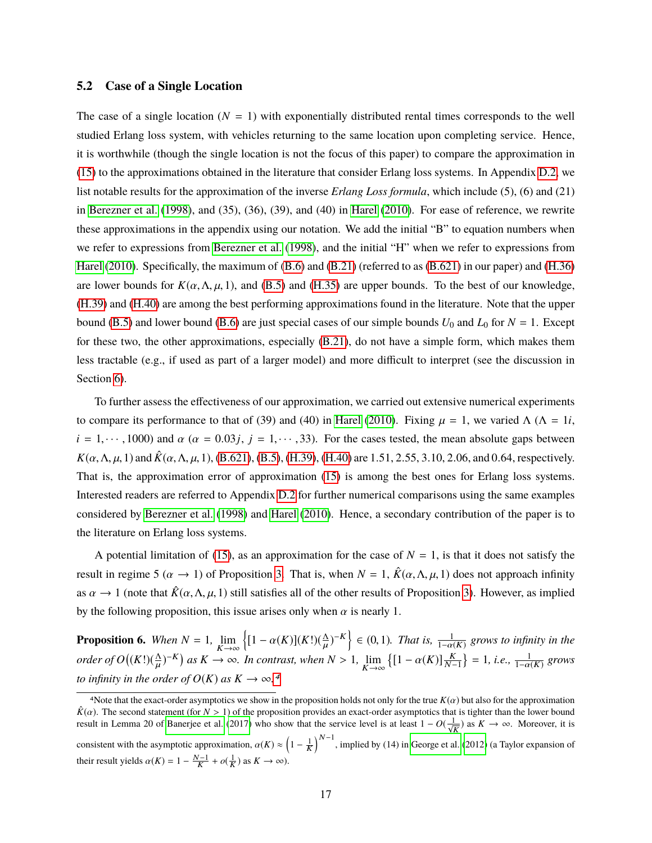#### **5.2 Case of a Single Location**

The case of a single location  $(N = 1)$  with exponentially distributed rental times corresponds to the well studied Erlang loss system, with vehicles returning to the same location upon completing service. Hence, it is worthwhile (though the single location is not the focus of this paper) to compare the approximation in [\(15\)](#page-14-1) to the approximations obtained in the literature that consider Erlang loss systems. In Appendix [D.2,](#page-48-0) we list notable results for the approximation of the inverse *Erlang Loss formula*, which include (5), (6) and (21) in [Berezner et al.](#page-23-5) [\(1998\)](#page-23-5), and (35), (36), (39), and (40) in [Harel](#page-24-12) [\(2010\)](#page-24-12). For ease of reference, we rewrite these approximations in the appendix using our notation. We add the initial "B" to equation numbers when we refer to expressions from [Berezner et al.](#page-23-5) [\(1998\)](#page-23-5), and the initial "H" when we refer to expressions from [Harel](#page-24-12) [\(2010\)](#page-24-12). Specifically, the maximum of [\(B.6\)](#page-49-0) and [\(B.21\)](#page-49-1) (referred to as [\(B.621\)](#page-49-2) in our paper) and [\(H.36\)](#page-49-3) are lower bounds for  $K(\alpha, \Lambda, \mu, 1)$ , and [\(B.5\)](#page-49-4) and [\(H.35\)](#page-49-5) are upper bounds. To the best of our knowledge, [\(H.39\)](#page-49-6) and [\(H.40\)](#page-49-7) are among the best performing approximations found in the literature. Note that the upper bound [\(B.5\)](#page-49-4) and lower bound [\(B.6\)](#page-49-0) are just special cases of our simple bounds  $U_0$  and  $L_0$  for  $N = 1$ . Except for these two, the other approximations, especially [\(B.21\)](#page-49-1), do not have a simple form, which makes them less tractable (e.g., if used as part of a larger model) and more difficult to interpret (see the discussion in Section [6\)](#page-17-0).

To further assess the effectiveness of our approximation, we carried out extensive numerical experiments to compare its performance to that of (39) and (40) in [Harel](#page-24-12) [\(2010\)](#page-24-12). Fixing  $\mu = 1$ , we varied  $\Lambda$  ( $\Lambda = 1i$ ,  $i = 1, \dots, 1000$  and  $\alpha$  ( $\alpha = 0.03j, j = 1, \dots, 33$ ). For the cases tested, the mean absolute gaps between  $K(\alpha, \Lambda, \mu, 1)$  and  $\hat{K}(\alpha, \Lambda, \mu, 1)$ , [\(B.621\)](#page-49-2), [\(B.5\)](#page-49-4), [\(H.39\)](#page-49-6), [\(H.40\)](#page-49-7) are 1.51, 2.55, 3.10, 2.06, and 0.64, respectively. That is, the approximation error of approximation [\(15\)](#page-14-1) is among the best ones for Erlang loss systems. Interested readers are referred to Appendix [D.2](#page-48-0) for further numerical comparisons using the same examples considered by [Berezner et al.](#page-23-5) [\(1998\)](#page-23-5) and [Harel](#page-24-12) [\(2010\)](#page-24-12). Hence, a secondary contribution of the paper is to the literature on Erlang loss systems.

A potential limitation of [\(15\)](#page-14-1), as an approximation for the case of  $N = 1$ , is that it does not satisfy the result in regime 5 ( $\alpha \to 1$ ) of Proposition [3.](#page-12-2) That is, when  $N = 1$ ,  $\hat{K}(\alpha, \Lambda, \mu, 1)$  does not approach infinity as  $\alpha \to 1$  (note that  $\hat{K}(\alpha,\Lambda,\mu,1)$  still satisfies all of the other results of Proposition [3\)](#page-12-2). However, as implied by the following proposition, this issue arises only when  $\alpha$  is nearly 1.

<span id="page-16-0"></span>**Proposition 6.** *When*  $N = 1$ ,  $\lim_{K \to \infty}$  $\left\{ [1 - \alpha(K)](K!) (\frac{\Delta}{\mu}) \right\}$  $(-)^{-K}$   $\in (0, 1)$ *. That is,*  $\frac{1}{1-\alpha(K)}$  *grows to infinity in the order of*  $O((K!)(\frac{\Lambda}{\mu})^{-K})$  *as*  $K \to \infty$ *. In contrast, when*  $N > 1$ ,  $\lim_{K \to \infty} \{ [1 - \alpha(K)] \frac{K}{N-1} \} = 1$ *, i.e.,*  $\frac{1}{1 - \alpha(K)}$  grows *to infinity in the order of*  $O(K)$  *as*  $K \to \infty$ <sup>[4](#page-0-0)</sup>

<sup>&</sup>lt;sup>4</sup>Note that the exact-order asymptotics we show in the proposition holds not only for the true  $K(\alpha)$  but also for the approximation  $\hat{K}(\alpha)$ . The second statement (for *N* > 1) of the proposition provides an exact-order asymptotics that is tighter than the lower bound result in Lemma 20 of [Banerjee et al.](#page-23-2) [\(2017\)](#page-23-2) who show that the service level is at least  $1 - O(\frac{1}{\sqrt{K}})$  as  $K \to \infty$ . Moreover, it is consistent with the asymptotic approximation,  $\alpha(K) \approx \left(1 - \frac{1}{K}\right)^{N-1}$ , implied by (14) in [George et al.](#page-24-5) [\(2012\)](#page-24-5) (a Taylor expansion of their result yields  $\alpha(K) = 1 - \frac{N-1}{K} + o(\frac{1}{K})$  as  $K \to \infty$ ).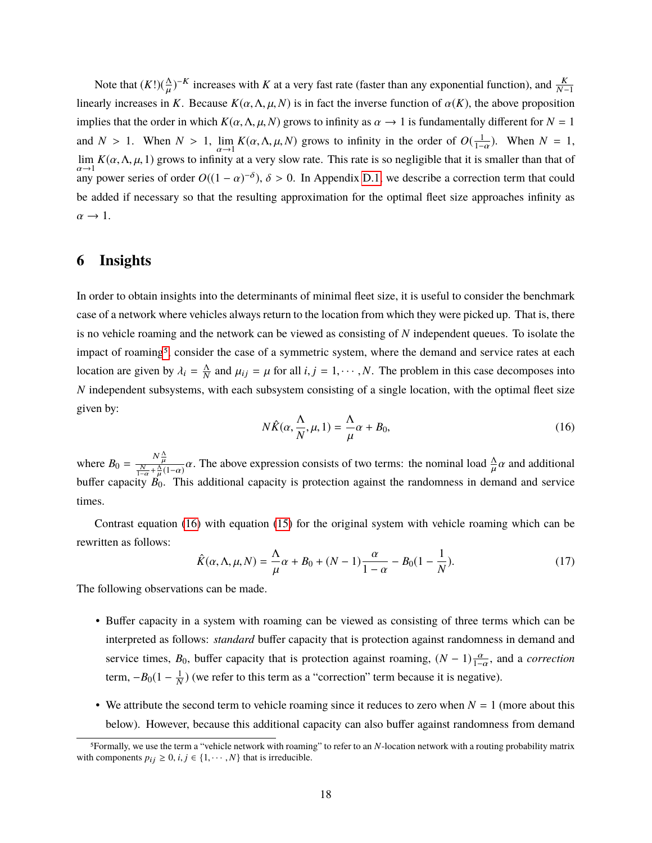Note that  $(K!)$ ( $\frac{\Delta}{H}$ )  $\mathbf{r}$  $\mathcal{L}$ <sup>–K</sup> increases with *K* at a very fast rate (faster than any exponential function), and  $\frac{K}{N-1}$ linearly increases in *K*. Because  $K(\alpha, \Lambda, \mu, N)$  is in fact the inverse function of  $\alpha(K)$ , the above proposition implies that the order in which  $K(\alpha, \Lambda, \mu, N)$  grows to infinity as  $\alpha \to 1$  is fundamentally different for  $N = 1$ and *N* > 1. When *N* > 1,  $\lim_{\alpha \to 1} K(\alpha, \Lambda, \mu, N)$  grows to infinity in the order of  $O(\frac{1}{1-\alpha})$ . When *N* = 1,  $\lim_{\alpha \to 1} K(\alpha, \Lambda, \mu, 1)$  grows to infinity at a very slow rate. This rate is so negligible that it is smal lim  $lim_{\alpha \to 1} K(\alpha, \Lambda, \mu, 1)$  grows to infinity at a very slow rate. This rate is so negligible that it is smaller than that of  $\alpha \to 1$ any power series of order  $O((1 - \alpha)^{-\delta})$ ,  $\delta > 0$ . In Appendix [D.1,](#page-48-1) we describe a correction term that could be added if necessary so that the resulting approximation for the optimal fleet size approaches infinity as  $\alpha \rightarrow 1$ .

#### <span id="page-17-0"></span>**6 Insights**

In order to obtain insights into the determinants of minimal fleet size, it is useful to consider the benchmark case of a network where vehicles always return to the location from which they were picked up. That is, there is no vehicle roaming and the network can be viewed as consisting of *N* independent queues. To isolate the impact of roaming<sup>[5](#page-0-0)</sup>, consider the case of a symmetric system, where the demand and service rates at each location are given by  $\lambda_i = \frac{\Lambda}{N}$  $\frac{\Delta}{N}$  and  $\mu_{ij} = \mu$  for all  $i, j = 1, \dots, N$ . The problem in this case decomposes into *N* independent subsystems, with each subsystem consisting of a single location, with the optimal fleet size given by:

<span id="page-17-1"></span>
$$
N\hat{K}(\alpha, \frac{\Lambda}{N}, \mu, 1) = \frac{\Lambda}{\mu}\alpha + B_0,\tag{16}
$$

where  $B_0 = \frac{N\frac{\Lambda}{\mu}}{\frac{N}{\mu} + \frac{\Lambda}{\mu}}$  $\frac{N}{\mu} + \frac{\Delta}{\mu}(1-\alpha)$   $\alpha$ . The above expression consists of two terms: the nominal load  $\frac{\Delta}{\mu}\alpha$  and additional  $\frac{\Delta}{\mu}$ . buffer capacity  $B_0$ . This additional capacity is protection against the randomness in demand and service times.

Contrast equation [\(16\)](#page-17-1) with equation [\(15\)](#page-14-1) for the original system with vehicle roaming which can be rewritten as follows:

<span id="page-17-2"></span>
$$
\hat{K}(\alpha, \Lambda, \mu, N) = \frac{\Lambda}{\mu} \alpha + B_0 + (N - 1) \frac{\alpha}{1 - \alpha} - B_0 (1 - \frac{1}{N}).
$$
\n(17)

The following observations can be made.

- Buffer capacity in a system with roaming can be viewed as consisting of three terms which can be interpreted as follows: *standard* buffer capacity that is protection against randomness in demand and service times,  $B_0$ , buffer capacity that is protection against roaming,  $(N-1)\frac{\alpha}{1-\alpha}$ , and a *correction* term,  $-B_0(1 - \frac{1}{N})$  (we refer to this term as a "correction" term because it is negative).
- We attribute the second term to vehicle roaming since it reduces to zero when  $N = 1$  (more about this below). However, because this additional capacity can also buffer against randomness from demand

<sup>5</sup>Formally, we use the term a "vehicle network with roaming" to refer to an *N*-location network with a routing probability matrix with components  $p_{ij} \geq 0$ ,  $i, j \in \{1, \dots, N\}$  that is irreducible.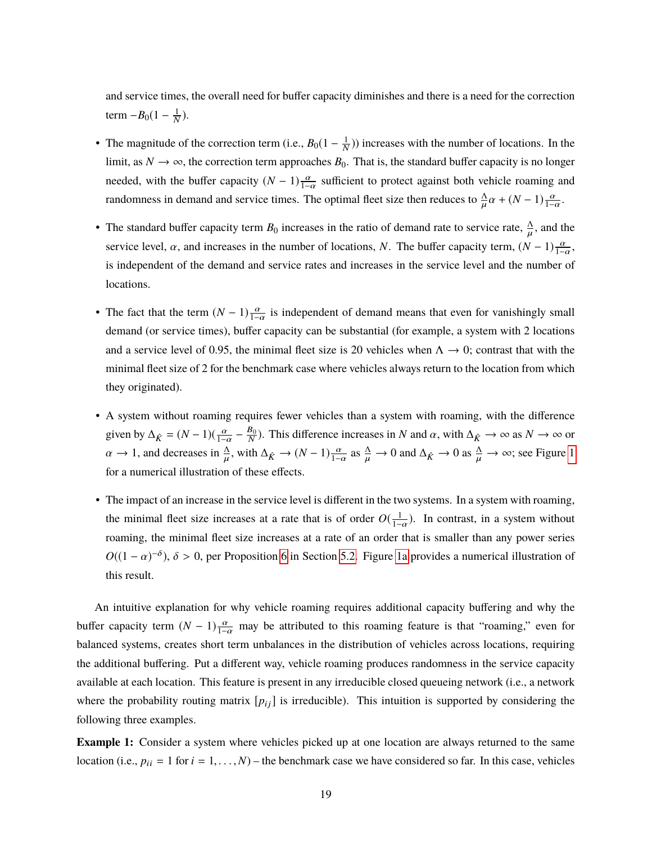and service times, the overall need for buffer capacity diminishes and there is a need for the correction term  $-B_0(1-\frac{1}{N})$ .

• The magnitude of the correction term (i.e.,  $B_0(1 - \frac{1}{N})$ ) increases with the number of locations. In the limit, as  $N \to \infty$ , the correction term approaches  $B_0$ . That is, the standard buffer capacity is no longer needed, with the buffer capacity  $(N-1)\frac{\alpha}{1-\alpha}$  sufficient to protect against both vehicle roaming and randomness in demand and service times. The optimal fleet size then reduces to  $\frac{\Delta}{\mu}\alpha + (N-1)\frac{\alpha}{1-\alpha}$ .

 $\mathbf{r}$ 

- The standard buffer capacity term  $B_0$  increases in the ratio of demand rate to service rate,  $\frac{\Lambda}{\mu}$ , and the service level,  $\alpha$ , and increases in the number of locations, *N*. The buffer capacity term,  $(N-1)\frac{\alpha}{1-\alpha}$ , is independent of the demand and service rates and increases in the service level and the number of locations.
- The fact that the term  $(N-1)\frac{\alpha}{1-\alpha}$  is independent of demand means that even for vanishingly small demand (or service times), buffer capacity can be substantial (for example, a system with 2 locations and a service level of 0.95, the minimal fleet size is 20 vehicles when  $\Lambda \rightarrow 0$ ; contrast that with the minimal fleet size of 2 for the benchmark case where vehicles always return to the location from which they originated).
- A system without roaming requires fewer vehicles than a system with roaming, with the difference given by  $\Delta_{\hat{K}} = (N-1)(\frac{\alpha}{1-\alpha} - \frac{B_0}{N})$ . This difference increases in *N* and  $\alpha$ , with  $\Delta_{\hat{K}} \to \infty$  as  $N \to \infty$  or  $\frac{1-\alpha}{\Delta}$  $\alpha \to 1$  $\alpha \to 1$ , and decreases in  $\frac{\Delta}{\mu}$ , with  $\Delta_{\hat{K}} \to (N-1) \frac{\alpha}{1-\alpha}$  as  $\frac{\Delta}{\mu} \to 0$  and  $\Delta_{\hat{K}} \to 0$  as  $\frac{\Delta}{\mu} \to \infty$ ; see Figure 1 for a numerical illustration of these effects.
- The impact of an increase in the service level is different in the two systems. In a system with roaming, the minimal fleet size increases at a rate that is of order  $O(\frac{1}{1-\alpha})$ . In contrast, in a system without roaming, the minimal fleet size increases at a rate of an order that is smaller than any power series  $O((1 - \alpha)^{-\delta})$ ,  $\delta > 0$ , per Proposition [6](#page-16-0) in Section [5.2.](#page-15-1) Figure [1a](#page-19-1) provides a numerical illustration of this result.

An intuitive explanation for why vehicle roaming requires additional capacity buffering and why the buffer capacity term  $(N - 1) \frac{\alpha}{1 - \alpha}$  may be attributed to this roaming feature is that "roaming," even for balanced systems, creates short term unbalances in the distribution of vehicles across locations, requiring the additional buffering. Put a different way, vehicle roaming produces randomness in the service capacity available at each location. This feature is present in any irreducible closed queueing network (i.e., a network where the probability routing matrix  $[p_{ij}]$  is irreducible). This intuition is supported by considering the following three examples.

**Example 1:** Consider a system where vehicles picked up at one location are always returned to the same location (i.e.,  $p_{ii} = 1$  for  $i = 1, ..., N$ ) – the benchmark case we have considered so far. In this case, vehicles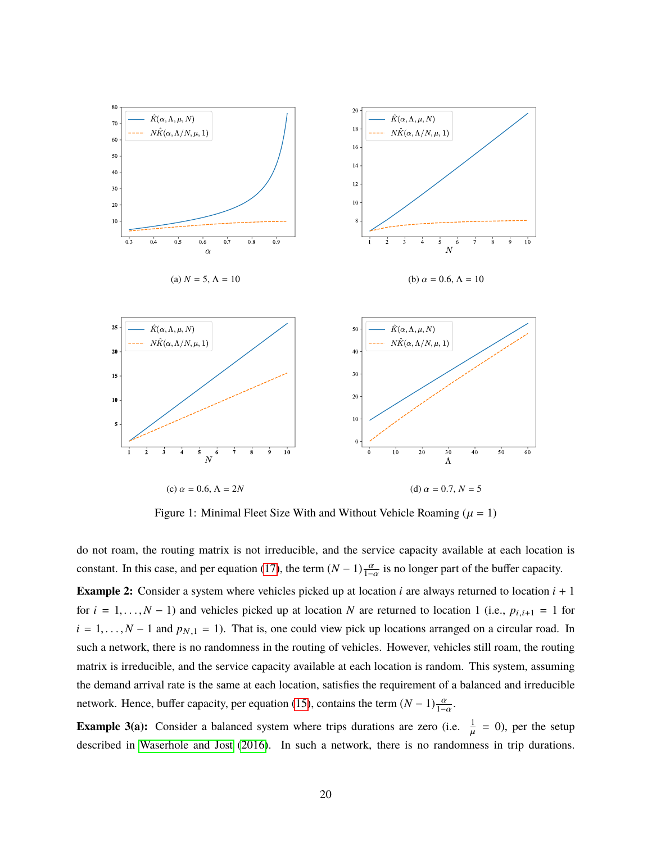<span id="page-19-1"></span><span id="page-19-0"></span>

Figure 1: Minimal Fleet Size With and Without Vehicle Roaming ( $\mu = 1$ )

do not roam, the routing matrix is not irreducible, and the service capacity available at each location is constant. In this case, and per equation [\(17\)](#page-17-2), the term  $(N-1)\frac{\alpha}{1-\alpha}$  is no longer part of the buffer capacity. **Example 2:** Consider a system where vehicles picked up at location  $i$  are always returned to location  $i + 1$ for  $i = 1, ..., N - 1$ ) and vehicles picked up at location *N* are returned to location 1 (i.e.,  $p_{i,i+1} = 1$  for  $i = 1, \ldots, N - 1$  and  $p_{N,1} = 1$ ). That is, one could view pick up locations arranged on a circular road. In such a network, there is no randomness in the routing of vehicles. However, vehicles still roam, the routing matrix is irreducible, and the service capacity available at each location is random. This system, assuming the demand arrival rate is the same at each location, satisfies the requirement of a balanced and irreducible network. Hence, buffer capacity, per equation [\(15\)](#page-14-1), contains the term  $(N-1)\frac{\alpha}{1-\alpha}$ .

**Example 3(a):** Consider a balanced system where trips durations are zero (i.e.  $\frac{1}{u} = 0$ ), per the setup described in [Waserhole and Jost](#page-25-3) [\(2016\)](#page-25-3). In such a network, there is no randomness in trip durations.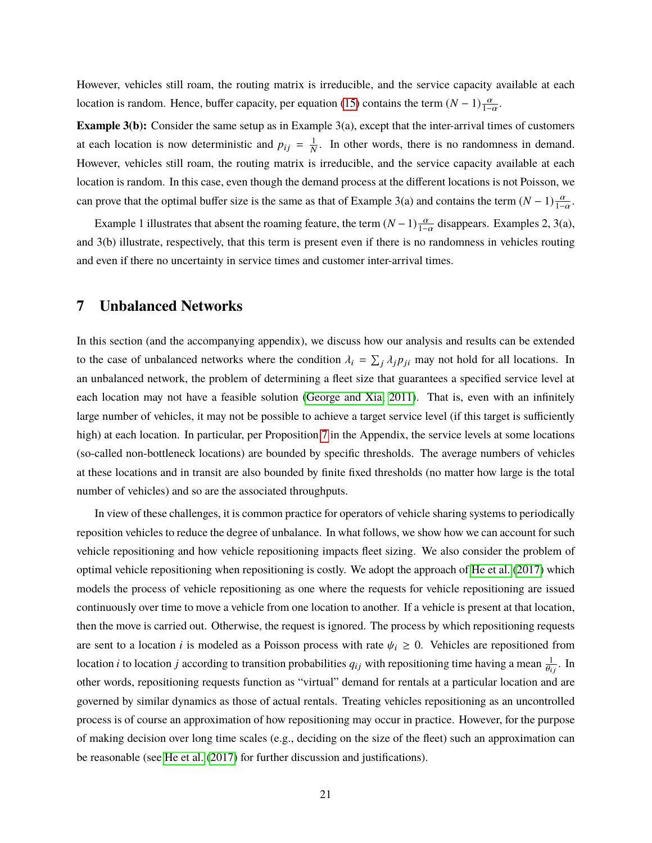However, vehicles still roam, the routing matrix is irreducible, and the service capacity available at each location is random. Hence, buffer capacity, per equation [\(15\)](#page-14-1) contains the term  $(N-1)\frac{\alpha}{1-\alpha}$ .

**Example 3(b):** Consider the same setup as in Example 3(a), except that the inter-arrival times of customers at each location is now deterministic and  $p_{ij} = \frac{1}{N}$ . In other words, there is no randomness in demand. However, vehicles still roam, the routing matrix is irreducible, and the service capacity available at each location is random. In this case, even though the demand process at the different locations is not Poisson, we can prove that the optimal buffer size is the same as that of Example 3(a) and contains the term  $(N-1)\frac{\alpha}{1-\alpha}$ .

Example 1 illustrates that absent the roaming feature, the term  $(N-1)\frac{\alpha}{1-\alpha}$  disappears. Examples 2, 3(a), and 3(b) illustrate, respectively, that this term is present even if there is no randomness in vehicles routing and even if there no uncertainty in service times and customer inter-arrival times.

#### <span id="page-20-0"></span>**7 Unbalanced Networks**

In this section (and the accompanying appendix), we discuss how our analysis and results can be extended to the case of unbalanced networks where the condition  $\lambda_i = \sum_j \lambda_j p_{ji}$  may not hold for all locations. In an unbalanced network, the problem of determining a fleet size that guarantees a specified service level at each location may not have a feasible solution [\(George and Xia, 2011\)](#page-24-2). That is, even with an infinitely large number of vehicles, it may not be possible to achieve a target service level (if this target is sufficiently high) at each location. In particular, per Proposition [7](#page-42-0) in the Appendix, the service levels at some locations (so-called non-bottleneck locations) are bounded by specific thresholds. The average numbers of vehicles at these locations and in transit are also bounded by finite fixed thresholds (no matter how large is the total number of vehicles) and so are the associated throughputs.

In view of these challenges, it is common practice for operators of vehicle sharing systems to periodically reposition vehicles to reduce the degree of unbalance. In what follows, we show how we can account for such vehicle repositioning and how vehicle repositioning impacts fleet sizing. We also consider the problem of optimal vehicle repositioning when repositioning is costly. We adopt the approach of [He et al.](#page-24-3) [\(2017\)](#page-24-3) which models the process of vehicle repositioning as one where the requests for vehicle repositioning are issued continuously over time to move a vehicle from one location to another. If a vehicle is present at that location, then the move is carried out. Otherwise, the request is ignored. The process by which repositioning requests are sent to a location *i* is modeled as a Poisson process with rate  $\psi_i \geq 0$ . Vehicles are repositioned from location *i* to location *j* according to transition probabilities  $q_{ij}$  with repositioning time having a mean  $\frac{1}{\theta_i}$  $\theta_{ij}$ . In other words, repositioning requests function as "virtual" demand for rentals at a particular location and are governed by similar dynamics as those of actual rentals. Treating vehicles repositioning as an uncontrolled process is of course an approximation of how repositioning may occur in practice. However, for the purpose of making decision over long time scales (e.g., deciding on the size of the fleet) such an approximation can be reasonable (see [He et al.](#page-24-3) [\(2017\)](#page-24-3) for further discussion and justifications).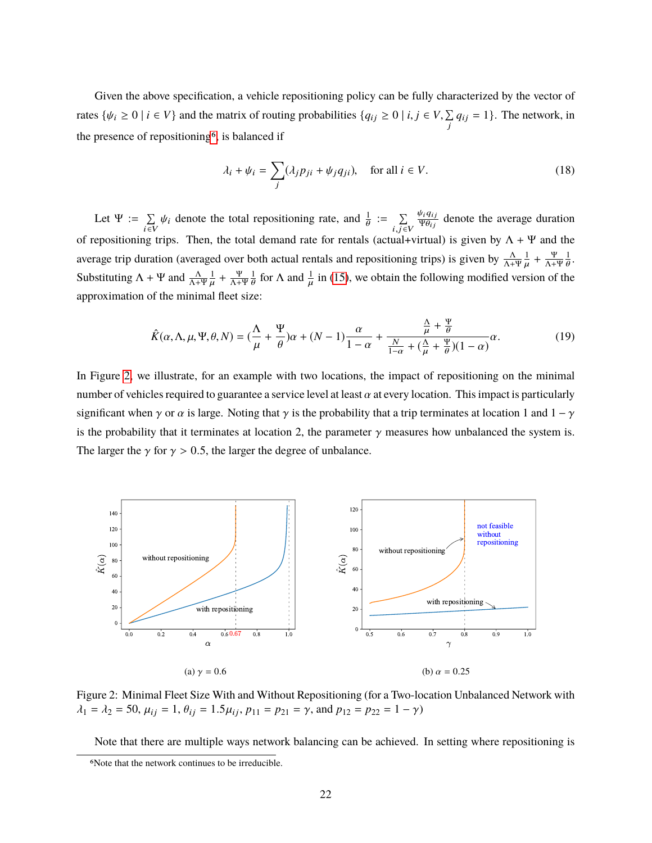Given the above specification, a vehicle repositioning policy can be fully characterized by the vector of rates  $\{\psi_i \geq 0 \mid i \in V\}$  and the matrix of routing probabilities  $\{q_{ij} \geq 0 \mid i, j \in V, \sum_{j}$  $\sum_{j} q_{ij} = 1$ . The network, in the presence of repositioning[6](#page-0-0), is balanced if

<span id="page-21-1"></span>
$$
\lambda_i + \psi_i = \sum_j (\lambda_j p_{ji} + \psi_j q_{ji}), \quad \text{for all } i \in V.
$$
 (18)

Let  $\Psi := \sum$  $\sum_{i\in V} \psi_i$  denote the total repositioning rate, and  $\frac{1}{\theta}$  $:= \quad \sum$  $i,j \in V$  $\frac{\psi_i q_{ij}}{\Psi \omega_{ij}}$  $\frac{\psi_i q_{ij}}{\psi \theta_{ij}}$  denote the average duration of repositioning trips. Then, the total demand rate for rentals (actual+virtual) is given by  $\Lambda + \Psi$  and the average trip duration (averaged over both actual rentals and repositioning trips) is given by  $\frac{\Lambda}{\Lambda+\Psi}\frac{1}{\mu}+\frac{\Psi}{\Lambda+\Psi}$ Substituting  $\Lambda + \Psi$  and  $\frac{\Lambda}{\Lambda + \Psi} \frac{1}{\mu} + \frac{\Psi}{\Lambda + \Psi} \frac{1}{\theta}$  for  $\Lambda$  and  $\frac{1}{\mu}$  in (15), we obtain the following modified version of the  $\frac{\Psi}{\Lambda + \Psi} \frac{1}{\theta}$ . approximation of the minimal fleet size:  $\frac{\Psi}{\Lambda+\Psi}\frac{1}{\theta}$  for  $\Lambda$  and  $\frac{1}{\mu}$  $\mathbf{r}$ in [\(15\)](#page-14-1), we obtain the following modified version of the

$$
\hat{K}(\alpha,\Lambda,\mu,\Psi,\theta,N) = \left(\frac{\Lambda}{\mu} + \frac{\Psi}{\theta}\right)\alpha + (N-1)\frac{\alpha}{1-\alpha} + \frac{\frac{\Lambda}{\mu} + \frac{\Psi}{\theta}}{\frac{N}{1-\alpha} + \left(\frac{\Lambda}{\mu} + \frac{\Psi}{\theta}\right)(1-\alpha)}\alpha.
$$
\n(19)

In Figure [2,](#page-21-0) we illustrate, for an example with two locations, the impact of repositioning on the minimal number of vehicles required to guarantee a service level at least  $\alpha$  at every location. This impact is particularly significant when  $\gamma$  or  $\alpha$  is large. Noting that  $\gamma$  is the probability that a trip terminates at location 1 and  $1 - \gamma$ is the probability that it terminates at location 2, the parameter  $\gamma$  measures how unbalanced the system is. The larger the  $\gamma$  for  $\gamma > 0.5$ , the larger the degree of unbalance.

<span id="page-21-0"></span>

Figure 2: Minimal Fleet Size With and Without Repositioning (for a Two-location Unbalanced Network with  $\lambda_1 = \lambda_2 = 50$ ,  $\mu_{ij} = 1$ ,  $\theta_{ij} = 1.5\mu_{ij}$ ,  $p_{11} = p_{21} = \gamma$ , and  $p_{12} = p_{22} = 1 - \gamma$ )

Note that there are multiple ways network balancing can be achieved. In setting where repositioning is

<sup>6</sup>Note that the network continues to be irreducible.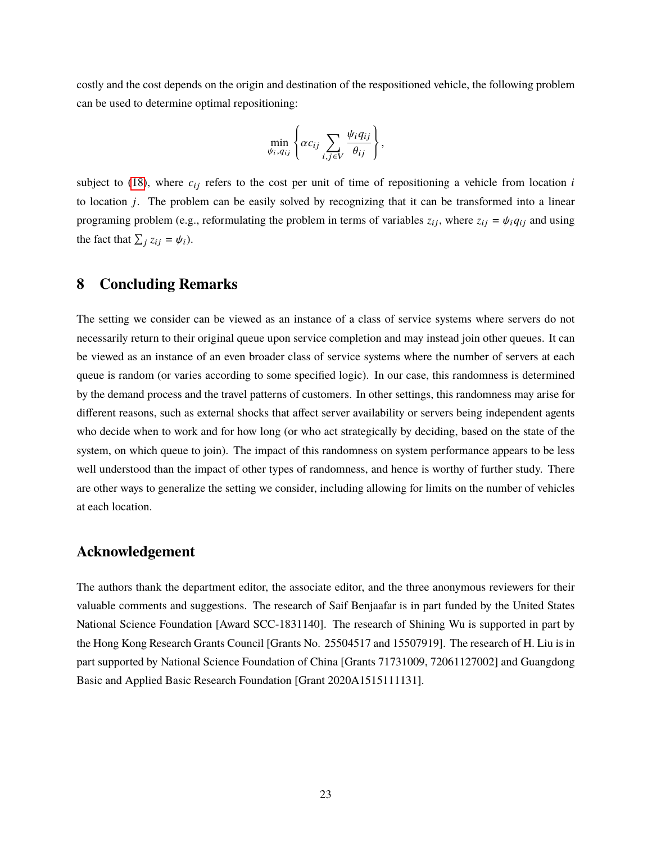costly and the cost depends on the origin and destination of the respositioned vehicle, the following problem can be used to determine optimal repositioning:

$$
\min_{\psi_i,q_{ij}}\left\{\alpha c_{ij}\sum_{i,j\in V}\frac{\psi_i q_{ij}}{\theta_{ij}}\right\},\,
$$

subject to [\(18\)](#page-21-1), where  $c_{ij}$  refers to the cost per unit of time of repositioning a vehicle from location  $i$ to location *j*. The problem can be easily solved by recognizing that it can be transformed into a linear programing problem (e.g., reformulating the problem in terms of variables  $z_{ij}$ , where  $z_{ij} = \psi_i q_{ij}$  and using the fact that  $\sum_j z_{ij} = \psi_i$ ).

### <span id="page-22-0"></span>**8 Concluding Remarks**

The setting we consider can be viewed as an instance of a class of service systems where servers do not necessarily return to their original queue upon service completion and may instead join other queues. It can be viewed as an instance of an even broader class of service systems where the number of servers at each queue is random (or varies according to some specified logic). In our case, this randomness is determined by the demand process and the travel patterns of customers. In other settings, this randomness may arise for different reasons, such as external shocks that affect server availability or servers being independent agents who decide when to work and for how long (or who act strategically by deciding, based on the state of the system, on which queue to join). The impact of this randomness on system performance appears to be less well understood than the impact of other types of randomness, and hence is worthy of further study. There are other ways to generalize the setting we consider, including allowing for limits on the number of vehicles at each location.

#### **Acknowledgement**

The authors thank the department editor, the associate editor, and the three anonymous reviewers for their valuable comments and suggestions. The research of Saif Benjaafar is in part funded by the United States National Science Foundation [Award SCC-1831140]. The research of Shining Wu is supported in part by the Hong Kong Research Grants Council [Grants No. 25504517 and 15507919]. The research of H. Liu is in part supported by National Science Foundation of China [Grants 71731009, 72061127002] and Guangdong Basic and Applied Basic Research Foundation [Grant 2020A1515111131].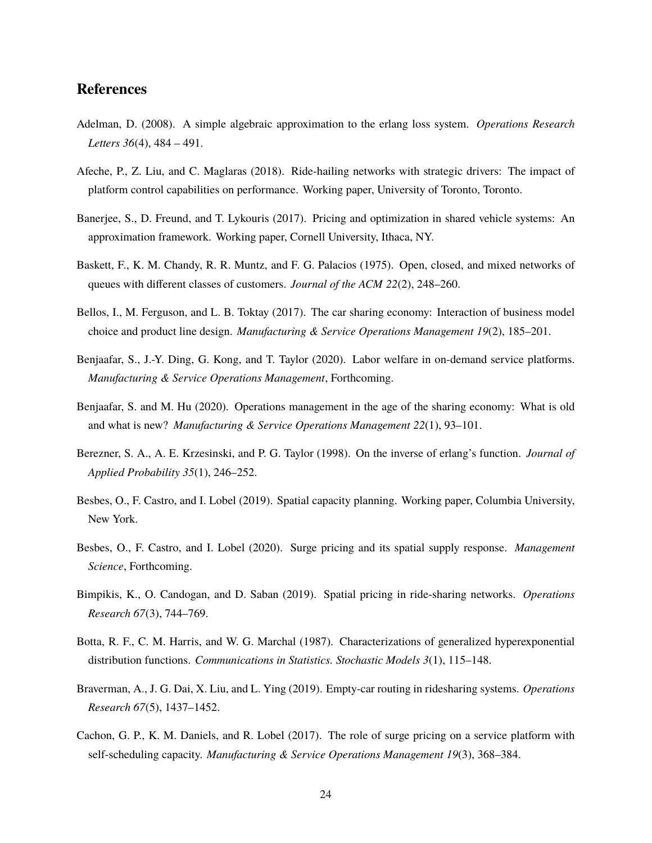#### **References**

- <span id="page-23-4"></span>Adelman, D. (2008). A simple algebraic approximation to the erlang loss system. *Operations Research Letters 36*(4), 484 – 491.
- <span id="page-23-8"></span>Afeche, P., Z. Liu, and C. Maglaras (2018). Ride-hailing networks with strategic drivers: The impact of platform control capabilities on performance. Working paper, University of Toronto, Toronto.
- <span id="page-23-2"></span>Banerjee, S., D. Freund, and T. Lykouris (2017). Pricing and optimization in shared vehicle systems: An approximation framework. Working paper, Cornell University, Ithaca, NY.
- <span id="page-23-13"></span>Baskett, F., K. M. Chandy, R. R. Muntz, and F. G. Palacios (1975). Open, closed, and mixed networks of queues with different classes of customers. *Journal of the ACM 22*(2), 248–260.
- <span id="page-23-1"></span>Bellos, I., M. Ferguson, and L. B. Toktay (2017). The car sharing economy: Interaction of business model choice and product line design. *Manufacturing & Service Operations Management 19*(2), 185–201.
- <span id="page-23-7"></span>Benjaafar, S., J.-Y. Ding, G. Kong, and T. Taylor (2020). Labor welfare in on-demand service platforms. *Manufacturing & Service Operations Management*, Forthcoming.
- <span id="page-23-0"></span>Benjaafar, S. and M. Hu (2020). Operations management in the age of the sharing economy: What is old and what is new? *Manufacturing & Service Operations Management 22*(1), 93–101.
- <span id="page-23-5"></span>Berezner, S. A., A. E. Krzesinski, and P. G. Taylor (1998). On the inverse of erlang's function. *Journal of Applied Probability 35*(1), 246–252.
- <span id="page-23-11"></span>Besbes, O., F. Castro, and I. Lobel (2019). Spatial capacity planning. Working paper, Columbia University, New York.
- <span id="page-23-10"></span>Besbes, O., F. Castro, and I. Lobel (2020). Surge pricing and its spatial supply response. *Management Science*, Forthcoming.
- <span id="page-23-9"></span>Bimpikis, K., O. Candogan, and D. Saban (2019). Spatial pricing in ride-sharing networks. *Operations Research 67*(3), 744–769.
- <span id="page-23-12"></span>Botta, R. F., C. M. Harris, and W. G. Marchal (1987). Characterizations of generalized hyperexponential distribution functions. *Communications in Statistics. Stochastic Models 3*(1), 115–148.
- <span id="page-23-3"></span>Braverman, A., J. G. Dai, X. Liu, and L. Ying (2019). Empty-car routing in ridesharing systems. *Operations Research 67*(5), 1437–1452.
- <span id="page-23-6"></span>Cachon, G. P., K. M. Daniels, and R. Lobel (2017). The role of surge pricing on a service platform with self-scheduling capacity. *Manufacturing & Service Operations Management 19*(3), 368–384.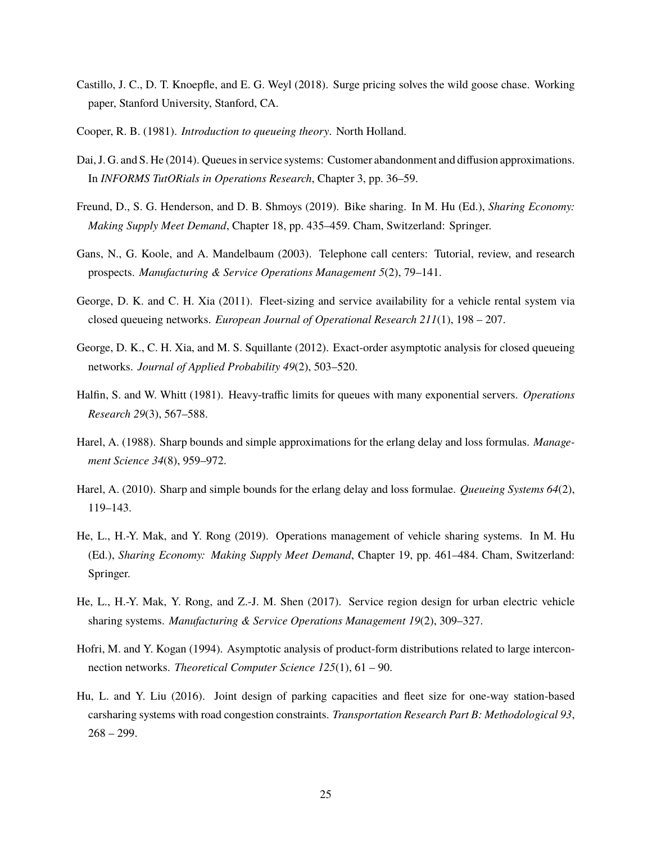- <span id="page-24-13"></span>Castillo, J. C., D. T. Knoepfle, and E. G. Weyl (2018). Surge pricing solves the wild goose chase. Working paper, Stanford University, Stanford, CA.
- <span id="page-24-10"></span>Cooper, R. B. (1981). *Introduction to queueing theory*. North Holland.
- <span id="page-24-9"></span>Dai, J. G. and S. He (2014). Queues in service systems: Customer abandonment and diffusion approximations. In *INFORMS TutORials in Operations Research*, Chapter 3, pp. 36–59.
- <span id="page-24-0"></span>Freund, D., S. G. Henderson, and D. B. Shmoys (2019). Bike sharing. In M. Hu (Ed.), *Sharing Economy: Making Supply Meet Demand*, Chapter 18, pp. 435–459. Cham, Switzerland: Springer.
- <span id="page-24-7"></span>Gans, N., G. Koole, and A. Mandelbaum (2003). Telephone call centers: Tutorial, review, and research prospects. *Manufacturing & Service Operations Management 5*(2), 79–141.
- <span id="page-24-2"></span>George, D. K. and C. H. Xia (2011). Fleet-sizing and service availability for a vehicle rental system via closed queueing networks. *European Journal of Operational Research 211*(1), 198 – 207.
- <span id="page-24-5"></span>George, D. K., C. H. Xia, and M. S. Squillante (2012). Exact-order asymptotic analysis for closed queueing networks. *Journal of Applied Probability 49*(2), 503–520.
- <span id="page-24-8"></span>Halfin, S. and W. Whitt (1981). Heavy-traffic limits for queues with many exponential servers. *Operations Research 29*(3), 567–588.
- <span id="page-24-11"></span>Harel, A. (1988). Sharp bounds and simple approximations for the erlang delay and loss formulas. *Management Science 34*(8), 959–972.
- <span id="page-24-12"></span>Harel, A. (2010). Sharp and simple bounds for the erlang delay and loss formulae. *Queueing Systems 64*(2), 119–143.
- <span id="page-24-1"></span>He, L., H.-Y. Mak, and Y. Rong (2019). Operations management of vehicle sharing systems. In M. Hu (Ed.), *Sharing Economy: Making Supply Meet Demand*, Chapter 19, pp. 461–484. Cham, Switzerland: Springer.
- <span id="page-24-3"></span>He, L., H.-Y. Mak, Y. Rong, and Z.-J. M. Shen (2017). Service region design for urban electric vehicle sharing systems. *Manufacturing & Service Operations Management 19*(2), 309–327.
- <span id="page-24-6"></span>Hofri, M. and Y. Kogan (1994). Asymptotic analysis of product-form distributions related to large interconnection networks. *Theoretical Computer Science 125*(1), 61 – 90.
- <span id="page-24-4"></span>Hu, L. and Y. Liu (2016). Joint design of parking capacities and fleet size for one-way station-based carsharing systems with road congestion constraints. *Transportation Research Part B: Methodological 93*,  $268 - 299.$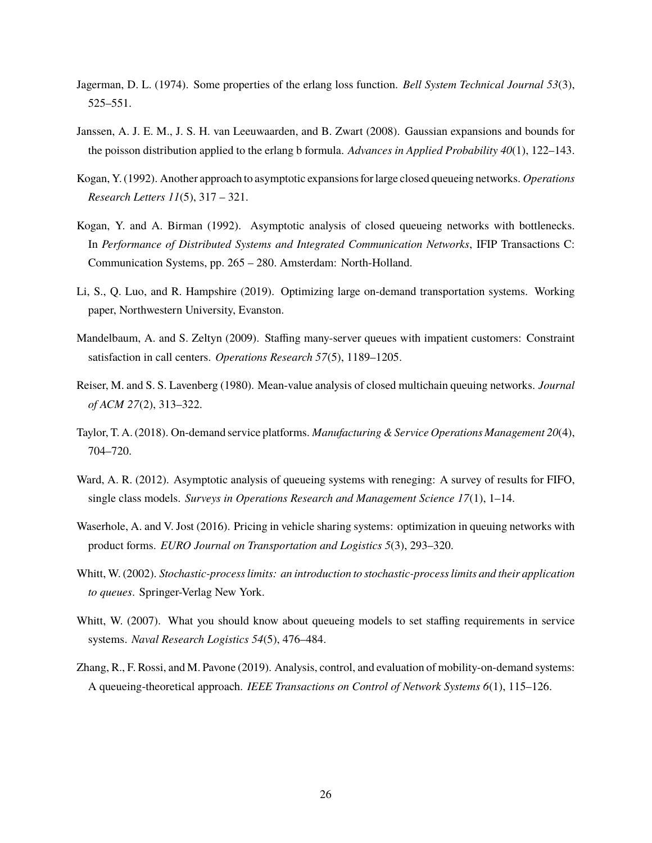- <span id="page-25-9"></span>Jagerman, D. L. (1974). Some properties of the erlang loss function. *Bell System Technical Journal 53*(3), 525–551.
- <span id="page-25-10"></span>Janssen, A. J. E. M., J. S. H. van Leeuwaarden, and B. Zwart (2008). Gaussian expansions and bounds for the poisson distribution applied to the erlang b formula. *Advances in Applied Probability 40*(1), 122–143.
- <span id="page-25-5"></span>Kogan, Y. (1992). Another approach to asymptotic expansions for large closed queueing networks. *Operations Research Letters 11*(5), 317 – 321.
- <span id="page-25-4"></span>Kogan, Y. and A. Birman (1992). Asymptotic analysis of closed queueing networks with bottlenecks. In *Performance of Distributed Systems and Integrated Communication Networks*, IFIP Transactions C: Communication Systems, pp. 265 – 280. Amsterdam: North-Holland.
- <span id="page-25-2"></span>Li, S., Q. Luo, and R. Hampshire (2019). Optimizing large on-demand transportation systems. Working paper, Northwestern University, Evanston.
- <span id="page-25-7"></span>Mandelbaum, A. and S. Zeltyn (2009). Staffing many-server queues with impatient customers: Constraint satisfaction in call centers. *Operations Research 57*(5), 1189–1205.
- <span id="page-25-12"></span>Reiser, M. and S. S. Lavenberg (1980). Mean-value analysis of closed multichain queuing networks. *Journal of ACM 27*(2), 313–322.
- <span id="page-25-11"></span>Taylor, T. A. (2018). On-demand service platforms. *Manufacturing & Service Operations Management 20*(4), 704–720.
- <span id="page-25-8"></span>Ward, A. R. (2012). Asymptotic analysis of queueing systems with reneging: A survey of results for FIFO, single class models. *Surveys in Operations Research and Management Science 17*(1), 1–14.
- <span id="page-25-3"></span>Waserhole, A. and V. Jost (2016). Pricing in vehicle sharing systems: optimization in queuing networks with product forms. *EURO Journal on Transportation and Logistics 5*(3), 293–320.
- <span id="page-25-0"></span>Whitt, W. (2002). *Stochastic-process limits: an introduction to stochastic-process limits and their application to queues*. Springer-Verlag New York.
- <span id="page-25-6"></span>Whitt, W. (2007). What you should know about queueing models to set staffing requirements in service systems. *Naval Research Logistics 54*(5), 476–484.
- <span id="page-25-1"></span>Zhang, R., F. Rossi, and M. Pavone (2019). Analysis, control, and evaluation of mobility-on-demand systems: A queueing-theoretical approach. *IEEE Transactions on Control of Network Systems 6*(1), 115–126.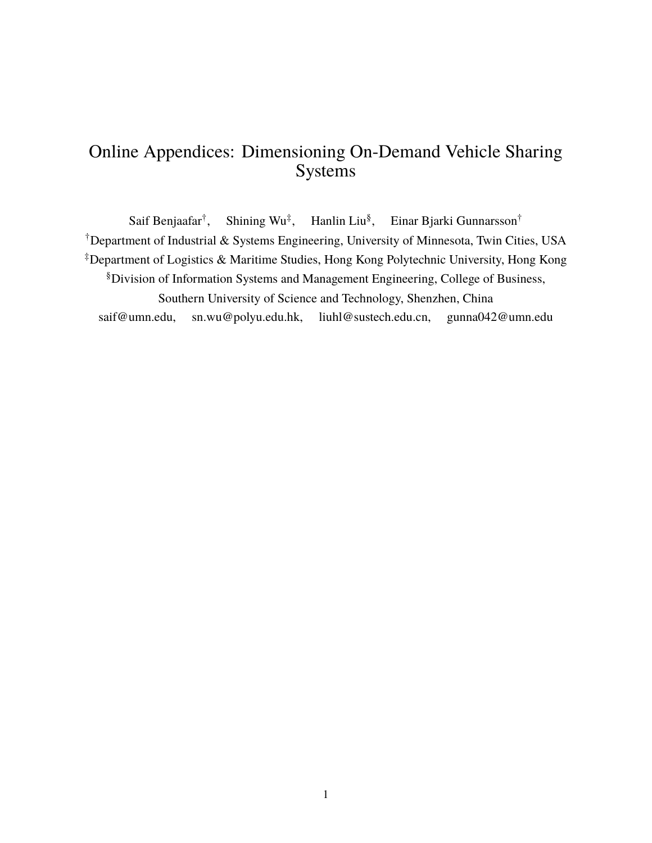# Online Appendices: Dimensioning On-Demand Vehicle Sharing Systems

Saif Benjaafar<sup>†</sup>, , Shining Wu‡ , Hanlin Liu§ , Einar Bjarki Gunnarsson† †Department of Industrial & Systems Engineering, University of Minnesota, Twin Cities, USA ‡Department of Logistics & Maritime Studies, Hong Kong Polytechnic University, Hong Kong §Division of Information Systems and Management Engineering, College of Business, Southern University of Science and Technology, Shenzhen, China saif@umn.edu, sn.wu@polyu.edu.hk, liuhl@sustech.edu.cn, gunna042@umn.edu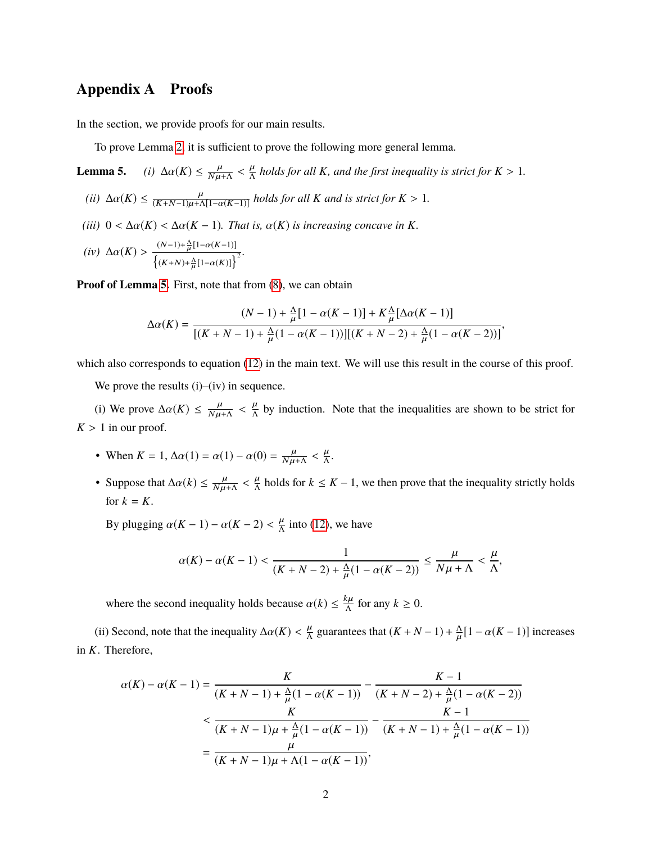### **Appendix A Proofs**

In the section, we provide proofs for our main results.

To prove Lemma [2,](#page-10-1) it is sufficient to prove the following more general lemma.

**Lemma 5.** *(i)*  $\Delta \alpha(K) \leq \frac{\mu}{N\mu + \Lambda} < \frac{\mu}{\Lambda}$  holds for all K, and the first inequality is strict for  $K > 1$ .

(*ii*) 
$$
\Delta \alpha(K) \le \frac{\mu}{(K+N-1)\mu + \Lambda[1-\alpha(K-1)]}
$$
 holds for all K and is strict for  $K > 1$ .

- *(iii)*  $0 < \Delta \alpha(K) < \Delta \alpha(K-1)$ *. That is,*  $\alpha(K)$  *is increasing concave in K.*
- *(iv)*  $\Delta \alpha(K) > \frac{(N-1)+\frac{\Delta}{\mu}}{\{(K+N)+\Delta\}}$  $\frac{\Delta}{\mu}[1-\alpha(K-1)]$  $\frac{\left\{\left(K+N\right)+\frac{\Lambda}{\mu}\left[1-\alpha(K)\right]\right\}^2}{\left\{\left(K+N\right)+\frac{\Lambda}{\mu}\left[1-\alpha(K)\right]\right\}^2}.$ µ

**Proof of Lemma [5.](#page-0-0)** First, note that from [\(8\)](#page-9-1), we can obtain

$$
\Delta \alpha(K) = \frac{(N-1) + \frac{\Delta}{\mu} [1 - \alpha(K-1)] + K \frac{\Delta}{\mu} [\Delta \alpha(K-1)]}{[(K+N-1) + \frac{\Delta}{\mu} (1 - \alpha(K-1))][(K+N-2) + \frac{\Delta}{\mu} (1 - \alpha(K-2))]},
$$

which also corresponds to equation [\(12\)](#page-10-3) in the main text. We will use this result in the course of this proof.

We prove the results (i)–(iv) in sequence.

(i) We prove  $\Delta \alpha(K) \leq \frac{\mu}{N\mu + \Lambda} < \frac{\mu}{\Lambda}$  by induction. Note that the inequalities are shown to be strict for  $K > 1$  in our proof.

- When  $K = 1$ ,  $\Delta \alpha(1) = \alpha(1) \alpha(0) = \frac{\mu}{N\mu + \Lambda} < \frac{\mu}{\Lambda}$ .
- Suppose that  $\Delta \alpha(k) \leq \frac{\mu}{N\mu + \Delta} < \frac{\mu}{\Delta}$  holds for  $k \leq K 1$ , we then prove that the inequality strictly holds for  $k = K$ .

By plugging  $\alpha(K-1) - \alpha(K-2) < \frac{\mu}{\Lambda}$  into [\(12\)](#page-10-3), we have

$$
\alpha(K) - \alpha(K-1) < \frac{1}{(K+N-2) + \frac{\Lambda}{\mu}(1-\alpha(K-2))} \le \frac{\mu}{N\mu+\Lambda} < \frac{\mu}{\Lambda},
$$

where the second inequality holds because  $\alpha(k) \leq \frac{k\mu}{\Lambda}$  for any  $k \geq 0$ .

(ii) Second, note that the inequality  $\Delta \alpha(K) < \frac{\mu}{\Lambda}$  guarantees that  $(K + N - 1) + \frac{\Lambda}{\mu}$  $\frac{\Delta}{\mu}[1-\alpha(K-1)]$  increases in *K*. Therefore,

$$
\alpha(K) - \alpha(K-1) = \frac{K}{(K+N-1) + \frac{\Delta}{\mu}(1 - \alpha(K-1))} - \frac{K-1}{(K+N-2) + \frac{\Delta}{\mu}(1 - \alpha(K-2))}
$$
  

$$
< \frac{K}{(K+N-1)\mu + \frac{\Delta}{\mu}(1 - \alpha(K-1))} - \frac{K-1}{(K+N-1) + \frac{\Delta}{\mu}(1 - \alpha(K-1))}
$$
  

$$
= \frac{\mu}{(K+N-1)\mu + \Lambda(1 - \alpha(K-1))},
$$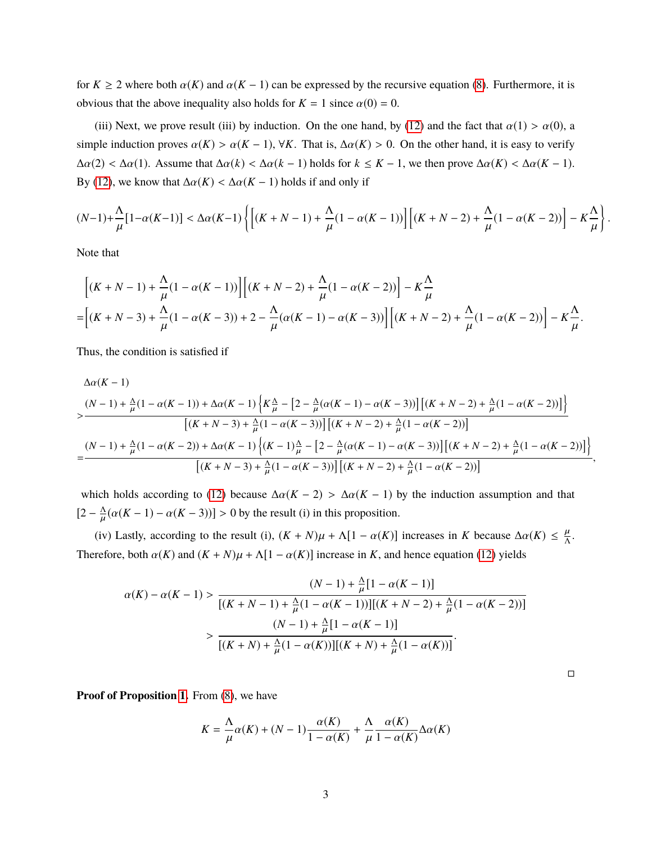for  $K \ge 2$  where both  $\alpha(K)$  and  $\alpha(K - 1)$  can be expressed by the recursive equation [\(8\)](#page-9-1). Furthermore, it is obvious that the above inequality also holds for  $K = 1$  since  $\alpha(0) = 0$ .

(iii) Next, we prove result (iii) by induction. On the one hand, by [\(12\)](#page-10-3) and the fact that  $\alpha(1) > \alpha(0)$ , a simple induction proves  $\alpha(K) > \alpha(K-1)$ ,  $\forall K$ . That is,  $\Delta \alpha(K) > 0$ . On the other hand, it is easy to verify  $\Delta \alpha(2) < \Delta \alpha(1)$ . Assume that  $\Delta \alpha(k) < \Delta \alpha(k-1)$  holds for  $k \leq K-1$ , we then prove  $\Delta \alpha(K) < \Delta \alpha(K-1)$ . By [\(12\)](#page-10-3), we know that  $\Delta \alpha(K) < \Delta \alpha(K-1)$  holds if and only if

$$
(N-1)+\frac{\Lambda}{\mu}\big[1-\alpha(K-1)\big]<\Delta\alpha(K-1)\left\{\bigg[\big(K+N-1\big)+\frac{\Lambda}{\mu}(1-\alpha(K-1)\big)\bigg]\bigg[(K+N-2)+\frac{\Lambda}{\mu}(1-\alpha(K-2))\bigg]-K\frac{\Lambda}{\mu}\right\}
$$

Note that

$$
\[ (K+N-1) + \frac{\Lambda}{\mu} (1 - \alpha(K-1)) \] \left[ (K+N-2) + \frac{\Lambda}{\mu} (1 - \alpha(K-2)) \right] - K \frac{\Lambda}{\mu}
$$
  
= 
$$
\[ (K+N-3) + \frac{\Lambda}{\mu} (1 - \alpha(K-3)) + 2 - \frac{\Lambda}{\mu} (\alpha(K-1) - \alpha(K-3)) \] \left[ (K+N-2) + \frac{\Lambda}{\mu} (1 - \alpha(K-2)) \right] - K \frac{\Lambda}{\mu}.
$$

Thus, the condition is satisfied if

$$
\Delta\alpha(K-1)
$$
\n
$$
\times \frac{(N-1) + \frac{\Delta}{\mu}(1 - \alpha(K-1)) + \Delta\alpha(K-1)\left\{K\frac{\Delta}{\mu} - \left[2 - \frac{\Delta}{\mu}(\alpha(K-1) - \alpha(K-3))\right]\left[(K+N-2) + \frac{\Delta}{\mu}(1 - \alpha(K-2))\right]\right\}}{\left[(K+N-3) + \frac{\Delta}{\mu}(1 - \alpha(K-3))\right]\left[(K+N-2) + \frac{\Delta}{\mu}(1 - \alpha(K-2))\right]}
$$
\n
$$
= \frac{(N-1) + \frac{\Delta}{\mu}(1 - \alpha(K-2)) + \Delta\alpha(K-1)\left\{(K-1)\frac{\Delta}{\mu} - \left[2 - \frac{\Delta}{\mu}(\alpha(K-1) - \alpha(K-3))\right]\left[(K+N-2) + \frac{\Delta}{\mu}(1 - \alpha(K-2))\right]\right\}}{\left[(K+N-3) + \frac{\Delta}{\mu}(1 - \alpha(K-3))\right]\left[(K+N-2) + \frac{\Delta}{\mu}(1 - \alpha(K-2))\right]},
$$

which holds according to [\(12\)](#page-10-3) because  $\Delta \alpha (K - 2) > \Delta \alpha (K - 1)$  by the induction assumption and that  $\left[2-\frac{\Lambda}{\mu}\right]$  $\frac{\Delta}{\mu}(\alpha(K-1) - \alpha(K-3))] > 0$  by the result (i) in this proposition.

(iv) Lastly, according to the result (i),  $(K + N)\mu + \Lambda[1 - \alpha(K)]$  increases in *K* because  $\Delta\alpha(K) \leq \frac{\mu}{\Lambda}$ . Therefore, both  $\alpha(K)$  and  $(K + N)\mu + \Lambda[1 - \alpha(K)]$  increase in *K*, and hence equation [\(12\)](#page-10-3) yields

$$
\alpha(K) - \alpha(K-1) > \frac{(N-1) + \frac{\Delta}{\mu}[1 - \alpha(K-1)]}{[(K+N-1) + \frac{\Delta}{\mu}(1 - \alpha(K-1))][(K+N-2) + \frac{\Delta}{\mu}(1 - \alpha(K-2))]}
$$

$$
> \frac{(N-1) + \frac{\Delta}{\mu}[1 - \alpha(K-1)]}{[(K+N) + \frac{\Delta}{\mu}(1 - \alpha(K))][(K+N) + \frac{\Delta}{\mu}(1 - \alpha(K))]}.
$$

 $\Box$ 

**Proof of Proposition [1.](#page-10-2)** From [\(8\)](#page-9-1), we have

$$
K = \frac{\Lambda}{\mu}\alpha(K) + (N-1)\frac{\alpha(K)}{1 - \alpha(K)} + \frac{\Lambda}{\mu}\frac{\alpha(K)}{1 - \alpha(K)}\Delta\alpha(K)
$$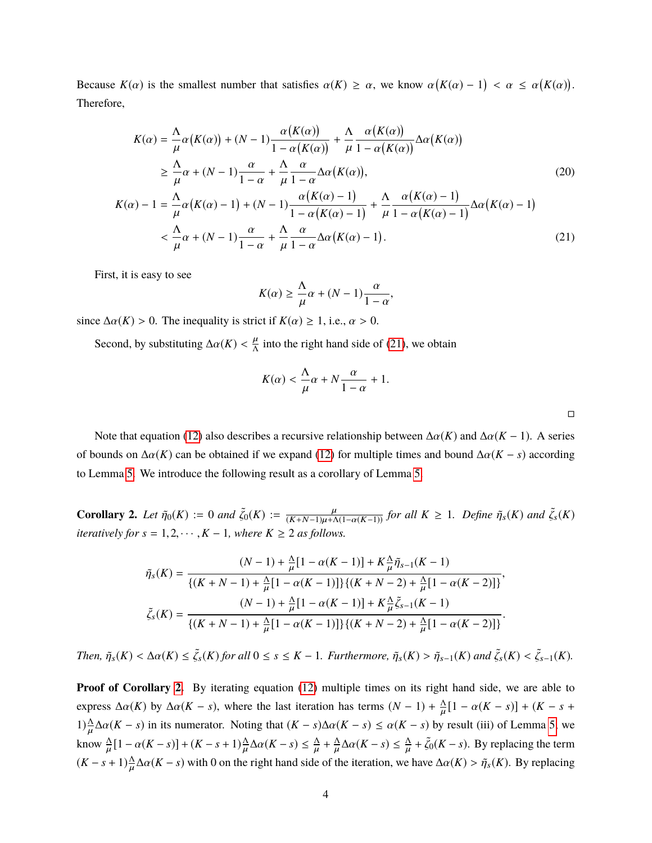Because  $K(\alpha)$  is the smallest number that satisfies  $\alpha(K) \ge \alpha$ , we know  $\alpha(K(\alpha) - 1) < \alpha \le \alpha(K(\alpha))$ . Therefore,

$$
K(\alpha) = \frac{\Lambda}{\mu} \alpha(K(\alpha)) + (N - 1) \frac{\alpha(K(\alpha))}{1 - \alpha(K(\alpha))} + \frac{\Lambda}{\mu} \frac{\alpha(K(\alpha))}{1 - \alpha(K(\alpha))} \Delta \alpha(K(\alpha))
$$
  
\n
$$
\geq \frac{\Lambda}{\mu} \alpha + (N - 1) \frac{\alpha}{1 - \alpha} + \frac{\Lambda}{\mu} \frac{\alpha}{1 - \alpha} \Delta \alpha(K(\alpha)),
$$
  
\n
$$
K(\alpha) - 1 = \frac{\Lambda}{\mu} \alpha(K(\alpha) - 1) + (N - 1) \frac{\alpha(K(\alpha) - 1)}{1 - \alpha(K(\alpha) - 1)} + \frac{\Lambda}{\mu} \frac{\alpha(K(\alpha) - 1)}{1 - \alpha(K(\alpha) - 1)} \Delta \alpha(K(\alpha) - 1)
$$
  
\n
$$
< \frac{\Lambda}{\mu} \alpha + (N - 1) \frac{\alpha}{1 - \alpha} + \frac{\Lambda}{\mu} \frac{\alpha}{1 - \alpha} \Delta \alpha(K(\alpha) - 1).
$$
\n(21)

First, it is easy to see

$$
K(\alpha) \ge \frac{\Lambda}{\mu}\alpha + (N-1)\frac{\alpha}{1-\alpha},
$$

since  $\Delta \alpha(K) > 0$ . The inequality is strict if  $K(\alpha) \geq 1$ , i.e.,  $\alpha > 0$ .

Second, by substituting  $\Delta \alpha(K) < \frac{\mu}{\Lambda}$  into the right hand side of [\(21\)](#page-29-0), we obtain

$$
K(\alpha) < \frac{\Lambda}{\mu}\alpha + N\frac{\alpha}{1-\alpha} + 1.
$$

<span id="page-29-2"></span><span id="page-29-0"></span> $\Box$ 

Note that equation [\(12\)](#page-10-3) also describes a recursive relationship between  $\Delta \alpha(K)$  and  $\Delta \alpha(K-1)$ . A series of bounds on  $\Delta \alpha(K)$  can be obtained if we expand [\(12\)](#page-10-3) for multiple times and bound  $\Delta \alpha(K - s)$  according to Lemma [5.](#page-0-0) We introduce the following result as a corollary of Lemma [5.](#page-0-0)

<span id="page-29-1"></span>**Corollary 2.** Let  $\tilde{\eta}_0(K) := 0$  and  $\tilde{\zeta}_0(K) := \frac{\mu}{(K+N-1)\mu + \Lambda(1-\alpha(K-1))}$  for all  $K \ge 1$ . Define  $\tilde{\eta}_s(K)$  and  $\tilde{\zeta}_s(K)$ *iteratively for*  $s = 1, 2, \cdots, K - 1$ *, where*  $K \geq 2$  *as follows.* 

$$
\tilde{\eta}_s(K) = \frac{(N-1) + \frac{\Delta}{\mu}[1 - \alpha(K-1)] + K\frac{\Delta}{\mu}\tilde{\eta}_{s-1}(K-1)}{\{(K+N-1) + \frac{\Delta}{\mu}[1 - \alpha(K-1)]\}\{(K+N-2) + \frac{\Delta}{\mu}[1 - \alpha(K-2)]\}},\
$$

$$
\tilde{\zeta}_s(K) = \frac{(N-1) + \frac{\Delta}{\mu}[1 - \alpha(K-1)] + K\frac{\Delta}{\mu}\tilde{\zeta}_{s-1}(K-1)}{\{(K+N-1) + \frac{\Delta}{\mu}[1 - \alpha(K-1)]\}\{(K+N-2) + \frac{\Delta}{\mu}[1 - \alpha(K-2)]\}}.
$$

*Then,*  $\tilde{\eta}_s(K) < \Delta \alpha(K) \leq \tilde{\zeta}_s(K)$  for all  $0 \leq s \leq K-1$ . Furthermore,  $\tilde{\eta}_s(K) > \tilde{\eta}_{s-1}(K)$  and  $\tilde{\zeta}_s(K) < \tilde{\zeta}_{s-1}(K)$ .

**Proof of Corollary [2.](#page-29-1)** By iterating equation [\(12\)](#page-10-3) multiple times on its right hand side, we are able to express  $\Delta \alpha(K)$  by  $\Delta \alpha(K - s)$ , where the last iteration has terms  $(N - 1) + \frac{\Delta}{\mu}[1 - \alpha(K - s)] + (K - s + \Delta)$ 1) $\frac{\Delta}{\mu}$  Δα(*K* − *s*) in its numerator. Noting that  $(K - s)\Delta\alpha(K - s) \leq \alpha(K - s)$  by result (iii) of Lemma [5,](#page-0-0) we know  $\frac{\Delta}{\mu}[1 - \alpha(K - s)] + (K - s + 1)\frac{\Delta}{\mu}\Delta\alpha(K - s) \le \frac{\Delta}{\mu} + \frac{\Delta}{\mu}\Delta\alpha(K - s) \le \frac{\Delta}{\mu} + \tilde{\zeta}_0(K - s)$ . By replacing the term  $(K - s + 1) \frac{\Delta}{\mu} \Delta \alpha (K - s)$  with 0 on the right hand side of the iteration, we have  $\Delta \alpha (K) > \tilde{\eta}_s(K)$ . By replacing µ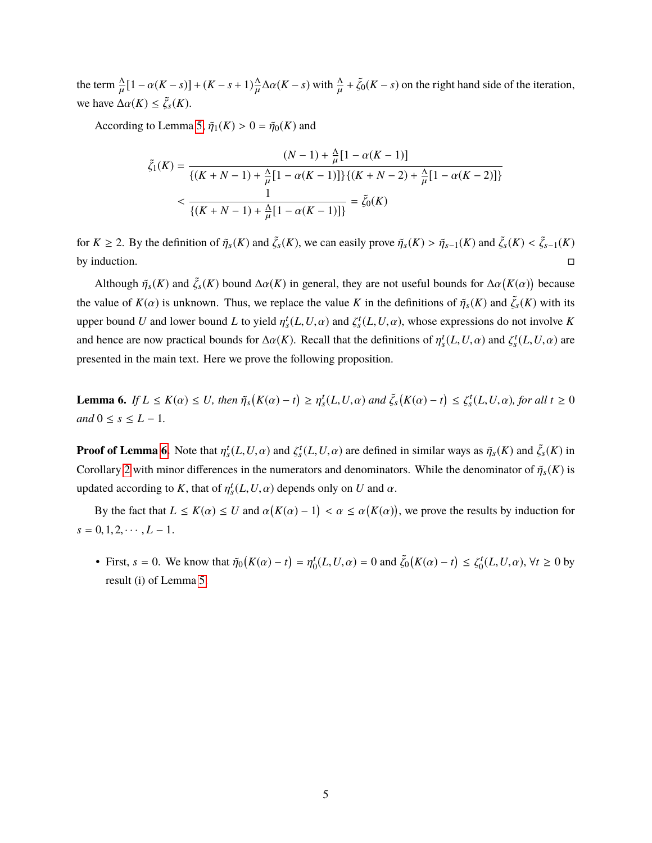the term  $\frac{\Delta}{\mu} [1 - \alpha(K - s)] + (K - s + 1) \frac{\Delta}{\mu}$ we have  $\Delta \alpha(K) \leq \tilde{\zeta}_s(K)$ .  $\frac{\Delta}{\mu} \Delta \alpha (K - s)$  with  $\frac{\Delta}{\mu} + \tilde{\zeta}_0 (K - s)$  on the right hand side of the iteration,

According to Lemma [5,](#page-0-0)  $\tilde{\eta}_1(K) > 0 = \tilde{\eta}_0(K)$  and

$$
\tilde{\zeta}_1(K) = \frac{(N-1) + \frac{\Delta}{\mu}[1 - \alpha(K-1)]}{\{(K+N-1) + \frac{\Delta}{\mu}[1 - \alpha(K-1)]\} \{(K+N-2) + \frac{\Delta}{\mu}[1 - \alpha(K-2)]\}} < \frac{1}{\{(K+N-1) + \frac{\Delta}{\mu}[1 - \alpha(K-1)]\}} = \tilde{\zeta}_0(K)
$$

for  $K \ge 2$ . By the definition of  $\tilde{\eta}_s(K)$  and  $\tilde{\zeta}_s(K)$ , we can easily prove  $\tilde{\eta}_s(K) > \tilde{\eta}_{s-1}(K)$  and  $\tilde{\zeta}_s(K) < \tilde{\zeta}_{s-1}(K)$ by induction.  $\Box$ 

Although  $\tilde{\eta}_s(K)$  and  $\tilde{\zeta}_s(K)$  bound  $\Delta \alpha(K)$  in general, they are not useful bounds for  $\Delta \alpha(K(\alpha))$  because the value of  $K(\alpha)$  is unknown. Thus, we replace the value *K* in the definitions of  $\tilde{\eta}_s(K)$  and  $\tilde{\zeta}_s(K)$  with its upper bound *U* and lower bound *L* to yield  $\eta_s^t(L, U, \alpha)$  and  $\zeta_s^t(L, U, \alpha)$ , whose expressions do not involve *K* and hence are now practical bounds for  $\Delta \alpha(K)$ . Recall that the definitions of  $\eta_s^t(L, U, \alpha)$  and  $\zeta_s^t(L, U, \alpha)$  are presented in the main text. Here we prove the following proposition.

<span id="page-30-0"></span>**Lemma 6.** If  $L \le K(\alpha) \le U$ , then  $\tilde{\eta}_s(K(\alpha) - t) \ge \eta_s^t(L, U, \alpha)$  and  $\tilde{\zeta}_s(K(\alpha) - t) \le \zeta_s^t(L, U, \alpha)$ , for all  $t \ge 0$ *and*  $0 \le s \le L - 1$ *.* 

**Proof of Lemma [6.](#page-30-0)** Note that  $\eta_s^t(L, U, \alpha)$  and  $\zeta_s^t(L, U, \alpha)$  are defined in similar ways as  $\tilde{\eta}_s(K)$  and  $\tilde{\zeta}_s(K)$  in Corollary [2](#page-29-1) with minor differences in the numerators and denominators. While the denominator of  $\tilde{\eta}_s(K)$  is updated according to *K*, that of  $\eta_s^t(L, U, \alpha)$  depends only on *U* and  $\alpha$ .

By the fact that  $L \le K(\alpha) \le U$  and  $\alpha(K(\alpha) - 1) < \alpha \le \alpha(K(\alpha))$ , we prove the results by induction for  $s = 0, 1, 2, \cdots, L - 1.$ 

• First,  $s = 0$ . We know that  $\tilde{\eta}_0(K(\alpha) - t) = \eta_0^t$  $\zeta_0^t(L, U, \alpha) = 0$  and  $\tilde{\zeta}_0(K(\alpha) - t) \leq \zeta_0^t$  $C_0^t(L, U, \alpha)$ ,  $\forall t \ge 0$  by result (i) of Lemma [5.](#page-0-0)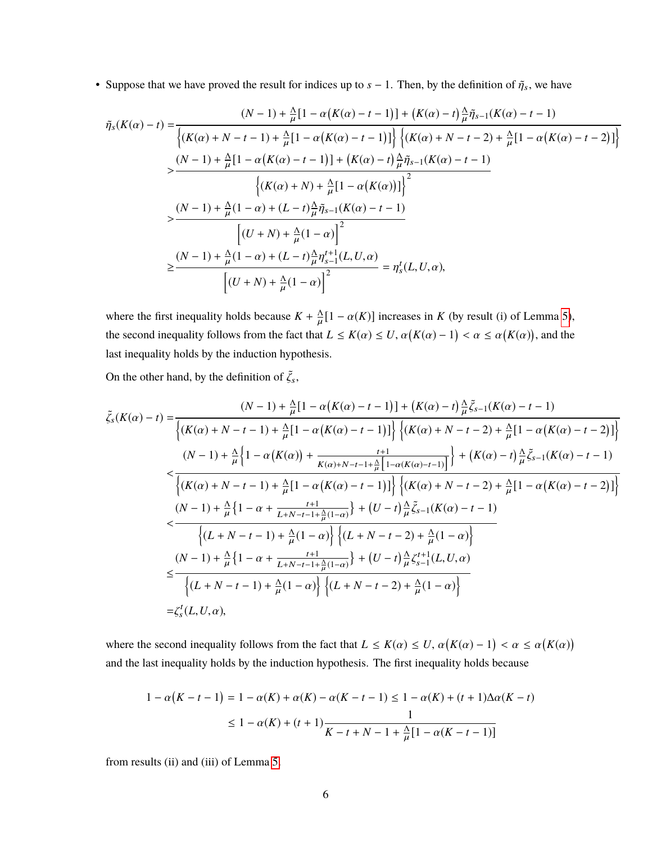• Suppose that we have proved the result for indices up to  $s - 1$ . Then, by the definition of  $\tilde{\eta}_s$ , we have

$$
\tilde{\eta}_{s}(K(\alpha)-t) = \frac{(N-1) + \frac{\Delta}{\mu}[1 - \alpha(K(\alpha)-t-1)] + (K(\alpha)-t)\frac{\Delta}{\mu}\tilde{\eta}_{s-1}(K(\alpha)-t-1)]}{\left\{(K(\alpha)+N-t-1) + \frac{\Delta}{\mu}[1 - \alpha(K(\alpha)-t-1)]\right\} \left\{(K(\alpha)+N-t-2) + \frac{\Delta}{\mu}[1 - \alpha(K(\alpha)-t-2)]\right\}}
$$
\n
$$
> \frac{(N-1) + \frac{\Delta}{\mu}[1 - \alpha(K(\alpha)-t-1)] + (K(\alpha)-t)\frac{\Delta}{\mu}\tilde{\eta}_{s-1}(K(\alpha)-t-1)}{\left\{(K(\alpha)+N) + \frac{\Delta}{\mu}[1 - \alpha(K(\alpha))]\right\}^2}
$$
\n
$$
> \frac{(N-1) + \frac{\Delta}{\mu}(1-\alpha) + (L-t)\frac{\Delta}{\mu}\tilde{\eta}_{s-1}(K(\alpha)-t-1)}{\left[(U+N) + \frac{\Delta}{\mu}(1-\alpha)\right]^2}
$$
\n
$$
\geq \frac{(N-1) + \frac{\Delta}{\mu}(1-\alpha) + (L-t)\frac{\Delta}{\mu}\eta_{s-1}'(L, U, \alpha)}{\left[(U+N) + \frac{\Delta}{\mu}(1-\alpha)\right]^2} = \eta_{s}'(L, U, \alpha),
$$

where the first inequality holds because  $K + \frac{\Lambda}{\mu} [1 - \alpha(K)]$  increases in *K* (by result (i) of Lemma [5\)](#page-0-0), the second inequality follows from the fact that  $L \le K(\alpha) \le U$ ,  $\alpha(K(\alpha) - 1) < \alpha \le \alpha(K(\alpha))$ , and the last inequality holds by the induction hypothesis.

On the other hand, by the definition of  $\tilde{\zeta}_s$ ,

$$
\tilde{\zeta}_{s}(K(\alpha)-t) = \frac{(N-1) + \frac{\Delta}{\mu}[1 - \alpha(K(\alpha)-t-1)] + (K(\alpha)-t)\frac{\Delta}{\mu}\tilde{\zeta}_{s-1}(K(\alpha)-t-1)]}{\left\{(K(\alpha)+N-t-1) + \frac{\Delta}{\mu}[1 - \alpha(K(\alpha)-t-1)]\right\} \left\{(K(\alpha)+N-t-2) + \frac{\Delta}{\mu}[1 - \alpha(K(\alpha)-t-2)]\right\}}
$$
\n
$$
\n\frac{(N-1) + \frac{\Delta}{\mu}\left\{1 - \alpha(K(\alpha)) + \frac{t+1}{K(\alpha)+N-t-1+\frac{\Delta}{\mu}\left[1 - \alpha(K(\alpha)-t-1)\right]}\right\} + (K(\alpha)-t)\frac{\Delta}{\mu}\tilde{\zeta}_{s-1}(K(\alpha)-t-1)
$$
\n
$$
\n\frac{(K(\alpha)+N-t-1) + \frac{\Delta}{\mu}[1 - \alpha(K(\alpha)-t-1)]}{\left\{(K(\alpha)+N-t-1) + \frac{\Delta}{\mu}(1 - \alpha(K(\alpha)-t-1))\right\} \left\{(K(\alpha)+N-t-2) + \frac{\Delta}{\mu}[1 - \alpha(K(\alpha)-t-2)]\right\}}
$$
\n
$$
\n\frac{(N-1) + \frac{\Delta}{\mu}\left\{1 - \alpha + \frac{t+1}{L+N-t-1+\frac{\Delta}{\mu}(1-\alpha)}\right\} + (U-t)\frac{\Delta}{\mu}\tilde{\zeta}_{s-1}(K(\alpha)-t-1)}{\left\{(L+N-t-1) + \frac{\Delta}{\mu}(1 - \alpha)\right\} \left\{(L+N-t-2) + \frac{\Delta}{\mu}(1 - \alpha)\right\}}
$$
\n
$$
\leq \frac{(N-1) + \frac{\Delta}{\mu}\left\{1 - \alpha + \frac{t+1}{L+N-t-1+\frac{\Delta}{\mu}(1-\alpha)}\right\} + (U-t)\frac{\Delta}{\mu}\zeta_{s-1}^{t+1}(L, U, \alpha)}{\left\{(L+N-t-1) + \frac{\Delta}{\mu}(1 - \alpha)\right\} \left\{(L+N-t-2) + \frac{\Delta}{\mu}(1 - \alpha)\right\}}
$$
\n
$$
= \zeta_{s}^{t}(L, U, \alpha),
$$

where the second inequality follows from the fact that  $L \le K(\alpha) \le U$ ,  $\alpha(K(\alpha) - 1) < \alpha \le \alpha(K(\alpha))$ and the last inequality holds by the induction hypothesis. The first inequality holds because

$$
1 - \alpha(K - t - 1) = 1 - \alpha(K) + \alpha(K) - \alpha(K - t - 1) \le 1 - \alpha(K) + (t + 1)\Delta\alpha(K - t)
$$
  

$$
\le 1 - \alpha(K) + (t + 1)\frac{1}{K - t + N - 1 + \frac{\Delta}{\mu}[1 - \alpha(K - t - 1)]}
$$

from results (ii) and (iii) of Lemma [5.](#page-0-0)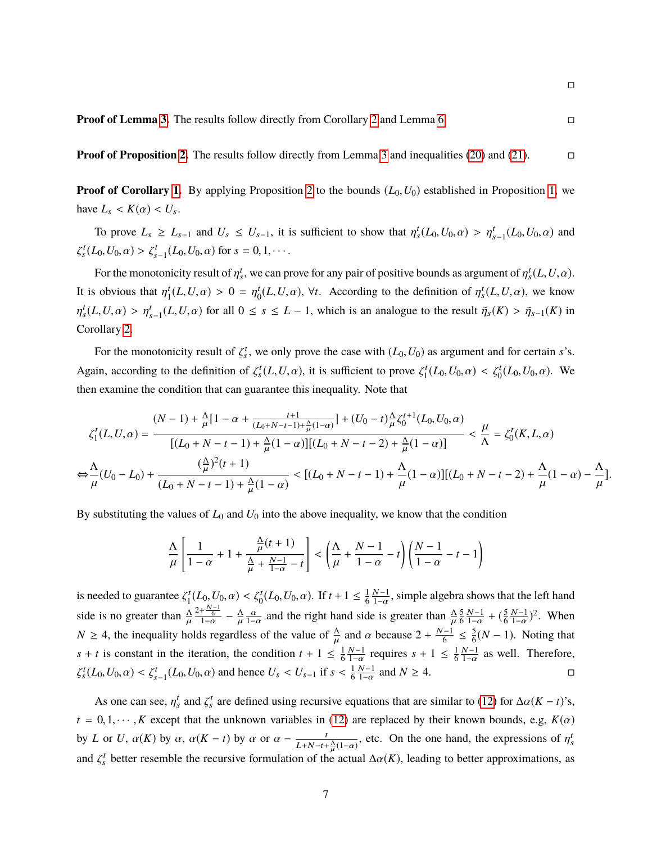**Proof of Proposition [2.](#page-11-0)** The results follow directly from Lemma [3](#page-11-1) and inequalities [\(20\)](#page-29-2) and [\(21\)](#page-29-0).

 $\Box$ 

**Proof of Corollary [1.](#page-12-1)** By applying Proposition [2](#page-11-0) to the bounds  $(L_0, U_0)$  established in Proposition [1,](#page-10-2) we have  $L_s < K(\alpha) < U_s$ .

To prove  $L_s \ge L_{s-1}$  and  $U_s \le U_{s-1}$ , it is sufficient to show that  $\eta_s^t(L_0, U_0, \alpha) > \eta_{s-1}^t(L_0, U_0, \alpha)$  and ζ  $s<sup>t</sup><sub>s</sub>(L<sub>0</sub>, U<sub>0</sub>, \alpha) > \zeta'_{s-1}(L<sub>0</sub>, U<sub>0</sub>, \alpha)$  for  $s = 0, 1, \cdots$ .

For the monotonicity result of  $\eta_s^t$ , we can prove for any pair of positive bounds as argument of  $\eta_s^t(L, U, \alpha)$ . It is obvious that  $\eta_1^t$  $t_1^t(L, U, \alpha) > 0 = \eta_0^t$  $\int_0^t (L, U, \alpha)$ ,  $\forall t$ . According to the definition of  $\eta_s^t (L, U, \alpha)$ , we know η  $t_s^t(L, U, \alpha) > \eta_{s-1}^t(L, U, \alpha)$  for all  $0 \le s \le L - 1$ , which is an analogue to the result  $\tilde{\eta}_s(K) > \tilde{\eta}_{s-1}(K)$  in Corollary [2.](#page-29-1)

For the monotonicity result of  $\zeta_s^t$ , we only prove the case with  $(L_0, U_0)$  as argument and for certain *s*'s. Again, according to the definition of  $\zeta_s^t(L, U, \alpha)$ , it is sufficient to prove  $\zeta_1^t$  $\zeta_1^t(L_0, U_0, \alpha) < \zeta_0^t(L_0, U_0, \alpha)$ . We then examine the condition that can guarantee this inequality. Note that

$$
\zeta_1^t(L, U, \alpha) = \frac{(N-1) + \frac{\Lambda}{\mu} [1 - \alpha + \frac{t+1}{(L_0 + N - t - 1) + \frac{\Lambda}{\mu}(1 - \alpha)}] + (U_0 - t)\frac{\Lambda}{\mu}\zeta_0^{t+1}(L_0, U_0, \alpha)}{[(L_0 + N - t - 1) + \frac{\Lambda}{\mu}(1 - \alpha)][(L_0 + N - t - 2) + \frac{\Lambda}{\mu}(1 - \alpha)]} < \frac{\mu}{\Lambda} = \zeta_0^t(K, L, \alpha)
$$

$$
\Leftrightarrow \frac{\Lambda}{\mu}(U_0 - L_0) + \frac{(\frac{\Lambda}{\mu})^2(t+1)}{(L_0 + N - t - 1) + \frac{\Lambda}{\mu}(1 - \alpha)} < [(L_0 + N - t - 1) + \frac{\Lambda}{\mu}(1 - \alpha)][(L_0 + N - t - 2) + \frac{\Lambda}{\mu}(1 - \alpha) - \frac{\Lambda}{\mu}].
$$

By substituting the values of  $L_0$  and  $U_0$  into the above inequality, we know that the condition

$$
\frac{\Lambda}{\mu} \left[ \frac{1}{1-\alpha} + 1 + \frac{\frac{\Lambda}{\mu}(t+1)}{\frac{\Lambda}{\mu} + \frac{N-1}{1-\alpha} - t} \right] < \left( \frac{\Lambda}{\mu} + \frac{N-1}{1-\alpha} - t \right) \left( \frac{N-1}{1-\alpha} - t - 1 \right)
$$

is needed to guarantee  $\zeta_1^t$  $\chi_1^t(L_0, U_0, \alpha) < \zeta_0^t(L_0, U_0, \alpha)$ . If  $t + 1 \leq \frac{1}{6}$ 6  $\frac{N-1}{1-\alpha}$ , simple algebra shows that the left hand  $1-\alpha$ side is no greater than  $\frac{\Delta^{2+\frac{N-1}{6}}}{\mu^{1-\alpha}} - \frac{\Delta}{\mu} \frac{\alpha}{1-\alpha}$  and the right hand side is greater than  $\frac{\Delta}{\mu} \frac{5}{6}$  $N \geq 4$ , the inequality holds regardless of the value of  $\frac{\Delta}{\mu}$  and  $\alpha$  because  $2 + \frac{N-1}{6}$ 6  $N-1$  $\frac{N-1}{1-\alpha} + (\frac{5}{6})$ 6  $N-1$  $\frac{N-1}{1-\alpha}$ <sup>2</sup>. When  $s + t$  is constant in the iteration, the condition  $t + 1 \leq \frac{1}{6}$  $\frac{-1}{6} \leq \frac{5}{6}$  $\frac{5}{6}(N-1)$ . Noting that 6  $N-1$  $\frac{N-1}{1-\alpha}$  requires  $s + 1 \leq \frac{1}{6}$ 6  $N-1$  $\frac{N-1}{1-\alpha}$  as well. Therefore, ζ  $S^{t}(L_0, U_0, \alpha) < \zeta_{s-1}^{t}(L_0, U_0, \alpha)$  and hence  $U_s < U_{s-1}$  if  $s < \frac{1}{6}$ 6  $N-1$  $1-\alpha$ and  $N \geq 4$ .

As one can see,  $\eta_s^t$  and  $\zeta_s^t$  are defined using recursive equations that are similar to [\(12\)](#page-10-3) for  $\Delta \alpha (K - t)$ 's,  $t = 0, 1, \dots, K$  except that the unknown variables in [\(12\)](#page-10-3) are replaced by their known bounds, e.g,  $K(\alpha)$ by *L* or *U*,  $\alpha(K)$  by  $\alpha$ ,  $\alpha(K - t)$  by  $\alpha$  or  $\alpha - \frac{t}{L+N-t+1}$  $\frac{t}{L+N-t+\frac{\Delta}{\mu}(1-\alpha)}$ , etc. On the one hand, the expressions of  $\eta_s^t$ and  $\zeta_s^t$  better resemble the recursive formulation of the actual  $\Delta \alpha(K)$ , leading to better approximations, as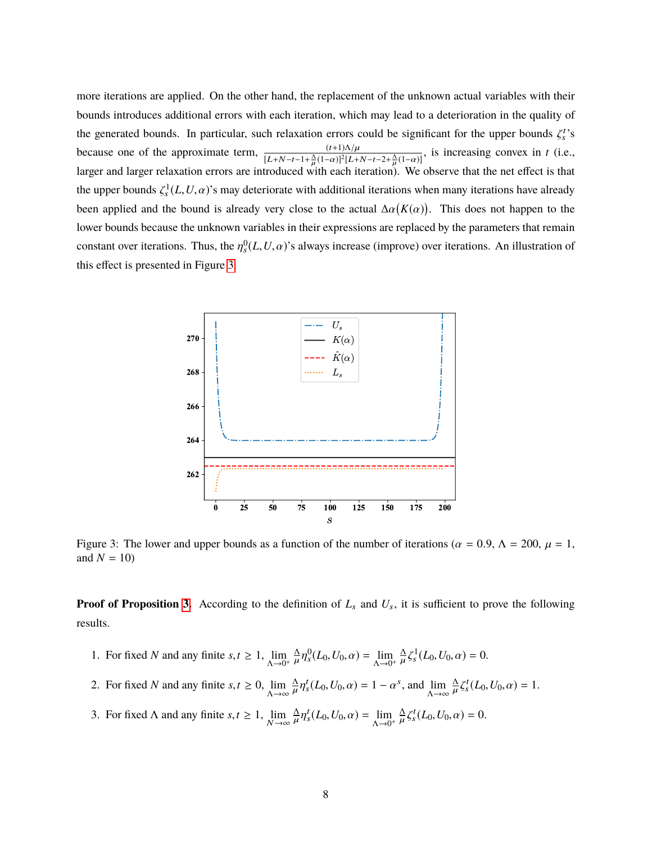more iterations are applied. On the other hand, the replacement of the unknown actual variables with their bounds introduces additional errors with each iteration, which may lead to a deterioration in the quality of the generated bounds. In particular, such relaxation errors could be significant for the upper bounds  $\zeta_s^t$ 's because one of the approximate term,  $\frac{(t+1)\Lambda/\mu}{[L+N-t-1+\frac{\Lambda}{\mu}(1-\alpha)]^2[L+1]}$  $\frac{\Delta}{\mu}(1-\alpha)^2[L+N-t-2+\frac{\Delta}{\mu}]$ <br>with each iteration) because one of the approximate term,  $\frac{(t+1)N/\mu}{[L+N-t-1+\frac{\Lambda}{\mu}(1-\alpha)]^2[L+N-t-2+\frac{\Lambda}{\mu}(1-\alpha)]}$ , is increasing convex in *t* (i.e., larger and larger relaxation errors are introduced with each iteration). We observe that the net the upper bounds  $\zeta_s^1(L, U, \alpha)$ 's may deteriorate with additional iterations when many iterations have already been applied and the bound is already very close to the actual  $\Delta \alpha(K(\alpha))$ . This does not happen to the lower bounds because the unknown variables in their expressions are replaced by the parameters that remain constant over iterations. Thus, the  $\eta_s^0(L, U, \alpha)$ 's always increase (improve) over iterations. An illustration of this effect is presented in Figure [3.](#page-33-0)

<span id="page-33-0"></span>

Figure 3: The lower and upper bounds as a function of the number of iterations ( $\alpha = 0.9$ ,  $\Lambda = 200$ ,  $\mu = 1$ , and  $N = 10$ 

**Proof of Proposition [3.](#page-12-2)** According to the definition of  $L_s$  and  $U_s$ , it is sufficient to prove the following results.

- 1. For fixed *N* and any finite *s*,  $t \ge 1$ ,  $\lim_{\Delta \to 0^+}$ Λ  $\mu$ '  $S_0^0(L_0, U_0, \alpha) = \lim_{\Delta \to 0^+}$ Λ  $\mu$ <sup>3</sup>  $J_s^1(L_0, U_0, \alpha) = 0.$
- 2. For fixed *N* and any finite *s*,  $t \ge 0$ ,  $\lim_{\Delta \to \infty}$ Λ  $\mu$ '  $t_s^t(L_0, U_0, \alpha) = 1 - \alpha^s$ , and  $\lim_{\Delta \to \infty}$ Λ  $\mu$   $\overline{\phantom{0}}$  $t_s^t(L_0, U_0, \alpha) = 1.$
- 3. For fixed  $\Lambda$  and any finite  $s, t \geq 1$ ,  $\lim_{N \to \infty}$ Λ  $\mu$ <sup>'</sup>  $t_s^t(L_0, U_0, \alpha) = \lim_{\Lambda \to 0^+}$ Λ  $\mu$   $\overline{z}$  $t_s^t(L_0, U_0, \alpha) = 0.$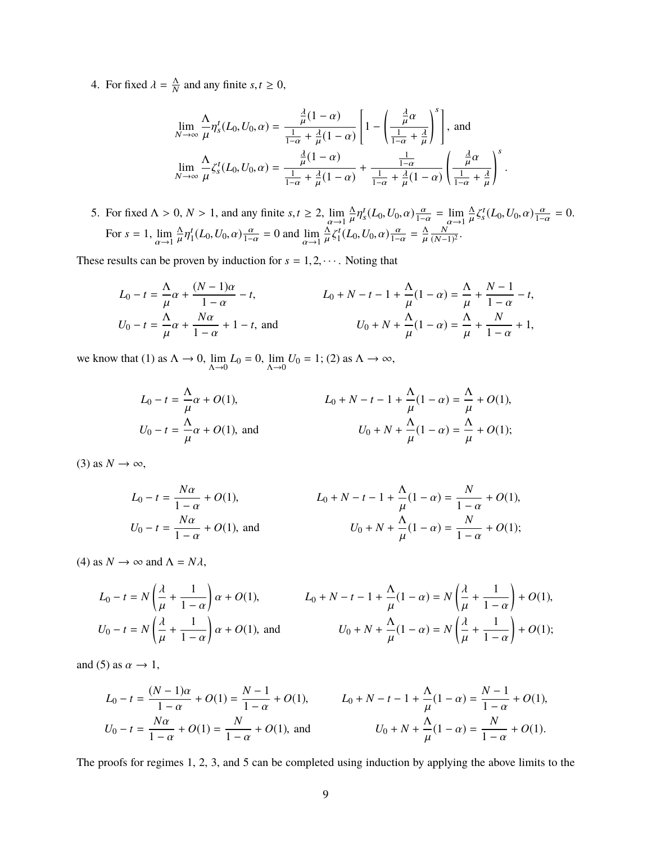4. For fixed  $\lambda = \frac{\Lambda}{N}$  $\frac{\Delta}{N}$  and any finite *s*,*t*  $\geq 0$ ,

$$
\lim_{N \to \infty} \frac{\Lambda}{\mu} \eta_s^t(L_0, U_0, \alpha) = \frac{\frac{\lambda}{\mu} (1 - \alpha)}{\frac{1}{1 - \alpha} + \frac{\lambda}{\mu} (1 - \alpha)} \left[ 1 - \left( \frac{\frac{\lambda}{\mu} \alpha}{\frac{1}{1 - \alpha} + \frac{\lambda}{\mu}} \right)^s \right], \text{ and}
$$
\n
$$
\lim_{N \to \infty} \frac{\Lambda}{\mu} \zeta_s^t(L_0, U_0, \alpha) = \frac{\frac{\lambda}{\mu} (1 - \alpha)}{\frac{1}{1 - \alpha} + \frac{\lambda}{\mu} (1 - \alpha)} + \frac{\frac{1}{1 - \alpha}}{\frac{1}{1 - \alpha} + \frac{\lambda}{\mu} (1 - \alpha)} \left( \frac{\frac{\lambda}{\mu} \alpha}{\frac{1}{1 - \alpha} + \frac{\lambda}{\mu}} \right)^s.
$$

5. For fixed Λ > 0, *N* > 1, and any finite *s*,*t* ≥ 2, lim<br>
For  $s = 1$ , lim  $\Delta x$ (*I*, *I*/ a) *θ* = 0 and lim  $\Delta x$ (*I* Λ  $\mu$ '  $t_s^t(L_0, U_0, \alpha) \frac{\alpha}{1-\alpha} = \lim_{\alpha \to 1}$  $\alpha \rightarrow 1$ Λ  $\mu$ <sup>3</sup>  $S_s^t(L_0, U_0, \alpha) \frac{\alpha}{1-\alpha} = 0.$ For  $s = 1$ , lim  $\alpha \rightarrow 1$ Λ  $\mu$ ' t  $_{1}^{t}(L_0, U_0, \alpha) \frac{\alpha}{1-\alpha} = 0$  and  $\lim_{\alpha \to 1}$  $\alpha \rightarrow 1$ Λ  $\mu$ <sup>3</sup> t  $\frac{\alpha}{1}(L_0, U_0, \alpha) \frac{\alpha}{1-\alpha} = \frac{\Lambda}{\mu}$  $\mathbf{r}$ N  $\frac{N}{(N-1)^2}$ .

These results can be proven by induction for  $s = 1, 2, \cdots$ . Noting that

$$
L_0 - t = \frac{\Lambda}{\mu} \alpha + \frac{(N-1)\alpha}{1-\alpha} - t, \qquad L_0 + N - t - 1 + \frac{\Lambda}{\mu} (1-\alpha) = \frac{\Lambda}{\mu} + \frac{N-1}{1-\alpha} - t, U_0 - t = \frac{\Lambda}{\mu} \alpha + \frac{N\alpha}{1-\alpha} + 1 - t, \text{ and } \qquad U_0 + N + \frac{\Lambda}{\mu} (1-\alpha) = \frac{\Lambda}{\mu} + \frac{N}{1-\alpha} + 1,
$$

we know that (1) as  $\Lambda \to 0$ ,  $\lim_{\Lambda \to 0} L_0 = 0$ ,  $\lim_{\Lambda \to 0} U_0 = 1$ ; (2) as  $\Lambda \to \infty$ ,

$$
L_0 - t = \frac{\Lambda}{\mu} \alpha + O(1),
$$
  
\n
$$
L_0 + N - t - 1 + \frac{\Lambda}{\mu} (1 - \alpha) = \frac{\Lambda}{\mu} + O(1),
$$
  
\n
$$
U_0 - t = \frac{\Lambda}{\mu} \alpha + O(1),
$$
 and  
\n
$$
U_0 + N + \frac{\Lambda}{\mu} (1 - \alpha) = \frac{\Lambda}{\mu} + O(1);
$$

 $(3)$  as  $N \rightarrow \infty$ ,

$$
L_0 - t = \frac{N\alpha}{1 - \alpha} + O(1),
$$
  
\n
$$
L_0 + N - t - 1 + \frac{\Lambda}{\mu}(1 - \alpha) = \frac{N}{1 - \alpha} + O(1),
$$
  
\n
$$
U_0 - t = \frac{N\alpha}{1 - \alpha} + O(1),
$$
 and  
\n
$$
U_0 + N + \frac{\Lambda}{\mu}(1 - \alpha) = \frac{N}{1 - \alpha} + O(1);
$$

(4) as  $N \to \infty$  and  $\Lambda = N \lambda$ ,

$$
L_0 - t = N\left(\frac{\lambda}{\mu} + \frac{1}{1-\alpha}\right)\alpha + O(1),
$$
  
\n
$$
L_0 + N - t - 1 + \frac{\Lambda}{\mu}(1-\alpha) = N\left(\frac{\lambda}{\mu} + \frac{1}{1-\alpha}\right) + O(1),
$$
  
\n
$$
U_0 - t = N\left(\frac{\lambda}{\mu} + \frac{1}{1-\alpha}\right)\alpha + O(1),
$$
 and  
\n
$$
U_0 + N + \frac{\Lambda}{\mu}(1-\alpha) = N\left(\frac{\lambda}{\mu} + \frac{1}{1-\alpha}\right) + O(1);
$$

and (5) as  $\alpha \rightarrow 1$ ,

$$
L_0 - t = \frac{(N-1)\alpha}{1-\alpha} + O(1) = \frac{N-1}{1-\alpha} + O(1),
$$
  
\n
$$
L_0 + N - t - 1 + \frac{\Lambda}{\mu}(1-\alpha) = \frac{N-1}{1-\alpha} + O(1),
$$
  
\n
$$
U_0 - t = \frac{N\alpha}{1-\alpha} + O(1) = \frac{N}{1-\alpha} + O(1),
$$
 and 
$$
U_0 + N + \frac{\Lambda}{\mu}(1-\alpha) = \frac{N}{1-\alpha} + O(1).
$$

The proofs for regimes 1, 2, 3, and 5 can be completed using induction by applying the above limits to the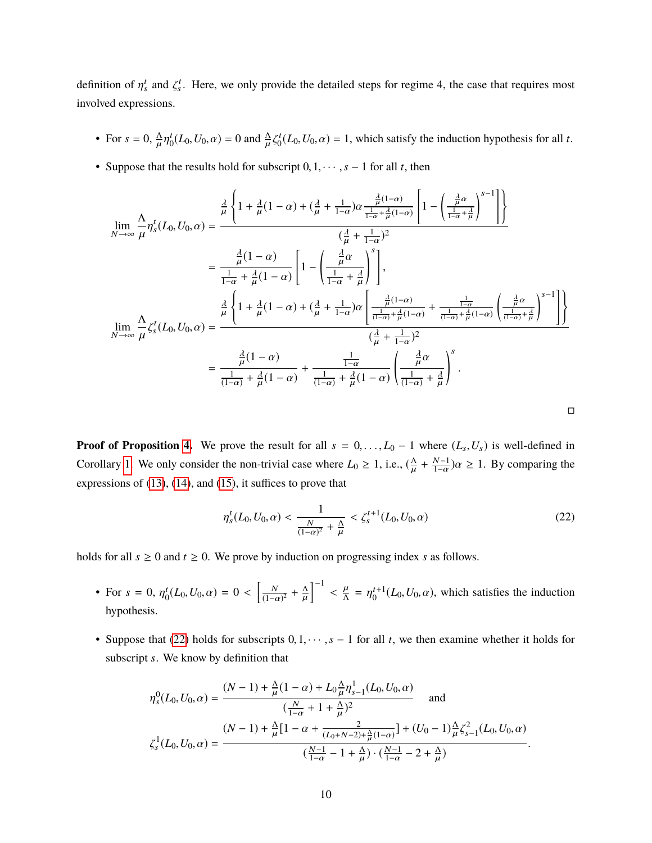definition of  $\eta_s^t$  and  $\zeta_s^t$ . Here, we only provide the detailed steps for regime 4, the case that requires most involved expressions.

- For  $s = 0$ ,  $\frac{\Delta}{\mu}$  $\mu$ <sup>'</sup> t  $\int_0^t (L_0, U_0, \alpha) = 0$  and  $\frac{\Lambda}{\mu} \zeta$ t  $C_0^t(L_0, U_0, \alpha) = 1$ , which satisfy the induction hypothesis for all *t*.
- Suppose that the results hold for subscript  $0, 1, \dots, s 1$  for all *t*, then

$$
\lim_{N \to \infty} \frac{\Lambda}{\mu} \eta_s^t(L_0, U_0, \alpha) = \frac{\frac{\lambda}{\mu} \left\{ 1 + \frac{\lambda}{\mu} (1 - \alpha) + \left(\frac{\lambda}{\mu} + \frac{1}{1 - \alpha}\right) \alpha \frac{\frac{\lambda}{\mu} (1 - \alpha)}{\frac{1}{1 - \alpha} + \frac{\lambda}{\mu} (1 - \alpha)} \left[ 1 - \left(\frac{\frac{\lambda}{\mu} \alpha}{\frac{1}{1 - \alpha} + \frac{\lambda}{\mu}}\right)^{s-1} \right] \right\}}{\left(\frac{\lambda}{\mu} + \frac{1}{1 - \alpha}\right)^2}
$$
\n
$$
= \frac{\frac{\lambda}{\mu} (1 - \alpha)}{\frac{1}{1 - \alpha} + \frac{\lambda}{\mu} (1 - \alpha)} \left[ 1 - \left(\frac{\frac{\lambda}{\mu} \alpha}{\frac{1}{1 - \alpha} + \frac{\lambda}{\mu}}\right)^s \right],
$$
\n
$$
\lim_{N \to \infty} \frac{\Lambda}{\mu} \zeta_s^t(L_0, U_0, \alpha) = \frac{\frac{\lambda}{\mu} \left\{ 1 + \frac{\lambda}{\mu} (1 - \alpha) + \left(\frac{\lambda}{\mu} + \frac{1}{1 - \alpha}\right) \alpha \left[ \frac{\frac{\lambda}{\mu} (1 - \alpha)}{\frac{1}{(1 - \alpha)} + \frac{\lambda}{\mu} (1 - \alpha)} + \frac{\frac{1}{1 - \alpha}}{\frac{1}{(1 - \alpha)} + \frac{\lambda}{\mu} (1 - \alpha)} \left(\frac{\frac{\lambda}{\mu} \alpha}{\frac{1}{(1 - \alpha)} + \frac{\lambda}{\mu}}\right)^{s-1} \right] \right\}}{\left(\frac{\lambda}{\mu} + \frac{1}{1 - \alpha}\right)^2}
$$
\n
$$
= \frac{\frac{\lambda}{\mu} (1 - \alpha)}{\frac{1}{(1 - \alpha)} + \frac{\lambda}{\mu} (1 - \alpha)} + \frac{\frac{1}{1 - \alpha}}{\frac{1}{(1 - \alpha)} + \frac{\lambda}{\mu} (1 - \alpha)} \left(\frac{\frac{\lambda}{\mu} \alpha}{\frac{1}{(1 - \alpha)} + \frac{\lambda}{\mu}}\right)^s.
$$

**Proof of Proposition [4.](#page-14-0)** We prove the result for all  $s = 0, \ldots, L_0 - 1$  where  $(L_s, U_s)$  is well-defined in Corollary [1.](#page-12-1) We only consider the non-trivial case where  $L_0 \ge 1$ , i.e.,  $(\frac{\Delta}{\mu})$  $\mathbf{r}$  $+\frac{N-1}{1-\alpha}$  $\frac{N-1}{1-\alpha}$ ) $\alpha \ge 1$ . By comparing the expressions of [\(13\)](#page-12-3), [\(14\)](#page-12-4), and [\(15\)](#page-14-1), it suffices to prove that

<span id="page-35-0"></span>
$$
\eta_s^t(L_0, U_0, \alpha) < \frac{1}{\frac{N}{(1-\alpha)^2} + \frac{\Lambda}{\mu}} < \zeta_s^{t+1}(L_0, U_0, \alpha) \tag{22}
$$

holds for all  $s \ge 0$  and  $t \ge 0$ . We prove by induction on progressing index *s* as follows.

- For  $s = 0, \eta_0^t$  $\int_0^t (L_0, U_0, \alpha) = 0 < \left[ \frac{N}{(1 - \alpha)} \right]$  $\frac{N}{(1-\alpha)^2} + \frac{\Delta}{\mu}$  $\mathbf{r}$  $]^{-1}$  $\langle \frac{\mu}{\Lambda} = \eta_0^{t+1}(L_0, U_0, \alpha)$ , which satisfies the induction hypothesis.
- Suppose that [\(22\)](#page-35-0) holds for subscripts <sup>0</sup>, <sup>1</sup>, · · · ,*<sup>s</sup>* <sup>−</sup> <sup>1</sup> for all *<sup>t</sup>*, we then examine whether it holds for subscript *s*. We know by definition that

$$
\eta_s^0(L_0, U_0, \alpha) = \frac{(N-1) + \frac{\Delta}{\mu}(1-\alpha) + L_0 \frac{\Delta}{\mu} \eta_{s-1}^1(L_0, U_0, \alpha)}{(\frac{N}{1-\alpha} + 1 + \frac{\Delta}{\mu})^2}
$$
 and 
$$
\zeta_s^1(L_0, U_0, \alpha) = \frac{(N-1) + \frac{\Delta}{\mu}[1 - \alpha + \frac{2}{(L_0 + N - 2) + \frac{\Delta}{\mu}(1-\alpha)}] + (U_0 - 1)\frac{\Delta}{\mu}\zeta_{s-1}^2(L_0, U_0, \alpha)}{(\frac{N-1}{1-\alpha} - 1 + \frac{\Delta}{\mu}) \cdot (\frac{N-1}{1-\alpha} - 2 + \frac{\Delta}{\mu})}
$$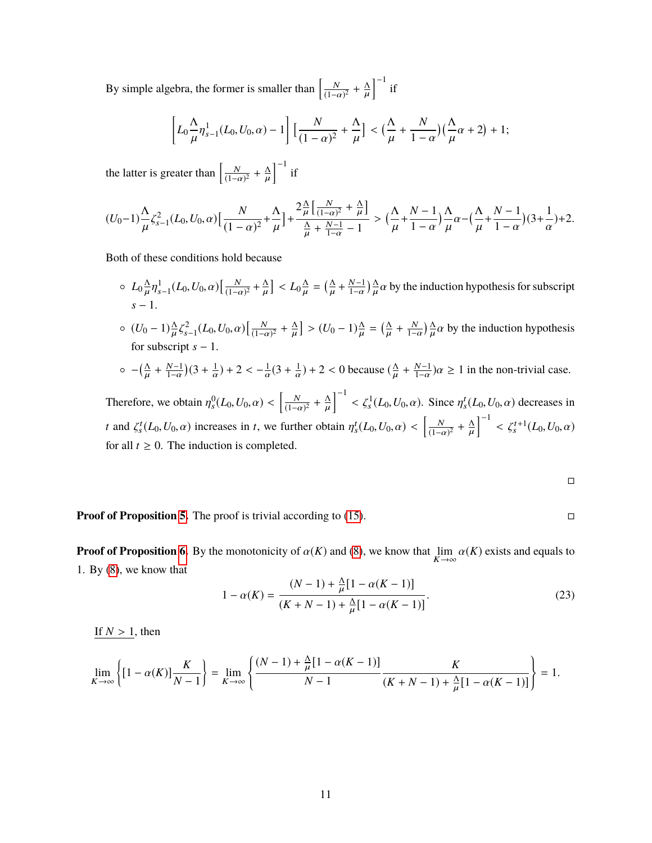By simple algebra, the former is smaller than  $\left[\frac{N}{1-\epsilon}\right]$  $\frac{N}{(1-\alpha)^2} + \frac{\Lambda}{\mu}$  $\mathbf{r}$  $\int^{-1}$  if

$$
\left[L_0\frac{\Lambda}{\mu}\eta_{s-1}^1(L_0,U_0,\alpha)-1\right]\left[\frac{N}{(1-\alpha)^2}+\frac{\Lambda}{\mu}\right]<\left(\frac{\Lambda}{\mu}+\frac{N}{1-\alpha}\right)\left(\frac{\Lambda}{\mu}\alpha+2\right)+1;
$$

the latter is greater than  $\left[\frac{N}{1-\epsilon}\right]$  $\frac{N}{(1-\alpha)^2} + \frac{\Delta}{\mu}$  $\mathbf{r}$  $\int^{-1}$  if

$$
(U_0-1)\frac{\Lambda}{\mu}\zeta_{s-1}^2(L_0,U_0,\alpha)\Big[\frac{N}{(1-\alpha)^2}+\frac{\Lambda}{\mu}\Big]+\frac{2\frac{\Lambda}{\mu}\Big[\frac{N}{(1-\alpha)^2}+\frac{\Lambda}{\mu}\Big]}{\frac{\Lambda}{\mu}+\frac{N-1}{1-\alpha}-1}>\Big(\frac{\Lambda}{\mu}+\frac{N-1}{1-\alpha}\Big)\frac{\Lambda}{\mu}\alpha-\Big(\frac{\Lambda}{\mu}+\frac{N-1}{1-\alpha}\Big)(3+\frac{1}{\alpha})+2.
$$

Both of these conditions hold because

- $\circ$   $L_0 \frac{\Lambda}{\mu}$  $\mu$ ''  $\int_{s-1}^{1} (L_0, U_0, \alpha) \left[ \frac{N}{(1-\alpha)} \right]$  $\frac{N}{(1-\alpha)^2} + \frac{\Lambda}{\mu}$  $\mathbf{r}$  $\left] < L_0 \frac{\Lambda}{\mu} \right.$  $\mathbf{r}$  $=\left(\frac{\Lambda}{u}\right)$  $\mathbf{r}$  $+\frac{N-1}{1-\alpha}$  $\frac{N-1}{1-\alpha}$ )  $\frac{\Lambda}{\mu}$  $\frac{\Delta}{\mu} \alpha$  by the induction hypothesis for subscript *s* − 1.
- $\circ$   $(U_0 1)\frac{\Lambda}{\mu}$ for subscript  $s - 1$ . ζ  $\int_{s-1}^{2} (L_0, U_0, \alpha) \left[ \frac{N}{(1-\alpha)} \right]$  $\frac{N}{(1-\alpha)^2} + \frac{\Delta}{\mu}$ µ  $\left] > (U_0 - 1) \frac{\Delta}{\mu}$ µ  $= \left(\frac{\Delta}{u}\right)$ µ +  $\frac{N}{1-\alpha}$  $\frac{\Delta}{\mu}$  $\frac{\Delta}{\mu} \alpha$  by the induction hypothesis

$$
\circ
$$
  $-(\frac{\Delta}{\mu} + \frac{N-1}{1-\alpha})(3+\frac{1}{\alpha}) + 2 < -\frac{1}{\alpha}(3+\frac{1}{\alpha}) + 2 < 0$  because  $(\frac{\Delta}{\mu} + \frac{N-1}{1-\alpha})\alpha \ge 1$  in the non-trivial case.

Therefore, we obtain  $\eta_s^0(L_0, U_0, \alpha) < \left[\frac{N}{(1-\alpha)^2} + \frac{\Lambda}{\mu}\right]^{-1} < \zeta_s^1(L_0, U_0, \alpha)$ . Since  $\eta_s^t(L_0, U_0, \alpha)$  decreases in  $(1-\alpha)^2$   $\mu$ *t* and  $\zeta_s^t(L_0, U_0, \alpha)$  increases in *t*, we further obtain  $\eta_s^t(L_0, U_0, \alpha) < \left[\frac{N_0}{(1-\alpha)^2}\right]$  $\frac{N}{(1-\alpha)^2} + \frac{\Delta}{\mu}$  $\mathbf{r}$  $\int_{0}^{-1} < \zeta_s^{t+1}(L_0, U_0, \alpha)$ for all  $t \geq 0$ . The induction is completed.

$$
\Box
$$

**Proof of Proposition [5.](#page-14-3)** The proof is trivial according to [\(15\)](#page-14-1).

**Proof of Proposition [6.](#page-16-0)** By the monotonicity of  $\alpha(K)$  and [\(8\)](#page-9-1), we know that  $\lim_{K \to \infty} \alpha(K)$  exists and equals to 1. By [\(8\)](#page-9-1), we know that

<span id="page-36-0"></span>
$$
1 - \alpha(K) = \frac{(N-1) + \frac{\Delta}{\mu}[1 - \alpha(K-1)]}{(K + N - 1) + \frac{\Delta}{\mu}[1 - \alpha(K-1)]}.
$$
\n(23)

If  $N > 1$ , then

$$
\lim_{K \to \infty} \left\{ [1 - \alpha(K)] \frac{K}{N - 1} \right\} = \lim_{K \to \infty} \left\{ \frac{(N - 1) + \frac{\Delta}{\mu} [1 - \alpha(K - 1)]}{N - 1} \frac{K}{(K + N - 1) + \frac{\Delta}{\mu} [1 - \alpha(K - 1)]} \right\} = 1.
$$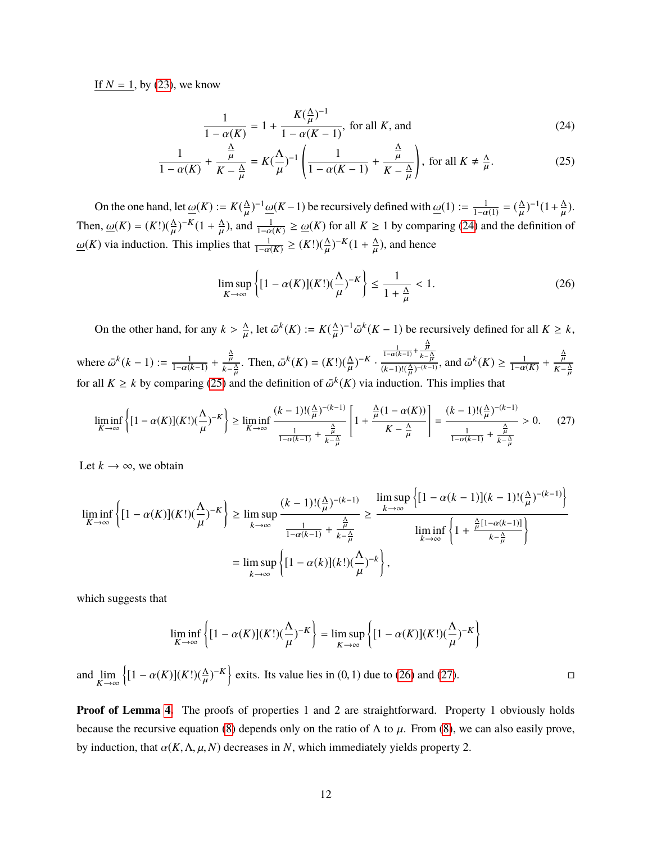If  $N = 1$ , by [\(23\)](#page-36-0), we know

<span id="page-37-1"></span><span id="page-37-0"></span>
$$
\frac{1}{1 - \alpha(K)} = 1 + \frac{K(\frac{\Delta}{\mu})^{-1}}{1 - \alpha(K - 1)}, \text{ for all } K, \text{ and}
$$
\n(24)

$$
\frac{1}{1-\alpha(K)} + \frac{\frac{\Delta}{\mu}}{K - \frac{\Delta}{\mu}} = K(\frac{\Lambda}{\mu})^{-1} \left( \frac{1}{1-\alpha(K-1)} + \frac{\frac{\Delta}{\mu}}{K - \frac{\Delta}{\mu}} \right), \text{ for all } K \neq \frac{\Delta}{\mu}.
$$
 (25)

On the one hand, let  $\underline{\omega}(K) := K(\frac{\Delta}{\mu})^{-1} \underline{\omega}(K-1)$  be recursively defined with  $\underline{\omega}(1) := \frac{1}{1-\alpha(1)} = (\frac{\Delta}{\mu})^{-1}(1+\frac{\Delta}{\mu})$ . Then,  $\underline{\omega}(K) = (K!)(\frac{\Delta}{\mu})^{-K} (1 + \frac{\Delta}{\mu})$ , and  $\frac{1}{1 - \alpha(K)} \ge \underline{\omega}(K)$  for all  $K \ge 1$  by comparing (24) and the definition  $^{-K}(1+\frac{\Lambda}{\mu})$  $\mathbf{r}$ ), and  $\frac{1}{1-\alpha(K)} \ge \omega(K)$  for all *K* ≥ 1 by comparing [\(24\)](#page-37-0) and the definition of  $\underline{\omega}(K)$  via induction. This implies that  $\frac{1}{1-\alpha(K)} \ge (K!) (\frac{\Lambda}{\mu})$  $\mathbf{r}$  $^{-K}(1+\frac{\Lambda}{\mu})$  $\mathbf{r}$ ), and hence

<span id="page-37-2"></span>
$$
\limsup_{K \to \infty} \left\{ [1 - \alpha(K)](K!) (\frac{\Lambda}{\mu})^{-K} \right\} \le \frac{1}{1 + \frac{\Lambda}{\mu}} < 1.
$$
\n(26)

On the other hand, for any  $k > \frac{\Lambda}{\mu}$ , let  $\bar{\omega}^k(K) := K(\frac{\Lambda}{\mu})^{-1} \bar{\omega}^k(K-1)$  be recursively defined for all  $K \geq k$ , **µ** where  $\bar{\omega}^k(k-1) := \frac{1}{1-\alpha(k-1)} + \frac{\frac{\Delta}{\mu}}{k-1}$  $\frac{\overline{\mu}}{k-\frac{\Delta}{\mu}}$ . Then,  $\overline{\omega}^k(K) = (K!) (\frac{\Delta}{\mu})$ for all  $K \ge k$  by comparing [\(25\)](#page-37-1) and the definition of  $\bar{\omega}^k(K)$  via induction. This implies that µ  $)^{-K}$ .  $\frac{1}{1-\alpha(k-1)} + \frac{\frac{\Lambda}{\mu}}{k-1}$  $k-\frac{\Lambda}{H}$  $\frac{\frac{1}{1-\alpha(k-1)} + \frac{\lambda}{k-\frac{\Delta}{\mu}}}{(k-1)!(\frac{\Delta}{\mu})^{-(k-1)}},$  and  $\bar{\omega}^k(K) \ge \frac{1}{1-\alpha(K)} + \frac{\frac{\Delta}{\mu}}{K-\frac{\Delta}{\mu}}$  $K-\frac{\Lambda}{H}$  $\overline{a}$ 

<span id="page-37-3"></span>
$$
\liminf_{K \to \infty} \left\{ [1 - \alpha(K)](K!) (\frac{\Lambda}{\mu})^{-K} \right\} \ge \liminf_{K \to \infty} \frac{(k-1)! (\frac{\Lambda}{\mu})^{-(k-1)}}{\frac{1}{1 - \alpha(k-1)} + \frac{\frac{\Lambda}{\mu}}{k - \frac{\Lambda}{\mu}}} \left[ 1 + \frac{\frac{\Lambda}{\mu} (1 - \alpha(K))}{K - \frac{\Lambda}{\mu}} \right] = \frac{(k-1)! (\frac{\Lambda}{\mu})^{-(k-1)}}{\frac{1}{1 - \alpha(k-1)} + \frac{\frac{\Lambda}{\mu}}{k - \frac{\Lambda}{\mu}}} > 0. \tag{27}
$$

Let  $k \to \infty$ , we obtain

$$
\liminf_{K \to \infty} \left\{ [1 - \alpha(K)](K!) (\frac{\Lambda}{\mu})^{-K} \right\} \ge \limsup_{k \to \infty} \frac{(k-1)! (\frac{\Lambda}{\mu})^{-(k-1)}}{\frac{1}{1 - \alpha(k-1)} + \frac{\frac{\Lambda}{\mu}}{k - \frac{\Lambda}{\mu}}} \ge \frac{\limsup_{k \to \infty} \left\{ [1 - \alpha(k-1)](k-1)! (\frac{\Lambda}{\mu})^{-(k-1)} \right\}}{\liminf_{k \to \infty} \left\{ 1 + \frac{\frac{\Lambda}{\mu} [1 - \alpha(k-1)]}{k - \frac{\Lambda}{\mu}} \right\}}
$$
\n
$$
= \limsup_{k \to \infty} \left\{ [1 - \alpha(k)](k!) (\frac{\Lambda}{\mu})^{-k} \right\},
$$

which suggests that

$$
\liminf_{K \to \infty} \left\{ [1 - \alpha(K)](K!) (\frac{\Lambda}{\mu})^{-K} \right\} = \limsup_{K \to \infty} \left\{ [1 - \alpha(K)](K!) (\frac{\Lambda}{\mu})^{-K} \right\}
$$

and  $\lim_{K \to \infty}$  $\left\{ [1 - \alpha(K)](K!) (\frac{\Delta}{\mu}) \right\}$  $(-)^{-K}$  exits. Its value lies in (0, 1) due to [\(26\)](#page-37-2) and [\(27\)](#page-37-3).

**Proof of Lemma [4.](#page-14-2)** The proofs of properties 1 and 2 are straightforward. Property 1 obviously holds because the recursive equation [\(8\)](#page-9-1) depends only on the ratio of  $\Lambda$  to  $\mu$ . From (8), we can also easily prove, by induction, that  $\alpha(K, \Lambda, \mu, N)$  decreases in *N*, which immediately yields property 2.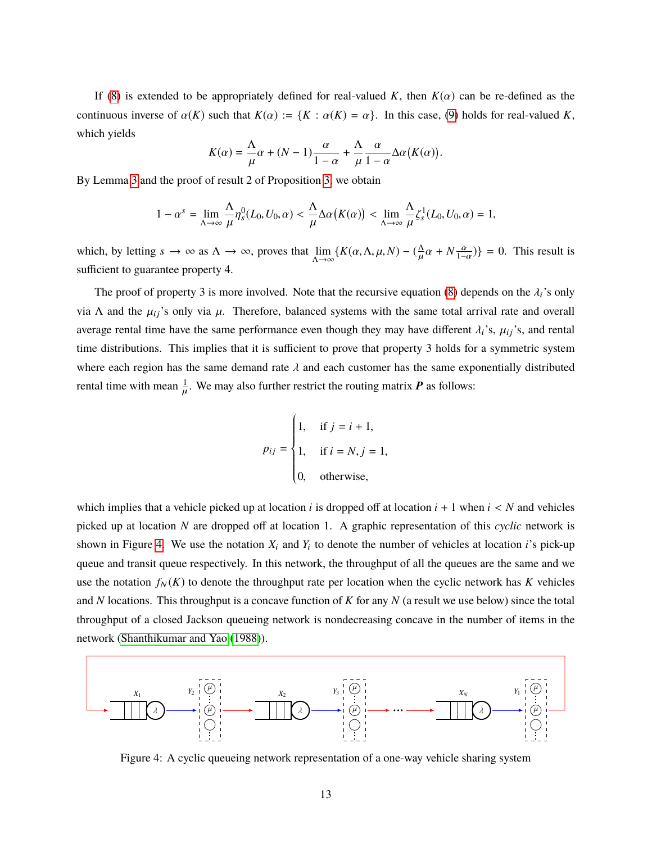If [\(8\)](#page-9-1) is extended to be appropriately defined for real-valued *K*, then  $K(\alpha)$  can be re-defined as the continuous inverse of  $\alpha(K)$  such that  $K(\alpha) := \{K : \alpha(K) = \alpha\}$ . In this case, [\(9\)](#page-10-4) holds for real-valued *K*, which yields

$$
K(\alpha) = \frac{\Lambda}{\mu}\alpha + (N-1)\frac{\alpha}{1-\alpha} + \frac{\Lambda}{\mu}\frac{\alpha}{1-\alpha}\Delta\alpha(K(\alpha)).
$$

By Lemma [3](#page-11-1) and the proof of result 2 of Proposition [3,](#page-12-2) we obtain

$$
1 - \alpha^s = \lim_{\Lambda \to \infty} \frac{\Lambda}{\mu} \eta_s^0(L_0, U_0, \alpha) < \frac{\Lambda}{\mu} \Delta \alpha \big( K(\alpha) \big) < \lim_{\Lambda \to \infty} \frac{\Lambda}{\mu} \zeta_s^1(L_0, U_0, \alpha) = 1,
$$

which, by letting  $s \to \infty$  as  $\Lambda \to \infty$ , proves that  $\lim_{\Lambda \to \infty} \{ K(\alpha, \Lambda, \mu, N) - (\frac{\Lambda}{\mu} \alpha + N \frac{\alpha}{1-\alpha}) \} = 0$ . This result is sufficient to guarantee property 4.

The proof of property 3 is more involved. Note that the recursive equation [\(8\)](#page-9-1) depends on the  $\lambda_i$ 's only via Λ and the  $\mu_{ij}$ 's only via  $\mu$ . Therefore, balanced systems with the same total arrival rate and overall average rental time have the same performance even though they may have different  $\lambda_i$ 's,  $\mu_{ij}$ 's, and rental time distributions. This implies that it is sufficient to prove that property 3 holds for a symmetric system where each region has the same demand rate  $\lambda$  and each customer has the same exponentially distributed rental time with mean  $\frac{1}{u}$ . We may also further restrict the routing matrix **P** as follows:  $\mathbf{r}$ 

$$
p_{ij} = \begin{cases} 1, & \text{if } j = i + 1, \\ 1, & \text{if } i = N, j = 1, \\ 0, & \text{otherwise,} \end{cases}
$$

J,

which implies that a vehicle picked up at location  $i$  is dropped off at location  $i + 1$  when  $i < N$  and vehicles picked up at location *N* are dropped off at location 1. A graphic representation of this *cyclic* network is shown in Figure [4.](#page-38-0) We use the notation  $X_i$  and  $Y_i$  to denote the number of vehicles at location *i*'s pick-up queue and transit queue respectively. In this network, the throughput of all the queues are the same and we use the notation  $f_N(K)$  to denote the throughput rate per location when the cyclic network has  $K$  vehicles and *N* locations. This throughput is a concave function of *K* for any *N* (a result we use below) since the total throughput of a closed Jackson queueing network is nondecreasing concave in the number of items in the network [\(Shanthikumar and Yao](#page-51-0) [\(1988\)](#page-51-0)).

<span id="page-38-0"></span>

Figure 4: A cyclic queueing network representation of a one-way vehicle sharing system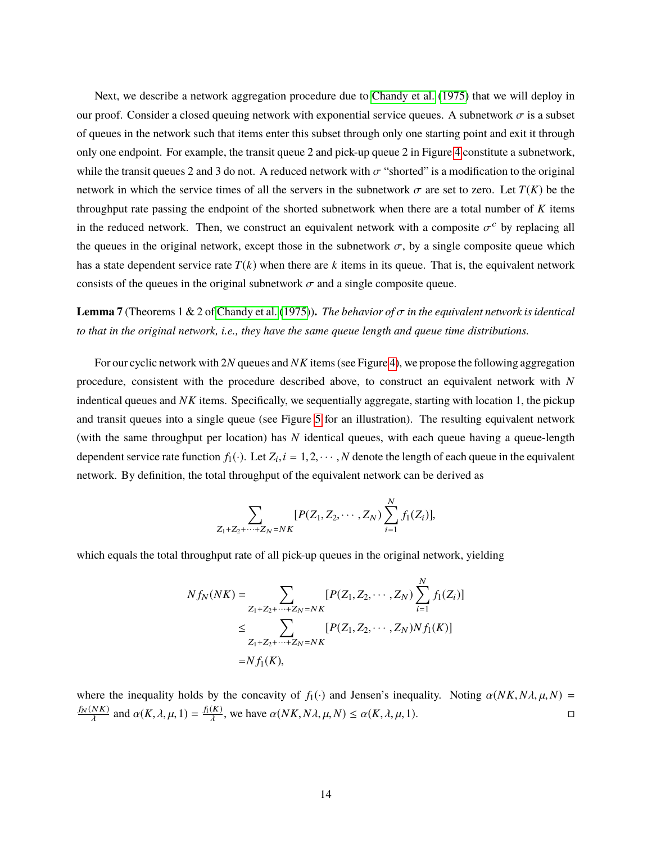Next, we describe a network aggregation procedure due to [Chandy et al.](#page-51-1) [\(1975\)](#page-51-1) that we will deploy in our proof. Consider a closed queuing network with exponential service queues. A subnetwork  $\sigma$  is a subset of queues in the network such that items enter this subset through only one starting point and exit it through only one endpoint. For example, the transit queue 2 and pick-up queue 2 in Figure [4](#page-38-0) constitute a subnetwork, while the transit queues 2 and 3 do not. A reduced network with  $\sigma$  "shorted" is a modification to the original network in which the service times of all the servers in the subnetwork  $\sigma$  are set to zero. Let  $T(K)$  be the throughput rate passing the endpoint of the shorted subnetwork when there are a total number of *K* items in the reduced network. Then, we construct an equivalent network with a composite  $\sigma^c$  by replacing all the queues in the original network, except those in the subnetwork  $\sigma$ , by a single composite queue which has a state dependent service rate  $T(k)$  when there are k items in its queue. That is, the equivalent network consists of the queues in the original subnetwork  $\sigma$  and a single composite queue.

**Lemma 7** (Theorems 1 & 2 of [Chandy et al.](#page-51-1) [\(1975\)](#page-51-1)). *The behavior of*  $\sigma$  *in the equivalent network is identical to that in the original network, i.e., they have the same queue length and queue time distributions.*

For our cyclic network with 2*N* queues and *NK* items (see Figure [4\)](#page-38-0), we propose the following aggregation procedure, consistent with the procedure described above, to construct an equivalent network with *N* indentical queues and *NK* items. Specifically, we sequentially aggregate, starting with location 1, the pickup and transit queues into a single queue (see Figure [5](#page-40-0) for an illustration). The resulting equivalent network (with the same throughput per location) has *N* identical queues, with each queue having a queue-length dependent service rate function  $f_1(\cdot)$ . Let  $Z_i$ ,  $i = 1, 2, \dots, N$  denote the length of each queue in the equivalent network. By definition, the total throughput of the equivalent network can be derived as

$$
\sum_{Z_1+Z_2+\cdots+Z_N=NK} [P(Z_1, Z_2, \cdots, Z_N) \sum_{i=1}^N f_1(Z_i)],
$$

which equals the total throughput rate of all pick-up queues in the original network, yielding

$$
Nf_N(NK) = \sum_{Z_1+Z_2+\cdots+Z_N=NK} [P(Z_1, Z_2, \cdots, Z_N) \sum_{i=1}^N f_1(Z_i)]
$$
  

$$
\leq \sum_{Z_1+Z_2+\cdots+Z_N=NK} [P(Z_1, Z_2, \cdots, Z_N)N f_1(K)]
$$
  

$$
= Nf_1(K),
$$

where the inequality holds by the concavity of *f*<sub>1</sub>(·) and Jensen's inequality. Noting  $\alpha(NK, N\lambda, \mu, N) = \frac{f_N(NK)}{N\lambda}$  and  $\alpha(K, \lambda, \mu, 1) = \frac{f_N(NK)}{N\lambda}$  we have  $\alpha(NK, N\lambda, \mu, N) \leq \alpha(K, \lambda, \mu, 1)$ .  $\frac{f_N(NK)}{\lambda}$  and  $\alpha(K, \lambda, \mu, 1) = \frac{f_1(K)}{\lambda}$ , we have  $\alpha(NK, N\lambda, \mu, N) \leq \alpha(K, \lambda, \mu, 1)$ .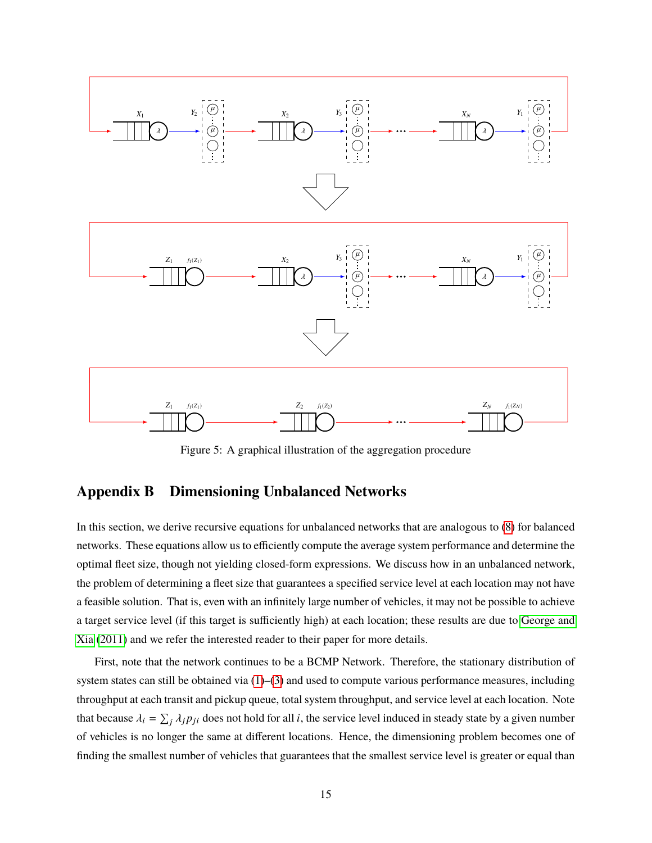<span id="page-40-0"></span>

Figure 5: A graphical illustration of the aggregation procedure

### **Appendix B Dimensioning Unbalanced Networks**

In this section, we derive recursive equations for unbalanced networks that are analogous to [\(8\)](#page-9-1) for balanced networks. These equations allow us to efficiently compute the average system performance and determine the optimal fleet size, though not yielding closed-form expressions. We discuss how in an unbalanced network, the problem of determining a fleet size that guarantees a specified service level at each location may not have a feasible solution. That is, even with an infinitely large number of vehicles, it may not be possible to achieve a target service level (if this target is sufficiently high) at each location; these results are due to [George and](#page-24-2) [Xia](#page-24-2) [\(2011\)](#page-24-2) and we refer the interested reader to their paper for more details.

First, note that the network continues to be a BCMP Network. Therefore, the stationary distribution of system states can still be obtained via  $(1)$ – $(3)$  and used to compute various performance measures, including throughput at each transit and pickup queue, total system throughput, and service level at each location. Note that because  $\lambda_i = \sum_j \lambda_j p_{ji}$  does not hold for all *i*, the service level induced in steady state by a given number of vehicles is no longer the same at different locations. Hence, the dimensioning problem becomes one of finding the smallest number of vehicles that guarantees that the smallest service level is greater or equal than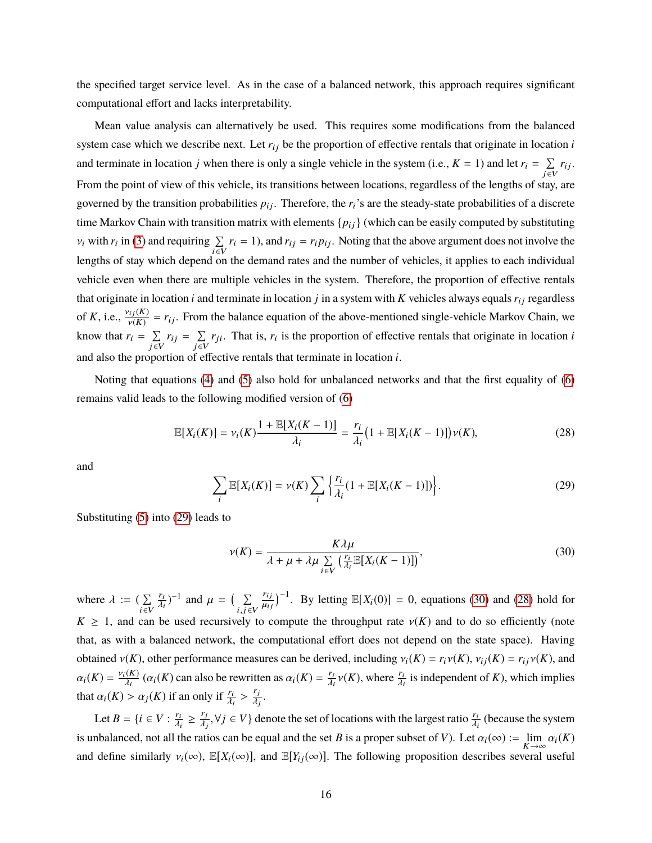the specified target service level. As in the case of a balanced network, this approach requires significant computational effort and lacks interpretability.

Mean value analysis can alternatively be used. This requires some modifications from the balanced system case which we describe next. Let  $r_{ij}$  be the proportion of effective rentals that originate in location  $i$ and terminate in location *j* when there is only a single vehicle in the system (i.e.,  $K = 1$ ) and let  $r_i = \sum$  $\sum_{j \in V} r_{ij}.$ From the point of view of this vehicle, its transitions between locations, regardless of the lengths of stay, are governed by the transition probabilities  $p_{ij}$ . Therefore, the  $r_i$ 's are the steady-state probabilities of a discrete time Markov Chain with transition matrix with elements  $\{p_{ij}\}$  (which can be easily computed by substituting  $v_i$  with  $r_i$  in [\(3\)](#page-7-0) and requiring  $\sum_{i \in V}$  $\sum_{i \in V} r_i = 1$ ), and  $r_{ij} = r_i p_{ij}$ . Noting that the above argument does not involve the lengths of stay which depend on the demand rates and the number of vehicles, it applies to each individual vehicle even when there are multiple vehicles in the system. Therefore, the proportion of effective rentals that originate in location  $i$  and terminate in location  $j$  in a system with  $K$  vehicles always equals  $r_{ij}$  regardless of K, i.e.,  $\frac{v_{ij}(K)}{v(K)}$  $v_i(x) = r_{ij}$ . From the balance equation of the above-mentioned single-vehicle Markov Chain, we know that  $r_i = \sum$  $\sum_{j \in V} r_{ij} = \sum_{j \in V}$  $\sum_{j \in V} r_{ji}$ . That is,  $r_i$  is the proportion of effective rentals that originate in location *i* and also the proportion of effective rentals that terminate in location *i*.

Noting that equations [\(4\)](#page-8-3) and [\(5\)](#page-8-0) also hold for unbalanced networks and that the first equality of [\(6\)](#page-8-1) remains valid leads to the following modified version of [\(6\)](#page-8-1)

<span id="page-41-2"></span>
$$
\mathbb{E}[X_i(K)] = \nu_i(K) \frac{1 + \mathbb{E}[X_i(K-1)]}{\lambda_i} = \frac{r_i}{\lambda_i} \big( 1 + \mathbb{E}[X_i(K-1)] \big) \nu(K), \tag{28}
$$

and

<span id="page-41-0"></span>
$$
\sum_{i} \mathbb{E}[X_i(K)] = \nu(K) \sum_{i} \left\{ \frac{r_i}{\lambda_i} (1 + \mathbb{E}[X_i(K-1)]) \right\}.
$$
 (29)

Substituting [\(5\)](#page-8-0) into [\(29\)](#page-41-0) leads to

<span id="page-41-1"></span>
$$
\nu(K) = \frac{K\lambda\mu}{\lambda + \mu + \lambda\mu \sum_{i \in V} \left(\frac{r_i}{\lambda_i} \mathbb{E}[X_i(K-1)]\right)},\tag{30}
$$

where  $\lambda := \sum_{i \in V}$ i∈V ri  $\lambda_i$  $j^{-1}$  and  $\mu = \left(\sum_{i,j \in I}$  $i,j \in V$ r<sub>i j</sub>  $\mu_{ij}$  $\int^{-1}$ . By letting  $\mathbb{E}[X_i(0)] = 0$ , equations [\(30\)](#page-41-1) and [\(28\)](#page-41-2) hold for  $K \geq 1$ , and can be used recursively to compute the throughput rate  $v(K)$  and to do so efficiently (note that, as with a balanced network, the computational effort does not depend on the state space). Having obtained  $v(K)$ , other performance measures can be derived, including  $v_i(K) = r_i v(K)$ ,  $v_{ij}(K) = r_{ij} v(K)$ , and  $\alpha_i(K) = \frac{\nu_i(K)}{\lambda_i}$  $\frac{d(K)}{\lambda_i}$  ( $\alpha_i(K)$  can also be rewritten as  $\alpha_i(K) = \frac{r_i}{\lambda_i}$  $\frac{r_i}{\lambda_i}v(K)$ , where  $\frac{r_i}{\lambda_i}$ is independent of *K*), which implies that  $\alpha_i(K) > \alpha_j(K)$  if an only if  $\frac{r_i}{\lambda_i} >$ rj λj .

Let  $B = \{i \in V : \frac{r_i}{\lambda_i} \ge \frac{r_j}{\lambda_j}, \forall j \in V\}$  denote the set of locations with the largest ratio  $\frac{r_i}{\lambda_i}$  (because the system  $A_i = A_j$ ,  $A_j$ is unbalanced, not all the ratios can be equal and the set *B* is a proper subset of *V*). Let  $\alpha_i(\infty) := \lim_{K \to \infty} \alpha_i(K)$ and define similarly  $v_i(\infty)$ ,  $\mathbb{E}[X_i(\infty)]$ , and  $\mathbb{E}[Y_i(\infty)]$ . The following proposition describes several useful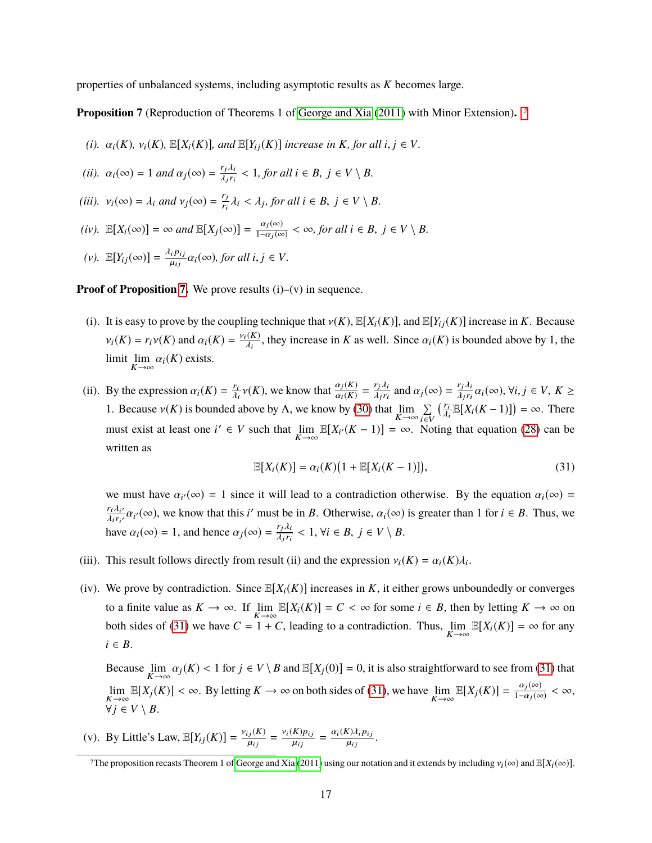properties of unbalanced systems, including asymptotic results as *K* becomes large.

<span id="page-42-0"></span>**Proposition 7** (Reproduction of Theorems 1 of [George and Xia](#page-24-2) [\(2011\)](#page-24-2) with Minor Extension)**.** *[7](#page-0-0)*

- *(i).*  $\alpha_i(K)$ ,  $\nu_i(K)$ ,  $\mathbb{E}[X_i(K)]$ , and  $\mathbb{E}[Y_{ij}(K)]$  increase in K, for all  $i, j \in V$ .
- *(ii).*  $\alpha_i(\infty) = 1$  *and*  $\alpha_j(\infty) = \frac{r_j \lambda_i}{\lambda_j r_i}$  $\frac{r_j \lambda_i}{\lambda_j r_i} < 1$ , for all  $i \in B$ ,  $j \in V \setminus B$ .
- *(iii).*  $v_i(\infty) = \lambda_i$  *and*  $v_j(\infty) = \frac{r_j}{r_i}$  $\frac{r_j}{r_i} \lambda_i < \lambda_j$ , for all  $i \in B$ ,  $j \in V \setminus B$ .
- $(iv)$ .  $\mathbb{E}[X_i(\infty)] = \infty$  *and*  $\mathbb{E}[X_j(\infty)] = \frac{\alpha_j(\infty)}{1-\alpha_j(\infty)} < \infty$ , for all  $i \in B$ ,  $j \in V \setminus B$ .
- $(v)$ .  $\mathbb{E}[Y_{ij}(\infty)] = \frac{\lambda_i p_{ij}}{\mu_{ij}}$  $\frac{i\pi}{\mu_{ij}}\alpha_i(\infty)$ , for all  $i, j \in V$ .

**Proof of Proposition [7.](#page-42-0)** We prove results (i)–(v) in sequence.

- (i). It is easy to prove by the coupling technique that  $v(K)$ ,  $\mathbb{E}[X_i(K)]$ , and  $\mathbb{E}[Y_{i}(K)]$  increase in *K*. Because  $\nu_i(K) = r_i \nu(K)$  and  $\alpha_i(K) = \frac{\nu_i(K)}{\lambda_i}$  $\frac{\lambda_i(K)}{\lambda_i}$ , they increase in *K* as well. Since  $\alpha_i(K)$  is bounded above by 1, the limit  $\lim_{K \to \infty} \alpha_i(K)$  exists.
- (ii). By the expression  $\alpha_i(K) = \frac{r_i}{\lambda_i} \nu(K)$ , we know that  $\frac{\alpha_j(K)}{\alpha_i(K)} = \frac{r_j \lambda_i}{\lambda_j r_i}$ λi  $\frac{r_j \lambda_i}{\lambda_j r_i}$  and  $\alpha_j(\infty) = \frac{r_j \lambda_i}{\lambda_j r_i}$  $\frac{r_j \lambda_i}{\lambda_j r_i} \alpha_i(\infty), \forall i, j \in V, K \geq$ 1. Because  $v(K)$  is bounded above by  $\Lambda$ , we know by [\(30\)](#page-41-1) that  $\lim_{K \to \infty} \sum_{i \in V}$ i∈V  $\left(\frac{r_i}{2}\right)$ λi  $\mathbb{E}[X_i(K-1)]$  =  $\infty$ . There must exist at least one  $i' \in V$  such that  $\lim_{K \to \infty} \mathbb{E}[X_{i'}(K-1)] = \infty$ . Noting that equation [\(28\)](#page-41-2) can be written as

<span id="page-42-1"></span>
$$
\mathbb{E}[X_i(K)] = \alpha_i(K)\big(1 + \mathbb{E}[X_i(K-1)]\big),\tag{31}
$$

we must have  $\alpha_i(\infty) = 1$  since it will lead to a contradiction otherwise. By the equation  $\alpha_i(\infty) =$  $\frac{r_i \lambda_{i'}}{\lambda_{i} r_{i'}}$  $\frac{r_i \lambda_i}{\lambda_i r_{i'}} \alpha_{i'}(\infty)$ , we know that this *i*' must be in *B*. Otherwise,  $\alpha_i(\infty)$  is greater than 1 for  $i \in B$ . Thus, we have  $\alpha_i(\infty) = 1$ , and hence  $\alpha_j(\infty) = \frac{r_j \lambda_i}{\lambda_j r_i}$  $\frac{r_j \lambda_i}{\lambda_j r_i} < 1$ ,  $\forall i \in B$ ,  $j \in V \setminus B$ .

- (iii). This result follows directly from result (ii) and the expression  $v_i(K) = \alpha_i(K)\lambda_i$ .
- (iv). We prove by contradiction. Since  $\mathbb{E}[X_i(K)]$  increases in *K*, it either grows unboundedly or converges to a finite value as  $K \to \infty$ . If  $\lim_{K \to \infty} \mathbb{E}[X_i(K)] = C < \infty$  for some  $i \in B$ , then by letting  $K \to \infty$  on both sides of [\(31\)](#page-42-1) we have  $C = 1 + C$ , leading to a contradiction. Thus,  $\lim_{K \to \infty} \mathbb{E}[X_i(K)] = \infty$  for any  $i \in B$ .

Because  $\lim_{K \to \infty} \alpha_j(K) < 1$  for  $j \in V \setminus B$  and  $\mathbb{E}[X_j(0)] = 0$ , it is also straightforward to see from [\(31\)](#page-42-1) that  $K \rightarrow \infty$ lim  $\mathbb{E}[X_j(K)] < \infty$ . By letting  $K \to \infty$  on both sides of [\(31\)](#page-42-1), we have  $\lim_{K \to \infty} \mathbb{E}[X_j(K)] = \frac{\alpha_j(\infty)}{1-\alpha_j(\infty)} < \infty$ ,  $\forall j \in V \setminus B$ .

(v). By Little's Law,  $\mathbb{E}[Y_{ij}(K)] = \frac{v_{ij}(K)}{u_{ij}}$  $\mu_{ij}$  $=\frac{v_i(K)p_{ij}}{u_{ij}}$  $\mu_{ij}$  $=\frac{\alpha_i(K)\lambda_i p_{ij}}{\mu_i}$  $\mu_{ij}$ .

<sup>&</sup>lt;sup>7</sup>The proposition recasts Theorem 1 of [George and Xia](#page-24-2) [\(2011\)](#page-24-2) using our notation and it extends by including  $v_i(\infty)$  and  $\mathbb{E}[X_i(\infty)]$ .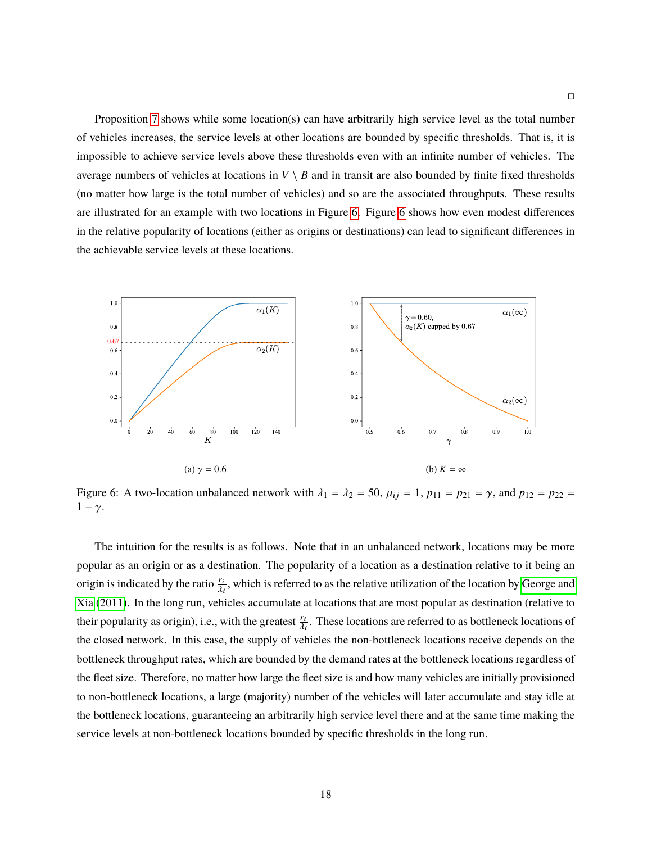Proposition [7](#page-42-0) shows while some location(s) can have arbitrarily high service level as the total number of vehicles increases, the service levels at other locations are bounded by specific thresholds. That is, it is impossible to achieve service levels above these thresholds even with an infinite number of vehicles. The average numbers of vehicles at locations in  $V \setminus B$  and in transit are also bounded by finite fixed thresholds (no matter how large is the total number of vehicles) and so are the associated throughputs. These results are illustrated for an example with two locations in Figure [6.](#page-43-0) Figure [6](#page-43-0) shows how even modest differences in the relative popularity of locations (either as origins or destinations) can lead to significant differences in the achievable service levels at these locations.

<span id="page-43-0"></span>

Figure 6: A two-location unbalanced network with  $\lambda_1 = \lambda_2 = 50$ ,  $\mu_{ij} = 1$ ,  $p_{11} = p_{21} = \gamma$ , and  $p_{12} = p_{22} =$  $1 - \gamma$ .

The intuition for the results is as follows. Note that in an unbalanced network, locations may be more popular as an origin or as a destination. The popularity of a location as a destination relative to it being an origin is indicated by the ratio  $\frac{r_i}{\lambda}$ λi , which is referred to as the relative utilization of the location by [George and](#page-24-2) [Xia](#page-24-2) [\(2011\)](#page-24-2). In the long run, vehicles accumulate at locations that are most popular as destination (relative to their popularity as origin), i.e., with the greatest  $\frac{r_i}{\lambda}$ λi . These locations are referred to as bottleneck locations of the closed network. In this case, the supply of vehicles the non-bottleneck locations receive depends on the bottleneck throughput rates, which are bounded by the demand rates at the bottleneck locations regardless of the fleet size. Therefore, no matter how large the fleet size is and how many vehicles are initially provisioned to non-bottleneck locations, a large (majority) number of the vehicles will later accumulate and stay idle at the bottleneck locations, guaranteeing an arbitrarily high service level there and at the same time making the service levels at non-bottleneck locations bounded by specific thresholds in the long run.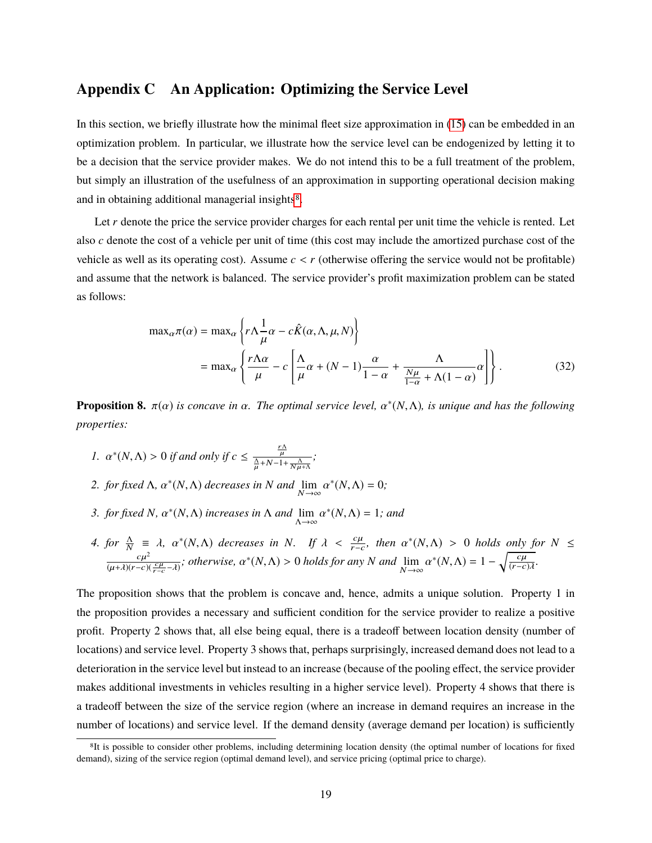### <span id="page-44-0"></span>**Appendix C An Application: Optimizing the Service Level**

In this section, we briefly illustrate how the minimal fleet size approximation in [\(15\)](#page-14-1) can be embedded in an optimization problem. In particular, we illustrate how the service level can be endogenized by letting it to be a decision that the service provider makes. We do not intend this to be a full treatment of the problem, but simply an illustration of the usefulness of an approximation in supporting operational decision making and in obtaining additional managerial insights<sup>[8](#page-0-0)</sup>.

Let *r* denote the price the service provider charges for each rental per unit time the vehicle is rented. Let also *c* denote the cost of a vehicle per unit of time (this cost may include the amortized purchase cost of the vehicle as well as its operating cost). Assume  $c < r$  (otherwise offering the service would not be profitable) and assume that the network is balanced. The service provider's profit maximization problem can be stated as follows:

$$
\max_{\alpha} \pi(\alpha) = \max_{\alpha} \left\{ r \Lambda \frac{1}{\mu} \alpha - c \hat{K}(\alpha, \Lambda, \mu, N) \right\}
$$

$$
= \max_{\alpha} \left\{ \frac{r \Lambda \alpha}{\mu} - c \left[ \frac{\Lambda}{\mu} \alpha + (N - 1) \frac{\alpha}{1 - \alpha} + \frac{\Lambda}{\frac{N\mu}{1 - \alpha} + \Lambda (1 - \alpha)} \alpha \right] \right\}. \tag{32}
$$

<span id="page-44-1"></span>**Proposition 8.**  $\pi(\alpha)$  *is concave in*  $\alpha$ . The optimal service level,  $\alpha^*(N,\Lambda)$ , *is unique and has the following properties:*

1. 
$$
\alpha^*(N,\Lambda) > 0
$$
 if and only if  $c \le \frac{\frac{r\Lambda}{\mu}}{\frac{\Lambda}{\mu} + N - 1 + \frac{\Lambda}{N\mu + \Lambda}};$ 

- 2. *for fixed*  $\Lambda$ ,  $\alpha^*(N,\Lambda)$  *decreases in*  $N$  *and*  $\lim_{N\to\infty} \alpha$  $^*(N, \Lambda) = 0;$
- *3. for fixed N*,  $\alpha^*(N, \Lambda)$  *increases in*  $\Lambda$  *and*  $\lim_{\Lambda \to \infty} \alpha$  $^*(N, \Lambda) = 1$ *; and*
- *4. for*  $\frac{\Lambda}{N} \equiv \lambda$ ,  $\alpha^*(N,\Lambda)$  decreases in *N*. If  $\lambda < \frac{c\mu}{r-c}$ , then  $\alpha^*(N,\Lambda) > 0$  holds only for  $N \leq$  $\frac{c\mu^2}{c}$  $\frac{c\mu^2}{(\mu+\lambda)(r-c)(\frac{c\mu}{r-c}-\lambda)}$ ; otherwise,  $\alpha^*(N,\Lambda) > 0$  holds for any *N* and  $\lim_{N \to \infty} \alpha$ <sup>\*</sup>(*N*, Λ) = 1 –  $\sqrt{\frac{c\mu}{(r-c)}}$  $\frac{c\mu}{(r-c)\lambda}$ .

The proposition shows that the problem is concave and, hence, admits a unique solution. Property 1 in the proposition provides a necessary and sufficient condition for the service provider to realize a positive profit. Property 2 shows that, all else being equal, there is a tradeoff between location density (number of locations) and service level. Property 3 shows that, perhaps surprisingly, increased demand does not lead to a deterioration in the service level but instead to an increase (because of the pooling effect, the service provider makes additional investments in vehicles resulting in a higher service level). Property 4 shows that there is a tradeoff between the size of the service region (where an increase in demand requires an increase in the number of locations) and service level. If the demand density (average demand per location) is sufficiently

<sup>8</sup>It is possible to consider other problems, including determining location density (the optimal number of locations for fixed demand), sizing of the service region (optimal demand level), and service pricing (optimal price to charge).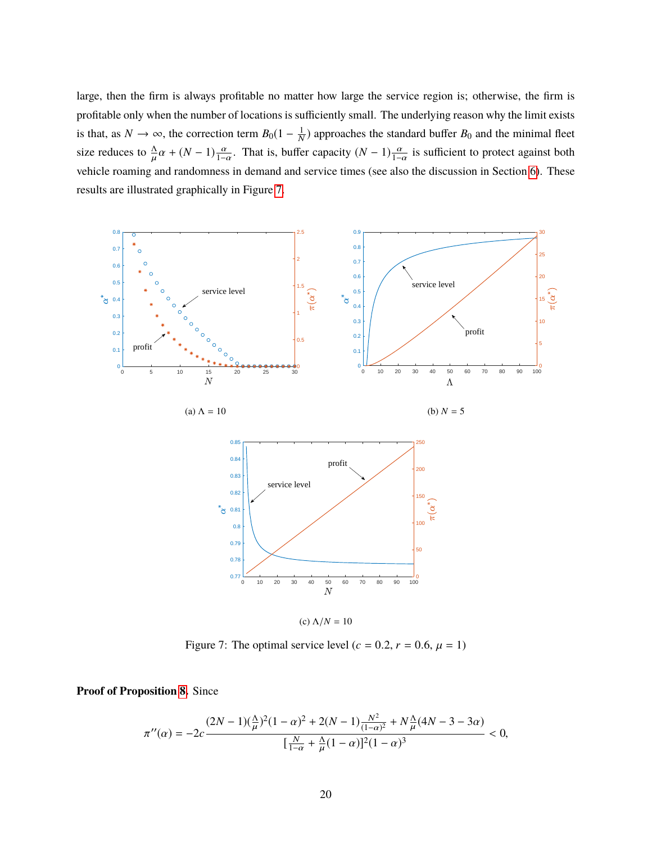large, then the firm is always profitable no matter how large the service region is; otherwise, the firm is profitable only when the number of locations is sufficiently small. The underlying reason why the limit exists is that, as  $N \to \infty$ , the correction term  $B_0(1 - \frac{1}{N})$  approaches the standard buffer  $B_0$  and the minimal fleet size reduces to  $\frac{\Delta}{\mu}\alpha + (N-1)\frac{\alpha}{1-\alpha}$ . That is, buffer capacity  $(N-1)\frac{\alpha}{1-\alpha}$  is sufficient to protect against both vehicle roaming and randomness in demand and service times (see also the discussion in Section [6\)](#page-17-0). These results are illustrated graphically in Figure [7.](#page-45-0)

<span id="page-45-0"></span>

Figure 7: The optimal service level ( $c = 0.2$ ,  $r = 0.6$ ,  $\mu = 1$ )

**Proof of Proposition [8.](#page-44-1)** Since

$$
\pi''(\alpha) = -2c \frac{(2N-1)(\frac{\Lambda}{\mu})^2 (1-\alpha)^2 + 2(N-1) \frac{N^2}{(1-\alpha)^2} + N \frac{\Lambda}{\mu} (4N-3-3\alpha)}{[\frac{N}{1-\alpha} + \frac{\Lambda}{\mu} (1-\alpha)]^2 (1-\alpha)^3} < 0,
$$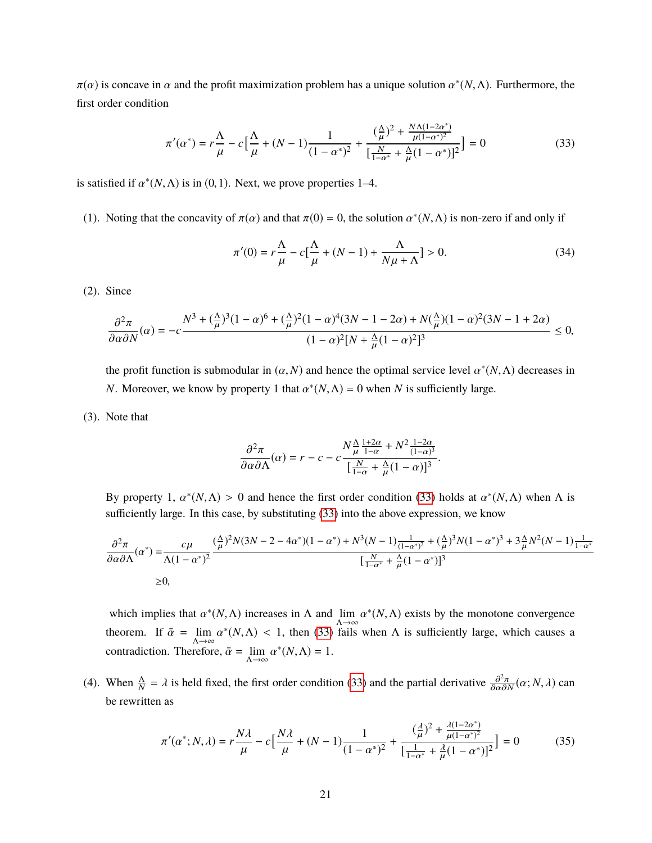$\pi(\alpha)$  is concave in  $\alpha$  and the profit maximization problem has a unique solution  $\alpha^*(N, \Lambda)$ . Furthermore, the first order condition

$$
\pi'(\alpha^*) = r\frac{\Lambda}{\mu} - c\left[\frac{\Lambda}{\mu} + (N-1)\frac{1}{(1-\alpha^*)^2} + \frac{(\frac{\Lambda}{\mu})^2 + \frac{N\Lambda(1-2\alpha^*)}{\mu(1-\alpha^*)^2}}{\left[\frac{N}{1-\alpha^*} + \frac{\Lambda}{\mu}(1-\alpha^*)\right]^2}\right] = 0\tag{33}
$$

is satisfied if  $\alpha^*(N, \Lambda)$  is in (0, 1). Next, we prove properties 1–4.

(1). Noting that the concavity of  $\pi(\alpha)$  and that  $\pi(0) = 0$ , the solution  $\alpha^*(N, \Lambda)$  is non-zero if and only if

<span id="page-46-0"></span>
$$
\pi'(0) = r\frac{\Lambda}{\mu} - c\left[\frac{\Lambda}{\mu} + (N-1) + \frac{\Lambda}{N\mu + \Lambda}\right] > 0.
$$
\n(34)

(2). Since

$$
\frac{\partial^2 \pi}{\partial \alpha \partial N}(\alpha) = -c \frac{N^3 + (\frac{\Delta}{\mu})^3 (1 - \alpha)^6 + (\frac{\Delta}{\mu})^2 (1 - \alpha)^4 (3N - 1 - 2\alpha) + N(\frac{\Delta}{\mu})(1 - \alpha)^2 (3N - 1 + 2\alpha)}{(1 - \alpha)^2 [N + \frac{\Delta}{\mu}(1 - \alpha)^2]^3} \le 0,
$$

the profit function is submodular in  $(\alpha, N)$  and hence the optimal service level  $\alpha^*(N, \Lambda)$  decreases in *N*. Moreover, we know by property 1 that  $\alpha^*(N, \Lambda) = 0$  when *N* is sufficiently large.

(3). Note that

$$
\frac{\partial^2 \pi}{\partial \alpha \partial \Lambda}(\alpha) = r - c - c \frac{N \frac{\Lambda}{\mu} \frac{1 + 2\alpha}{1 - \alpha} + N^2 \frac{1 - 2\alpha}{(1 - \alpha)^3}}{\left[\frac{N}{1 - \alpha} + \frac{\Lambda}{\mu} (1 - \alpha)\right]^3}.
$$

By property 1,  $\alpha^*(N,\Lambda) > 0$  and hence the first order condition [\(33\)](#page-46-0) holds at  $\alpha^*(N,\Lambda)$  when  $\Lambda$  is sufficiently large. In this case, by substituting [\(33\)](#page-46-0) into the above expression, we know

<span id="page-46-1"></span> $\mathbf{r}$ 

$$
\frac{\partial^2 \pi}{\partial \alpha \partial \Lambda} (\alpha^*) = \frac{c\mu}{\Lambda (1 - \alpha^*)^2} \frac{(\frac{\Lambda}{\mu})^2 N (3N - 2 - 4\alpha^*) (1 - \alpha^*) + N^3 (N - 1) \frac{1}{(1 - \alpha^*)^2} + (\frac{\Lambda}{\mu})^3 N (1 - \alpha^*)^3 + 3\frac{\Lambda}{\mu} N^2 (N - 1) \frac{1}{1 - \alpha^*}}{[\frac{N}{1 - \alpha^*} + \frac{\Lambda}{\mu} (1 - \alpha^*)]^3}
$$
  
\n
$$
\geq 0,
$$

which implies that  $\alpha^*(N, \Lambda)$  increases in  $\Lambda$  and  $\lim_{\Lambda \to \infty} \alpha$  $*(N, \Lambda)$  exists by the monotone convergence theorem. If  $\bar{\alpha} = \lim_{\Delta \to \infty} \alpha$ <sup>\*</sup>( $N, \Lambda$ ) < 1, then [\(33\)](#page-46-0) fails when  $\Lambda$  is sufficiently large, which causes a contradiction. Therefore,  $\bar{\alpha} = \lim_{\Lambda \to \infty} \alpha$  $*(N, \Lambda) = 1.$ 

(4). When  $\frac{\Lambda}{N} = \lambda$  is held fixed, the first order condition [\(33\)](#page-46-0) and the partial derivative  $\frac{\partial^2 \pi}{\partial \alpha \partial N}(\alpha; N, \lambda)$  can be rewritten as

$$
\pi'(\alpha^*; N, \lambda) = r \frac{N\lambda}{\mu} - c \left[ \frac{N\lambda}{\mu} + (N - 1) \frac{1}{(1 - \alpha^*)^2} + \frac{(\frac{\lambda}{\mu})^2 + \frac{\lambda(1 - 2\alpha^*)}{\mu(1 - \alpha^*)^2}}{\left[\frac{1}{1 - \alpha^*} + \frac{\lambda}{\mu}(1 - \alpha^*)\right]^2} \right] = 0 \tag{35}
$$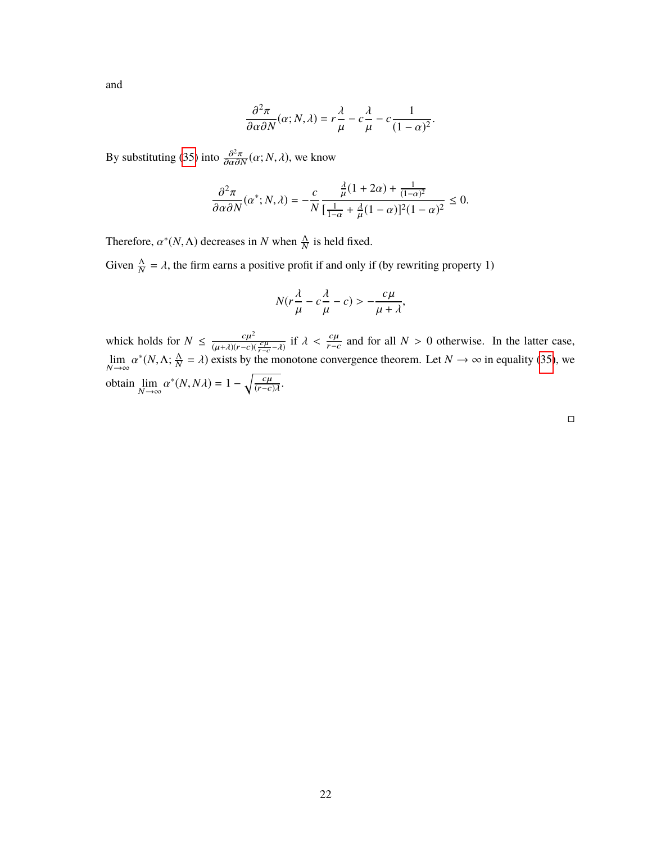and

$$
\frac{\partial^2 \pi}{\partial \alpha \partial N}(\alpha; N, \lambda) = r \frac{\lambda}{\mu} - c \frac{\lambda}{\mu} - c \frac{1}{(1 - \alpha)^2}
$$

By substituting [\(35\)](#page-46-1) into  $\frac{\partial^2 \pi}{\partial \alpha \partial N}(\alpha; N, \lambda)$ , we know

$$
\frac{\partial^2 \pi}{\partial \alpha \partial N}(\alpha^*; N, \lambda) = -\frac{c}{N} \frac{\frac{\lambda}{\mu} (1 + 2\alpha) + \frac{1}{(1 - \alpha)^2}}{\left[\frac{1}{1 - \alpha} + \frac{\lambda}{\mu} (1 - \alpha)\right]^2 (1 - \alpha)^2} \le 0.
$$

Therefore,  $\alpha^*(N, \Lambda)$  decreases in *N* when  $\frac{\Lambda}{N}$  is held fixed.

Given  $\frac{\Lambda}{N} = \lambda$ , the firm earns a positive profit if and only if (by rewriting property 1)

$$
N(r\frac{\lambda}{\mu} - c\frac{\lambda}{\mu} - c) > -\frac{c\mu}{\mu + \lambda},
$$

whick holds for  $N \leq \frac{c\mu^2}{(\mu + 1)(r - c)^2}$  $\frac{c\mu^2}{(\mu+\lambda)(r-c)(\frac{c\mu}{r-c}-\lambda)}$  if  $\lambda < \frac{c\mu}{r-c}$  and for all  $N > 0$  otherwise. In the latter case,  $\lim_{N\to\infty} \alpha$ <sup>\*</sup>(N,Λ;  $\frac{\Lambda}{N}$  $\frac{\Delta}{N} = \lambda$ ) exists by the monotone convergence theorem. Let  $N \to \infty$  in equality [\(35\)](#page-46-1), we obtain  $\lim_{N \to \infty} \alpha$  $*(N, N\lambda) = 1 - \sqrt{\frac{c\mu}{(r-c)}}$  $\frac{c\mu}{(r-c)\lambda}$ .

 $\Box$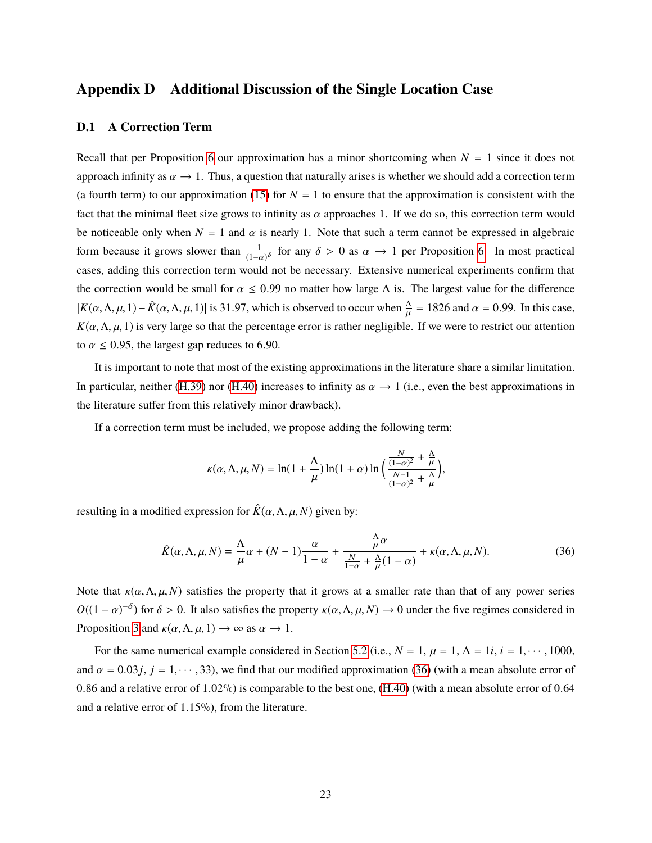#### **Appendix D Additional Discussion of the Single Location Case**

#### <span id="page-48-1"></span>**D.1 A Correction Term**

Recall that per Proposition [6](#page-16-0) our approximation has a minor shortcoming when  $N = 1$  since it does not approach infinity as  $\alpha \to 1$ . Thus, a question that naturally arises is whether we should add a correction term (a fourth term) to our approximation [\(15\)](#page-14-1) for  $N = 1$  to ensure that the approximation is consistent with the fact that the minimal fleet size grows to infinity as  $\alpha$  approaches 1. If we do so, this correction term would be noticeable only when  $N = 1$  and  $\alpha$  is nearly 1. Note that such a term cannot be expressed in algebraic form because it grows slower than  $\frac{1}{(1-\epsilon)}$  $\frac{1}{(1-\alpha)^{\delta}}$  for any  $\delta > 0$  as  $\alpha \to 1$  per Proposition [6.](#page-16-0) In most practical cases, adding this correction term would not be necessary. Extensive numerical experiments confirm that the correction would be small for  $\alpha \le 0.99$  no matter how large  $\Lambda$  is. The largest value for the difference  $|K(\alpha, \Lambda, \mu, 1) - \hat{K}(\alpha, \Lambda, \mu, 1)|$  is 31.97, which is observed to occur when  $\frac{\Lambda}{\mu} = 1826$  and  $\alpha = 0.99$ . In this case,  $K(\alpha, \Lambda, \mu, 1)$  is very large so that the percentage error is rather negligible. If we were to restrict our attention to  $\alpha \leq 0.95$ , the largest gap reduces to 6.90.

It is important to note that most of the existing approximations in the literature share a similar limitation. In particular, neither [\(H.39\)](#page-49-6) nor [\(H.40\)](#page-49-7) increases to infinity as  $\alpha \to 1$  (i.e., even the best approximations in the literature suffer from this relatively minor drawback).

If a correction term must be included, we propose adding the following term:

$$
\kappa(\alpha, \Lambda, \mu, N) = \ln(1 + \frac{\Lambda}{\mu}) \ln(1 + \alpha) \ln \left( \frac{\frac{N}{(1 - \alpha)^2} + \frac{\Lambda}{\mu}}{\frac{N - 1}{(1 - \alpha)^2} + \frac{\Lambda}{\mu}} \right),
$$

resulting in a modified expression for  $\hat{K}(\alpha, \Lambda, \mu, N)$  given by:

<span id="page-48-2"></span>
$$
\hat{K}(\alpha,\Lambda,\mu,N) = \frac{\Lambda}{\mu}\alpha + (N-1)\frac{\alpha}{1-\alpha} + \frac{\frac{\Lambda}{\mu}\alpha}{\frac{N}{1-\alpha} + \frac{\Lambda}{\mu}(1-\alpha)} + \kappa(\alpha,\Lambda,\mu,N). \tag{36}
$$

Note that  $\kappa(\alpha, \Lambda, \mu, N)$  satisfies the property that it grows at a smaller rate than that of any power series  $O((1 - \alpha)^{-\delta})$  for  $\delta > 0$ . It also satisfies the property  $\kappa(\alpha, \Lambda, \mu, N) \to 0$  under the five regimes considered in Proposition [3](#page-12-2) and  $\kappa(\alpha, \Lambda, \mu, 1) \rightarrow \infty$  as  $\alpha \rightarrow 1$ .

<span id="page-48-0"></span>For the same numerical example considered in Section [5.2](#page-15-1) (i.e.,  $N = 1$ ,  $\mu = 1$ ,  $\Lambda = 1i$ ,  $i = 1, \dots, 1000$ , and  $\alpha = 0.03j$ ,  $j = 1, \dots, 33$ ), we find that our modified approximation [\(36\)](#page-48-2) (with a mean absolute error of <sup>0</sup>.<sup>86</sup> and a relative error of <sup>1</sup>.02%) is comparable to the best one, [\(H.40\)](#page-49-7) (with a mean absolute error of <sup>0</sup>.<sup>64</sup> and a relative error of <sup>1</sup>.15%), from the literature.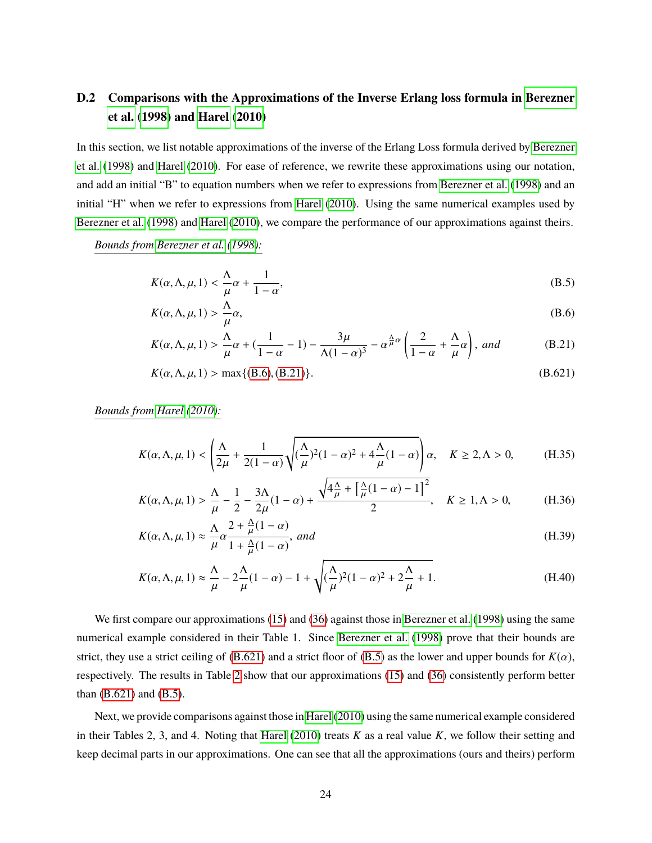### **D.2 Comparisons with the Approximations of the Inverse Erlang loss formula in [Berezner](#page-23-5) [et al.](#page-23-5) [\(1998\)](#page-23-5) and [Harel](#page-24-12) [\(2010\)](#page-24-12)**

In this section, we list notable approximations of the inverse of the Erlang Loss formula derived by [Berezner](#page-23-5) [et al.](#page-23-5) [\(1998\)](#page-23-5) and [Harel](#page-24-12) [\(2010\)](#page-24-12). For ease of reference, we rewrite these approximations using our notation, and add an initial "B" to equation numbers when we refer to expressions from [Berezner et al.](#page-23-5) [\(1998\)](#page-23-5) and an initial "H" when we refer to expressions from [Harel](#page-24-12) [\(2010\)](#page-24-12). Using the same numerical examples used by [Berezner et al.](#page-23-5) [\(1998\)](#page-23-5) and [Harel](#page-24-12) [\(2010\)](#page-24-12), we compare the performance of our approximations against theirs.

*Bounds from [Berezner et al.](#page-23-5) [\(1998\)](#page-23-5):*

<span id="page-49-4"></span>
$$
K(\alpha, \Lambda, \mu, 1) < \frac{\Lambda}{\mu} \alpha + \frac{1}{1 - \alpha},\tag{B.5}
$$

<span id="page-49-0"></span>
$$
K(\alpha, \Lambda, \mu, 1) > \frac{\Lambda}{\mu}\alpha,
$$
\n(B.6)

<span id="page-49-1"></span>
$$
K(\alpha, \Lambda, \mu, 1) > \frac{\Lambda}{\mu}\alpha + \left(\frac{1}{1-\alpha} - 1\right) - \frac{3\mu}{\Lambda(1-\alpha)^3} - \alpha^{\frac{\Lambda}{\mu}\alpha} \left(\frac{2}{1-\alpha} + \frac{\Lambda}{\mu}\alpha\right), \text{ and} \tag{B.21}
$$

<span id="page-49-5"></span><span id="page-49-2"></span>
$$
K(\alpha, \Lambda, \mu, 1) > \max\{(B.6), (B.21)\}.
$$
 (B.621)

*Bounds from [Harel](#page-24-12) [\(2010\)](#page-24-12):*

$$
K(\alpha,\Lambda,\mu,1)<\left(\frac{\Lambda}{2\mu}+\frac{1}{2(1-\alpha)}\sqrt{(\frac{\Lambda}{\mu})^2(1-\alpha)^2+4\frac{\Lambda}{\mu}(1-\alpha)}\right)\alpha,\quad K\geq 2,\Lambda>0,\tag{H.35}
$$

<span id="page-49-3"></span>
$$
K(\alpha, \Lambda, \mu, 1) > \frac{\Lambda}{\mu} - \frac{1}{2} - \frac{3\Lambda}{2\mu} (1 - \alpha) + \frac{\sqrt{4\frac{\Lambda}{\mu} + \left[\frac{\Lambda}{\mu}(1 - \alpha) - 1\right]^2}}{2}, \quad K \ge 1, \Lambda > 0,
$$
 (H.36)

<span id="page-49-6"></span>
$$
K(\alpha, \Lambda, \mu, 1) \approx \frac{\Lambda}{\mu} \alpha \frac{2 + \frac{\Lambda}{\mu} (1 - \alpha)}{1 + \frac{\Lambda}{\mu} (1 - \alpha)}, \text{ and}
$$
 (H.39)

<span id="page-49-7"></span>
$$
K(\alpha, \Lambda, \mu, 1) \approx \frac{\Lambda}{\mu} - 2\frac{\Lambda}{\mu}(1 - \alpha) - 1 + \sqrt{(\frac{\Lambda}{\mu})^2(1 - \alpha)^2 + 2\frac{\Lambda}{\mu} + 1}.
$$
 (H.40)

We first compare our approximations [\(15\)](#page-14-1) and [\(36\)](#page-48-2) against those in [Berezner et al.](#page-23-5) [\(1998\)](#page-23-5) using the same numerical example considered in their Table 1. Since [Berezner et al.](#page-23-5) [\(1998\)](#page-23-5) prove that their bounds are strict, they use a strict ceiling of  $(B.621)$  and a strict floor of  $(B.5)$  as the lower and upper bounds for  $K(\alpha)$ , respectively. The results in Table [2](#page-50-0) show that our approximations [\(15\)](#page-14-1) and [\(36\)](#page-48-2) consistently perform better than [\(B.621\)](#page-49-2) and [\(B.5\)](#page-49-4).

Next, we provide comparisons against those in [Harel](#page-24-12) [\(2010\)](#page-24-12) using the same numerical example considered in their Tables 2, 3, and 4. Noting that [Harel](#page-24-12) [\(2010\)](#page-24-12) treats *K* as a real value *K*, we follow their setting and keep decimal parts in our approximations. One can see that all the approximations (ours and theirs) perform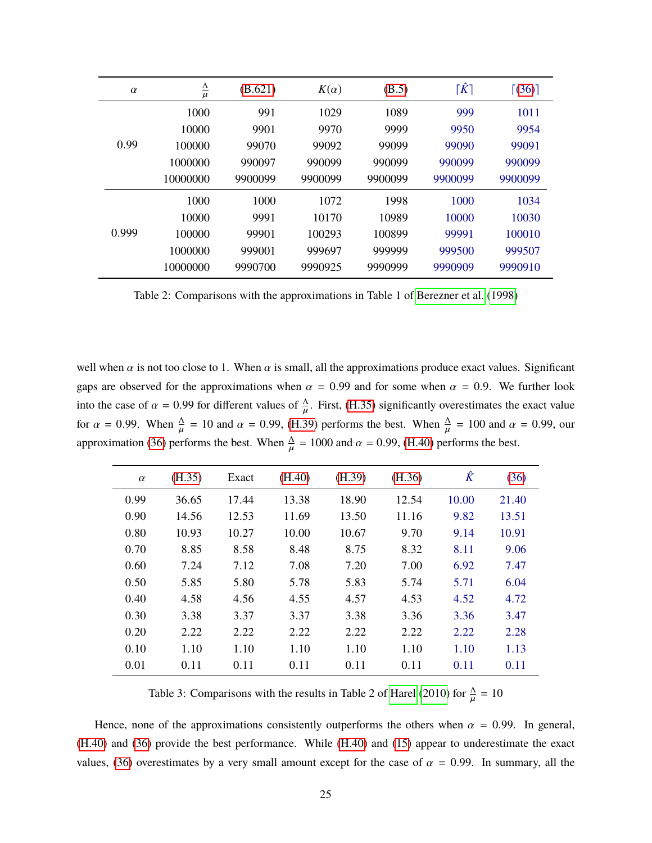<span id="page-50-0"></span>

| $\alpha$ | $\frac{\Delta}{\mu}$ | (B.621) | $K(\alpha)$ | (B.5)   | $\lceil \hat{K} \rceil$ | $\lceil (36) \rceil$ |
|----------|----------------------|---------|-------------|---------|-------------------------|----------------------|
|          | 1000                 | 991     | 1029        | 1089    | 999                     | 1011                 |
|          | 10000                | 9901    | 9970        | 9999    | 9950                    | 9954                 |
| 0.99     | 100000               | 99070   | 99092       | 99099   | 99090                   | 99091                |
|          | 1000000              | 990097  | 990099      | 990099  | 990099                  | 990099               |
|          | 10000000             | 9900099 | 9900099     | 9900099 | 9900099                 | 9900099              |
| 0.999    | 1000                 | 1000    | 1072        | 1998    | 1000                    | 1034                 |
|          | 10000                | 9991    | 10170       | 10989   | 10000                   | 10030                |
|          | 100000               | 99901   | 100293      | 100899  | 99991                   | 100010               |
|          | 1000000              | 999001  | 999697      | 999999  | 999500                  | 999507               |
|          | 10000000             | 9990700 | 9990925     | 9990999 | 9990909                 | 9990910              |

Table 2: Comparisons with the approximations in Table 1 of [Berezner et al.](#page-23-5) [\(1998\)](#page-23-5)

well when  $\alpha$  is not too close to 1. When  $\alpha$  is small, all the approximations produce exact values. Significant gaps are observed for the approximations when  $\alpha = 0.99$  and for some when  $\alpha = 0.9$ . We further look into the case of  $\alpha = 0.99$  for different values of  $\frac{\Delta}{\mu}$ . First, [\(H.35\)](#page-49-5) significantly overestimates the exact value for  $\alpha = 0.99$ . When  $\frac{\Delta}{\mu} = 10$  and  $\alpha = 0.99$ , [\(H.39\)](#page-49-6) performs the best. When  $\frac{\Delta}{\mu} = 100$  and  $\alpha = 0.99$ , our approximation [\(36\)](#page-48-2) performs the best. When  $\frac{\Delta}{\mu} = 1000$  and  $\alpha = 0.99$ , (H.40) per  $\frac{\Delta}{\mu}$  = 1000 and  $\alpha$  = 0.99, [\(H.40\)](#page-49-7) performs the best.

| $\alpha$ | (H.35) | Exact | (H.40) | (H.39) | (H.36) | $\hat{K}$ | (36)  |
|----------|--------|-------|--------|--------|--------|-----------|-------|
| 0.99     | 36.65  | 17.44 | 13.38  | 18.90  | 12.54  | 10.00     | 21.40 |
| 0.90     | 14.56  | 12.53 | 11.69  | 13.50  | 11.16  | 9.82      | 13.51 |
| 0.80     | 10.93  | 10.27 | 10.00  | 10.67  | 9.70   | 9.14      | 10.91 |
| 0.70     | 8.85   | 8.58  | 8.48   | 8.75   | 8.32   | 8.11      | 9.06  |
| 0.60     | 7.24   | 7.12  | 7.08   | 7.20   | 7.00   | 6.92      | 7.47  |
| 0.50     | 5.85   | 5.80  | 5.78   | 5.83   | 5.74   | 5.71      | 6.04  |
| 0.40     | 4.58   | 4.56  | 4.55   | 4.57   | 4.53   | 4.52      | 4.72  |
| 0.30     | 3.38   | 3.37  | 3.37   | 3.38   | 3.36   | 3.36      | 3.47  |
| 0.20     | 2.22   | 2.22  | 2.22   | 2.22   | 2.22   | 2.22      | 2.28  |
| 0.10     | 1.10   | 1.10  | 1.10   | 1.10   | 1.10   | 1.10      | 1.13  |
| 0.01     | 0.11   | 0.11  | 0.11   | 0.11   | 0.11   | 0.11      | 0.11  |

Table 3: Comparisons with the results in Table 2 of [Harel](#page-24-12) [\(2010\)](#page-24-12) for  $\frac{\Delta}{H}$  $\mathbf{r}$  $= 10$ 

Hence, none of the approximations consistently outperforms the others when  $\alpha = 0.99$ . In general, [\(H.40\)](#page-49-7) and [\(36\)](#page-48-2) provide the best performance. While [\(H.40\)](#page-49-7) and [\(15\)](#page-14-1) appear to underestimate the exact values, [\(36\)](#page-48-2) overestimates by a very small amount except for the case of  $\alpha = 0.99$ . In summary, all the